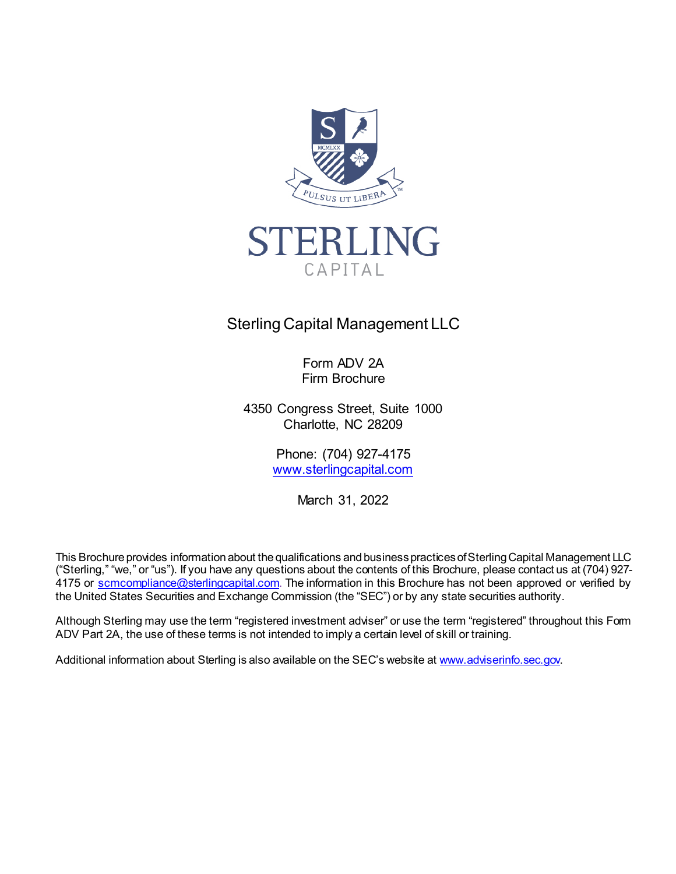



# Sterling Capital Management LLC

Form ADV 2A Firm Brochure

4350 Congress Street, Suite 1000 Charlotte, NC 28209

> Phone: (704) 927-4175 [www.sterlingcapital.com](http://www.sterlingcapital.com/)

> > March 31, 2022

This Brochure provides information about the qualifications and business practices of Sterling Capital Management LLC ("Sterling," "we," or "us"). If you have any questions about the contents of this Brochure, please contact us at (704) 927 4175 or [scmcompliance@sterlingcapital.com.](mailto:scmcompliance@sterlingcapital.com) The information in this Brochure has not been approved or verified by the United States Securities and Exchange Commission (the "SEC") or by any state securities authority.

Although Sterling may use the term "registered investment adviser" or use the term "registered" throughout this Form ADV Part 2A, the use of these terms is not intended to imply a certain level of skill or training.

Additional information about Sterling is also available on the SEC's website a[t www.adviserinfo.sec.gov.](http://www.adviserinfo.sec.gov/)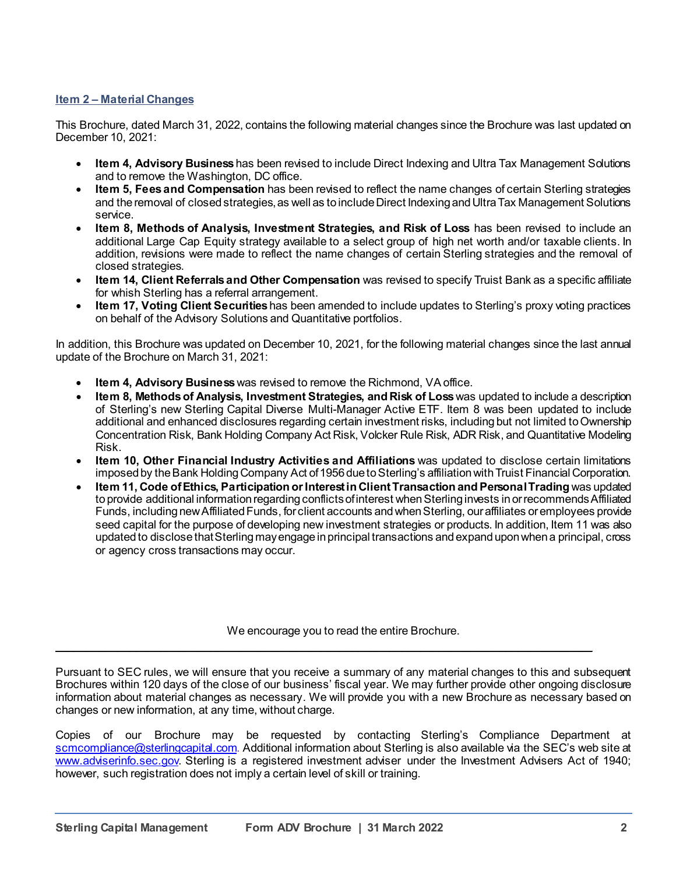## **Item 2 – Material Changes**

This Brochure, dated March 31, 2022, contains the following material changes since the Brochure was last updated on December 10, 2021:

- **Item 4, Advisory Business**has been revised to include Direct Indexing and Ultra Tax Management Solutions and to remove the Washington, DC office.
- **Item 5, Fees and Compensation** has been revised to reflect the name changes of certain Sterling strategies and the removal of closed strategies, as well as to include Direct Indexing and Ultra Tax Management Solutions service.
- **Item 8, Methods of Analysis, Investment Strategies, and Risk of Loss** has been revised to include an additional Large Cap Equity strategy available to a select group of high net worth and/or taxable clients. In addition, revisions were made to reflect the name changes of certain Sterling strategies and the removal of closed strategies.
- **Item 14, Client Referrals and Other Compensation** was revised to specify Truist Bank as a specific affiliate for whish Sterling has a referral arrangement.
- **Item 17, Voting Client Securities**has been amended to include updates to Sterling's proxy voting practices on behalf of the Advisory Solutions and Quantitative portfolios.

In addition, this Brochure was updated on December 10, 2021, for the following material changes since the last annual update of the Brochure on March 31, 2021:

- **Item 4, Advisory Business** was revised to remove the Richmond, VA office.
- **Item 8, Methods of Analysis, Investment Strategies, and Risk of Loss** was updated to include a description of Sterling's new Sterling Capital Diverse Multi-Manager Active ETF. Item 8 was been updated to include additional and enhanced disclosures regarding certain investment risks, including but not limited to Ownership Concentration Risk, Bank Holding Company Act Risk, Volcker Rule Risk, ADR Risk, and Quantitative Modeling Risk.
- **Item 10, Other Financial Industry Activities and Affiliations** was updated to disclose certain limitations imposed by the Bank Holding Company Act of 1956 due to Sterling's affiliation with Truist Financial Corporation.
- **Item 11, Code of Ethics, Participation or Interest in Client Transaction and Personal Trading** was updated to provide additional information regarding conflicts of interest when Sterling invests in or recommends Affiliated Funds, including new Affiliated Funds, for client accounts and when Sterling, our affiliates or employees provide seed capital for the purpose of developing new investment strategies or products. In addition, Item 11 was also updated to disclose that Sterling may engage in principal transactions and expand upon when a principal, cross or agency cross transactions may occur.

We encourage you to read the entire Brochure.

\_\_\_\_\_\_\_\_\_\_\_\_\_\_\_\_\_\_\_\_\_\_\_\_\_\_\_\_\_\_\_\_\_\_\_\_\_\_\_\_\_\_\_\_\_\_\_\_\_\_\_\_\_\_\_\_\_\_\_\_\_\_\_\_\_\_\_\_\_\_\_\_\_\_\_\_\_\_\_\_\_\_\_\_\_\_\_

Pursuant to SEC rules, we will ensure that you receive a summary of any material changes to this and subsequent Brochures within 120 days of the close of our business' fiscal year. We may further provide other ongoing disclosure information about material changes as necessary. We will provide you with a new Brochure as necessary based on changes or new information, at any time, without charge.

Copies of our Brochure may be requested by contacting Sterling's Compliance Department at [scmcompliance@sterlingcapital.com.](mailto:scmcompliance@sterlingcapital.com) Additional information about Sterling is also available via the SEC's web site at [www.adviserinfo.sec.gov.](http://www.adviserinfo.sec.gov/) Sterling is a registered investment adviser under the Investment Advisers Act of 1940; however, such registration does not imply a certain level of skill or training.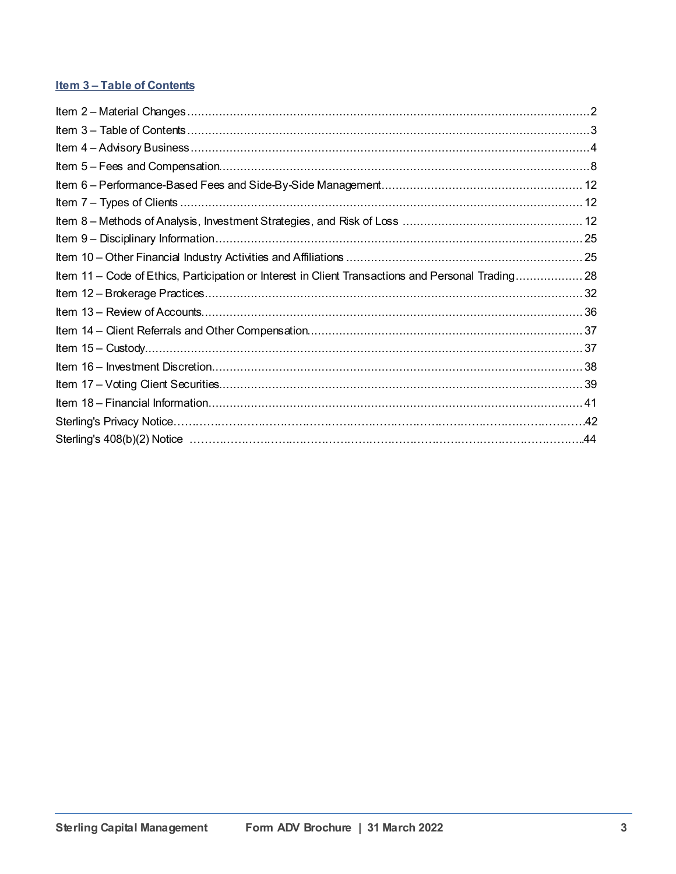# **Item 3-Table of Contents**

| Item 11 – Code of Ethics, Participation or Interest in Client Transactions and Personal Trading 28 |  |
|----------------------------------------------------------------------------------------------------|--|
|                                                                                                    |  |
|                                                                                                    |  |
|                                                                                                    |  |
|                                                                                                    |  |
|                                                                                                    |  |
|                                                                                                    |  |
|                                                                                                    |  |
|                                                                                                    |  |
|                                                                                                    |  |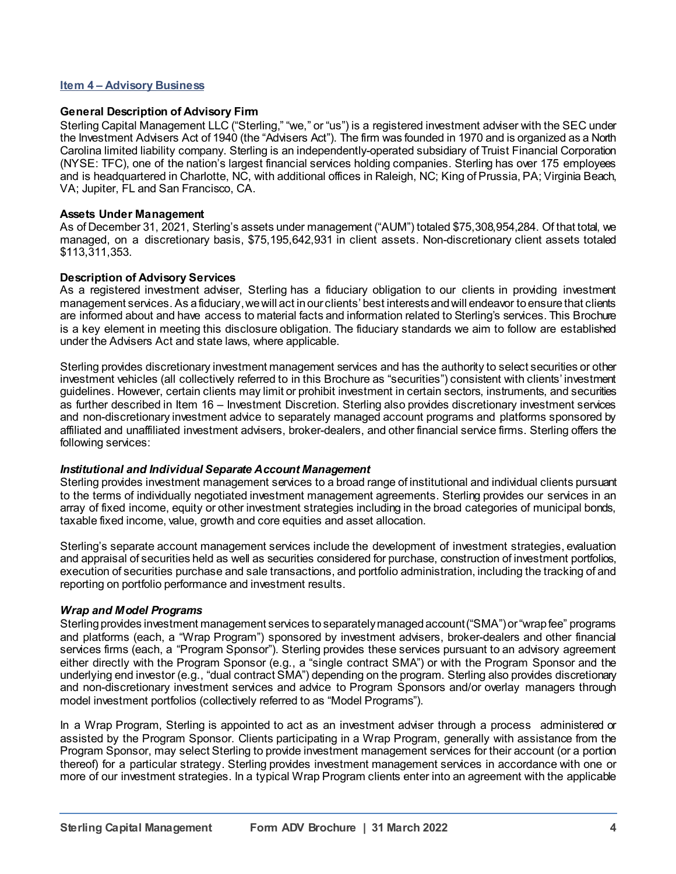## **Item 4 – Advisory Business**

#### **General Description of Advisory Firm**

Sterling Capital Management LLC ("Sterling," "we," or "us") is a registered investment adviser with the SEC under the Investment Advisers Act of 1940 (the "Advisers Act"). The firm was founded in 1970 and is organized as a North Carolina limited liability company. Sterling is an independently-operated subsidiary of Truist Financial Corporation (NYSE: TFC), one of the nation's largest financial services holding companies. Sterling has over 175 employees and is headquartered in Charlotte, NC, with additional offices in Raleigh, NC; King of Prussia, PA; Virginia Beach, VA; Jupiter, FL and San Francisco, CA.

#### **Assets Under Management**

As of December 31, 2021, Sterling's assets under management ("AUM") totaled \$75,308,954,284. Of that total, we managed, on a discretionary basis, \$75,195,642,931 in client assets. Non-discretionary client assets totaled \$113,311,353.

#### **Description of Advisory Services**

As a registered investment adviser, Sterling has a fiduciary obligation to our clients in providing investment management services. As a fiduciary, we will act in our clients' best interests and will endeavor to ensure that clients are informed about and have access to material facts and information related to Sterling's services. This Brochure is a key element in meeting this disclosure obligation. The fiduciary standards we aim to follow are established under the Advisers Act and state laws, where applicable.

Sterling provides discretionary investment management services and has the authority to select securities or other investment vehicles (all collectively referred to in this Brochure as "securities") consistent with clients' investment guidelines. However, certain clients may limit or prohibit investment in certain sectors, instruments, and securities as further described in Item 16 – Investment Discretion. Sterling also provides discretionary investment services and non-discretionary investment advice to separately managed account programs and platforms sponsored by affiliated and unaffiliated investment advisers, broker-dealers, and other financial service firms. Sterling offers the following services:

#### *Institutional and Individual Separate Account Management*

Sterling provides investment management services to a broad range of institutional and individual clients pursuant to the terms of individually negotiated investment management agreements. Sterling provides our services in an array of fixed income, equity or other investment strategies including in the broad categories of municipal bonds, taxable fixed income, value, growth and core equities and asset allocation.

Sterling's separate account management services include the development of investment strategies, evaluation and appraisal of securities held as well as securities considered for purchase, construction of investment portfolios, execution of securities purchase and sale transactions, and portfolio administration, including the tracking of and reporting on portfolio performance and investment results.

## *Wrap and Model Programs*

Sterling provides investment management services to separately managed account("SMA")or "wrap fee" programs and platforms (each, a "Wrap Program") sponsored by investment advisers, broker-dealers and other financial services firms (each, a "Program Sponsor"). Sterling provides these services pursuant to an advisory agreement either directly with the Program Sponsor (e.g., a "single contract SMA") or with the Program Sponsor and the underlying end investor (e.g., "dual contract SMA") depending on the program. Sterling also provides discretionary and non-discretionary investment services and advice to Program Sponsors and/or overlay managers through model investment portfolios (collectively referred to as "Model Programs").

In a Wrap Program, Sterling is appointed to act as an investment adviser through a process administered or assisted by the Program Sponsor. Clients participating in a Wrap Program, generally with assistance from the Program Sponsor, may select Sterling to provide investment management services for their account (or a portion thereof) for a particular strategy. Sterling provides investment management services in accordance with one or more of our investment strategies. In a typical Wrap Program clients enter into an agreement with the applicable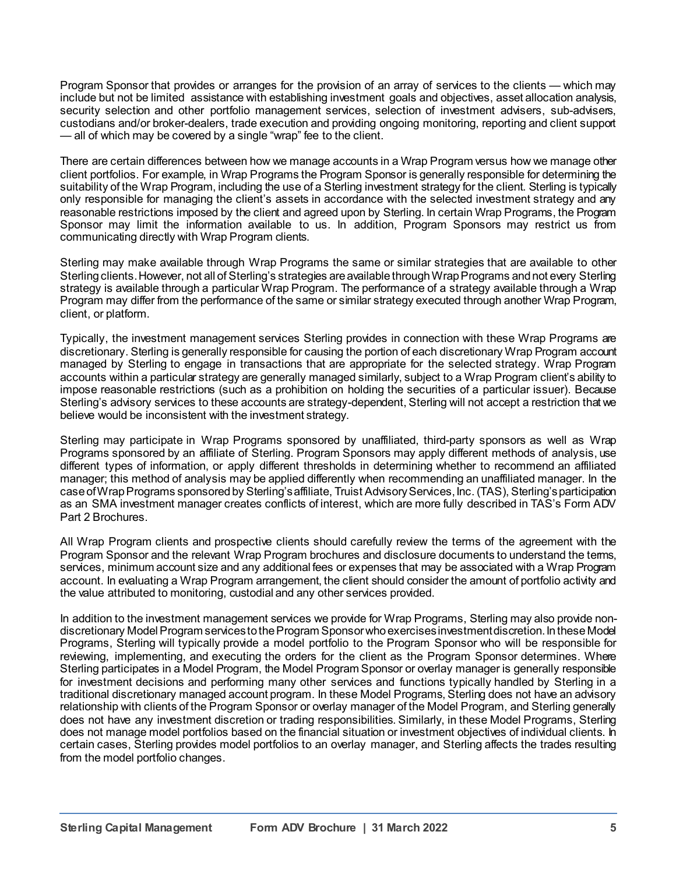Program Sponsor that provides or arranges for the provision of an array of services to the clients — which may include but not be limited assistance with establishing investment goals and objectives, asset allocation analysis, security selection and other portfolio management services, selection of investment advisers, sub-advisers, custodians and/or broker-dealers, trade execution and providing ongoing monitoring, reporting and client support — all of which may be covered by a single "wrap" fee to the client.

There are certain differences between how we manage accounts in a Wrap Program versus how we manage other client portfolios. For example, in Wrap Programs the Program Sponsor is generally responsible for determining the suitability of the Wrap Program, including the use of a Sterling investment strategy for the client. Sterling is typically only responsible for managing the client's assets in accordance with the selected investment strategy and any reasonable restrictions imposed by the client and agreed upon by Sterling. In certain Wrap Programs, the Program Sponsor may limit the information available to us. In addition, Program Sponsors may restrict us from communicating directly with Wrap Program clients.

Sterling may make available through Wrap Programs the same or similar strategies that are available to other Sterling clients. However, not all of Sterling's strategies are available through Wrap Programs and not every Sterling strategy is available through a particular Wrap Program. The performance of a strategy available through a Wrap Program may differ from the performance of the same or similar strategy executed through another Wrap Program, client, or platform.

Typically, the investment management services Sterling provides in connection with these Wrap Programs are discretionary. Sterling is generally responsible for causing the portion of each discretionary Wrap Program account managed by Sterling to engage in transactions that are appropriate for the selected strategy. Wrap Program accounts within a particular strategy are generally managed similarly, subject to a Wrap Program client's ability to impose reasonable restrictions (such as a prohibition on holding the securities of a particular issuer). Because Sterling's advisory services to these accounts are strategy-dependent, Sterling will not accept a restriction that we believe would be inconsistent with the investment strategy.

Sterling may participate in Wrap Programs sponsored by unaffiliated, third-party sponsors as well as Wrap Programs sponsored by an affiliate of Sterling. Program Sponsors may apply different methods of analysis, use different types of information, or apply different thresholds in determining whether to recommend an affiliated manager; this method of analysis may be applied differently when recommending an unaffiliated manager. In the case of Wrap Programs sponsored by Sterling's affiliate, Truist Advisory Services, Inc. (TAS), Sterling's participation as an SMA investment manager creates conflicts of interest, which are more fully described in TAS's Form ADV Part 2 Brochures.

All Wrap Program clients and prospective clients should carefully review the terms of the agreement with the Program Sponsor and the relevant Wrap Program brochures and disclosure documents to understand the terms, services, minimum account size and any additional fees or expenses that may be associated with a Wrap Program account. In evaluating a Wrap Program arrangement, the client should consider the amount of portfolio activity and the value attributed to monitoring, custodial and any other services provided.

In addition to the investment management services we provide for Wrap Programs, Sterling may also provide nondiscretionary Model Program services to the Program Sponsor who exercises investment discretion. In these Model Programs, Sterling will typically provide a model portfolio to the Program Sponsor who will be responsible for reviewing, implementing, and executing the orders for the client as the Program Sponsor determines. Where Sterling participates in a Model Program, the Model Program Sponsor or overlay manager is generally responsible for investment decisions and performing many other services and functions typically handled by Sterling in a traditional discretionary managed account program. In these Model Programs, Sterling does not have an advisory relationship with clients of the Program Sponsor or overlay manager of the Model Program, and Sterling generally does not have any investment discretion or trading responsibilities. Similarly, in these Model Programs, Sterling does not manage model portfolios based on the financial situation or investment objectives of individual clients. In certain cases, Sterling provides model portfolios to an overlay manager, and Sterling affects the trades resulting from the model portfolio changes.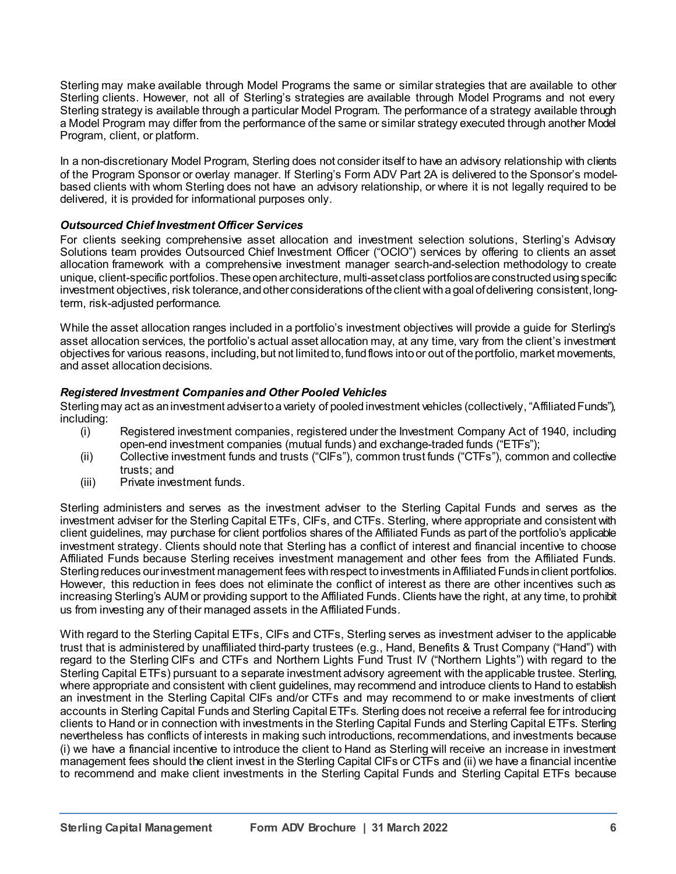Sterling may make available through Model Programs the same or similar strategies that are available to other Sterling clients. However, not all of Sterling's strategies are available through Model Programs and not every Sterling strategy is available through a particular Model Program. The performance of a strategy available through a Model Program may differ from the performance of the same or similar strategy executed through another Model Program, client, or platform.

In a non-discretionary Model Program, Sterling does not consider itself to have an advisory relationship with clients of the Program Sponsor or overlay manager. If Sterling's Form ADV Part 2A is delivered to the Sponsor's modelbased clients with whom Sterling does not have an advisory relationship, or where it is not legally required to be delivered, it is provided for informational purposes only.

# *Outsourced Chief Investment Officer Services*

For clients seeking comprehensive asset allocation and investment selection solutions, Sterling's Advisory Solutions team provides Outsourced Chief Investment Officer ("OCIO") services by offering to clients an asset allocation framework with a comprehensive investment manager search-and-selection methodology to create unique, client-specific portfolios. These open architecture, multi-asset class portfolios are constructed using specific investment objectives, risk tolerance, and other considerations of the client with a goal of delivering consistent, longterm, risk-adjusted performance.

While the asset allocation ranges included in a portfolio's investment objectives will provide a guide for Sterling's asset allocation services, the portfolio's actual asset allocation may, at any time, vary from the client's investment objectives for various reasons, including, but not limited to, fund flows into or out of the portfolio, market movements, and asset allocation decisions.

## *Registered Investment Companies and Other Pooled Vehicles*

Sterling may act as an investment adviser to a variety of pooled investment vehicles (collectively, "Affiliated Funds"), including:<br>(i)

- Registered investment companies, registered under the Investment Company Act of 1940, including open-end investment companies (mutual funds) and exchange-traded funds ("ETFs");
- (ii) Collective investment funds and trusts ("CIFs"), common trust funds ("CTFs"), common and collective trusts; and
- (iii) Private investment funds.

Sterling administers and serves as the investment adviser to the Sterling Capital Funds and serves as the investment adviser for the Sterling Capital ETFs, CIFs, and CTFs. Sterling, where appropriate and consistent with client guidelines, may purchase for client portfolios shares of the Affiliated Funds as part of the portfolio's applicable investment strategy. Clients should note that Sterling has a conflict of interest and financial incentive to choose Affiliated Funds because Sterling receives investment management and other fees from the Affiliated Funds. Sterling reduces our investment management fees with respect to investments in Affiliated Funds in client portfolios. However, this reduction in fees does not eliminate the conflict of interest as there are other incentives such as increasing Sterling's AUM or providing support to the Affiliated Funds. Clients have the right, at any time, to prohibit us from investing any of their managed assets in the AffiliatedFunds.

With regard to the Sterling Capital ETFs, CIFs and CTFs, Sterling serves as investment adviser to the applicable trust that is administered by unaffiliated third-party trustees (e.g., Hand, Benefits & Trust Company ("Hand") with regard to the Sterling CIFs and CTFs and Northern Lights Fund Trust IV ("Northern Lights") with regard to the Sterling Capital ETFs) pursuant to a separate investment advisory agreement with the applicable trustee. Sterling, where appropriate and consistent with client guidelines, may recommend and introduce clients to Hand to establish an investment in the Sterling Capital CIFs and/or CTFs and may recommend to or make investments of client accounts in Sterling Capital Funds and Sterling Capital ETFs. Sterling does not receive a referral fee for introducing clients to Hand or in connection with investments in the Sterling Capital Funds and Sterling Capital ETFs. Sterling nevertheless has conflicts of interests in making such introductions, recommendations, and investments because (i) we have a financial incentive to introduce the client to Hand as Sterling will receive an increase in investment management fees should the client invest in the Sterling Capital CIFs or CTFs and (ii) we have a financial incentive to recommend and make client investments in the Sterling Capital Funds and Sterling Capital ETFs because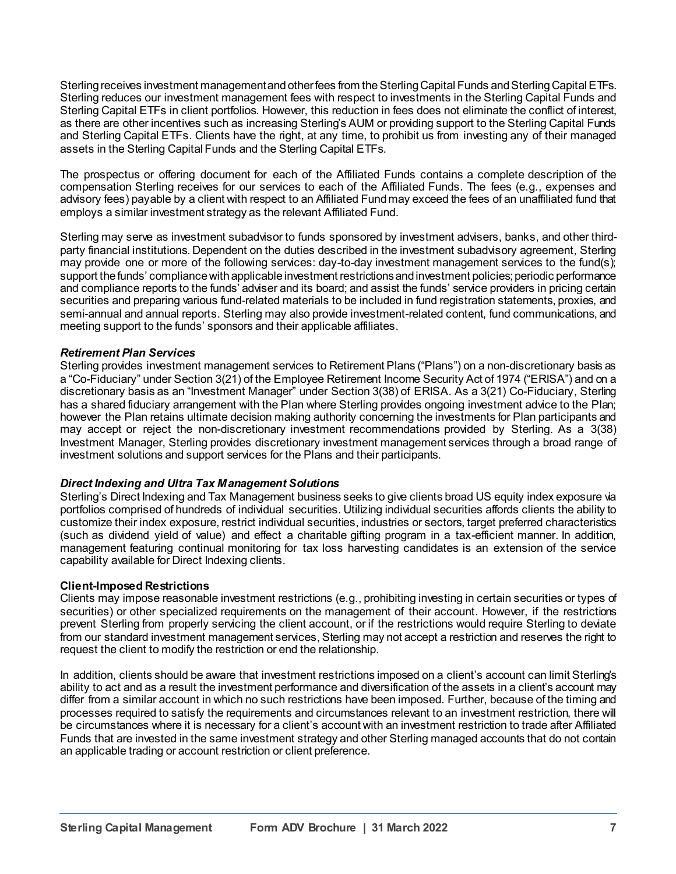Sterling receives investment management and other fees from the Sterling Capital Funds and Sterling Capital ETFs. Sterling reduces our investment management fees with respect to investments in the Sterling Capital Funds and Sterling Capital ETFs in client portfolios. However, this reduction in fees does not eliminate the conflict of interest, as there are other incentives such as increasing Sterling's AUM or providing support to the Sterling Capital Funds and Sterling Capital ETFs. Clients have the right, at any time, to prohibit us from investing any of their managed assets in the Sterling Capital Funds and the Sterling Capital ETFs.

The prospectus or offering document for each of the Affiliated Funds contains a complete description of the compensation Sterling receives for our services to each of the Affiliated Funds. The fees (e.g., expenses and advisory fees) payable by a client with respect to an Affiliated Fund may exceed the fees of an unaffiliated fund that employs a similar investment strategy as the relevant Affiliated Fund.

Sterling may serve as investment subadvisor to funds sponsored by investment advisers, banks, and other thirdparty financial institutions. Dependent on the duties described in the investment subadvisory agreement, Sterling may provide one or more of the following services: day-to-day investment management services to the fund(s); support the funds' compliance with applicable investment restrictions and investment policies; periodic performance and compliance reports to the funds' adviser and its board; and assist the funds' service providers in pricing certain securities and preparing various fund-related materials to be included in fund registration statements, proxies, and semi-annual and annual reports. Sterling may also provide investment-related content, fund communications, and meeting support to the funds' sponsors and their applicable affiliates.

## *Retirement Plan Services*

Sterling provides investment management services to Retirement Plans ("Plans") on a non-discretionary basis as a "Co-Fiduciary" under Section 3(21) of the Employee Retirement Income Security Act of 1974 ("ERISA") and on a discretionary basis as an "Investment Manager" under Section 3(38) of ERISA. As a 3(21) Co-Fiduciary, Sterling has a shared fiduciary arrangement with the Plan where Sterling provides ongoing investment advice to the Plan; however the Plan retains ultimate decision making authority concerning the investments for Plan participants and may accept or reject the non-discretionary investment recommendations provided by Sterling. As a 3(38) Investment Manager, Sterling provides discretionary investment management services through a broad range of investment solutions and support services for the Plans and their participants.

# *Direct Indexing and Ultra Tax Management Solutions*

Sterling's Direct Indexing and Tax Management business seeks to give clients broad US equity index exposure via portfolios comprised of hundreds of individual securities. Utilizing individual securities affords clients the ability to customize their index exposure, restrict individual securities, industries or sectors, target preferred characteristics (such as dividend yield of value) and effect a charitable gifting program in a tax-efficient manner. In addition, management featuring continual monitoring for tax loss harvesting candidates is an extension of the service capability available for Direct Indexing clients.

## **Client-Imposed Restrictions**

Clients may impose reasonable investment restrictions (e.g., prohibiting investing in certain securities or types of securities) or other specialized requirements on the management of their account. However, if the restrictions prevent Sterling from properly servicing the client account, or if the restrictions would require Sterling to deviate from our standard investment management services, Sterling may not accept a restriction and reserves the right to request the client to modify the restriction or end the relationship.

In addition, clients should be aware that investment restrictions imposed on a client's account can limit Sterling's ability to act and as a result the investment performance and diversification of the assets in a client's account may differ from a similar account in which no such restrictions have been imposed. Further, because of the timing and processes required to satisfy the requirements and circumstances relevant to an investment restriction, there will be circumstances where it is necessary for a client's account with an investment restriction to trade after Affiliated Funds that are invested in the same investment strategy and other Sterling managed accounts that do not contain an applicable trading or account restriction or client preference.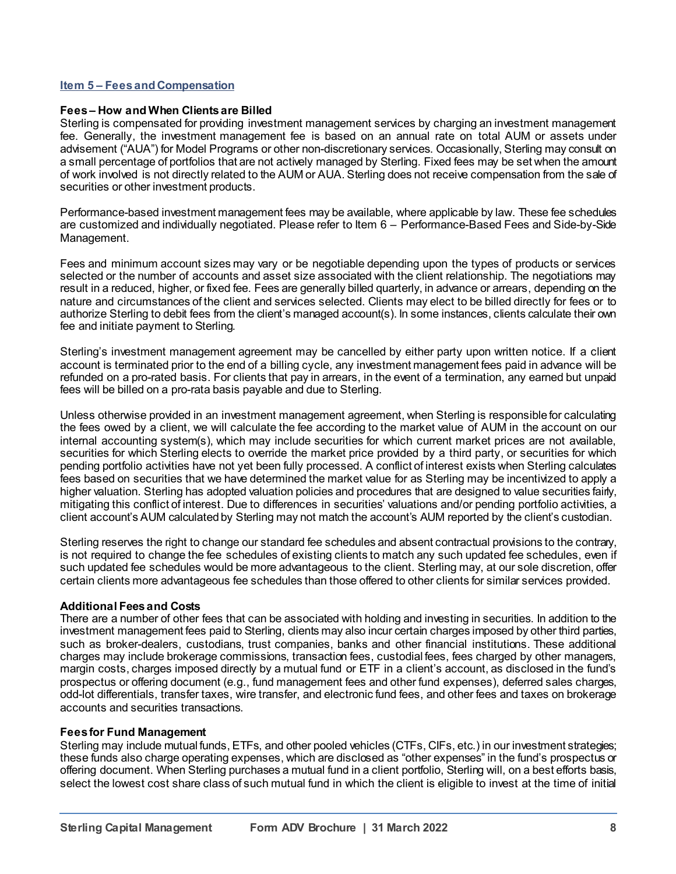#### **Item 5 – Fees and Compensation**

#### **Fees – How and When Clients are Billed**

Sterling is compensated for providing investment management services by charging an investment management fee. Generally, the investment management fee is based on an annual rate on total AUM or assets under advisement ("AUA") for Model Programs or other non-discretionary services. Occasionally, Sterling may consult on a small percentage of portfolios that are not actively managed by Sterling. Fixed fees may be set when the amount of work involved is not directly related to the AUM or AUA. Sterling does not receive compensation from the sale of securities or other investment products.

Performance-based investment management fees may be available, where applicable by law. These fee schedules are customized and individually negotiated. Please refer to Item 6 – Performance-Based Fees and Side-by-Side Management.

Fees and minimum account sizes may vary or be negotiable depending upon the types of products or services selected or the number of accounts and asset size associated with the client relationship. The negotiations may result in a reduced, higher, or fixed fee. Fees are generally billed quarterly, in advance or arrears, depending on the nature and circumstances of the client and services selected. Clients may elect to be billed directly for fees or to authorize Sterling to debit fees from the client's managed account(s). In some instances, clients calculate their own fee and initiate payment to Sterling.

Sterling's investment management agreement may be cancelled by either party upon written notice. If a client account is terminated prior to the end of a billing cycle, any investment management fees paid in advance will be refunded on a pro-rated basis. For clients that pay in arrears, in the event of a termination, any earned but unpaid fees will be billed on a pro-rata basis payable and due to Sterling.

Unless otherwise provided in an investment management agreement, when Sterling is responsible for calculating the fees owed by a client, we will calculate the fee according to the market value of AUM in the account on our internal accounting system(s), which may include securities for which current market prices are not available, securities for which Sterling elects to override the market price provided by a third party, or securities for which pending portfolio activities have not yet been fully processed. A conflict of interest exists when Sterling calculates fees based on securities that we have determined the market value for as Sterling may be incentivized to apply a higher valuation. Sterling has adopted valuation policies and procedures that are designed to value securities fairly, mitigating this conflict of interest. Due to differences in securities' valuations and/or pending portfolio activities, a client account's AUM calculated by Sterling may not match the account's AUM reported by the client's custodian.

Sterling reserves the right to change our standard fee schedules and absent contractual provisions to the contrary, is not required to change the fee schedules of existing clients to match any such updated fee schedules, even if such updated fee schedules would be more advantageous to the client. Sterling may, at our sole discretion, offer certain clients more advantageous fee schedules than those offered to other clients for similar services provided.

#### **Additional Fees and Costs**

There are a number of other fees that can be associated with holding and investing in securities. In addition to the investment management fees paid to Sterling, clients may also incur certain charges imposed by other third parties, such as broker-dealers, custodians, trust companies, banks and other financial institutions. These additional charges may include brokerage commissions, transaction fees, custodial fees, fees charged by other managers, margin costs, charges imposed directly by a mutual fund or ETF in a client's account, as disclosed in the fund's prospectus or offering document (e.g., fund management fees and other fund expenses), deferred sales charges, odd-lot differentials, transfer taxes, wire transfer, and electronic fund fees, and other fees and taxes on brokerage accounts and securities transactions.

#### **Fees for Fund Management**

Sterling may include mutual funds, ETFs, and other pooled vehicles (CTFs, CIFs, etc.) in our investment strategies; these funds also charge operating expenses, which are disclosed as "other expenses" in the fund's prospectus or offering document. When Sterling purchases a mutual fund in a client portfolio, Sterling will, on a best efforts basis, select the lowest cost share class of such mutual fund in which the client is eligible to invest at the time of initial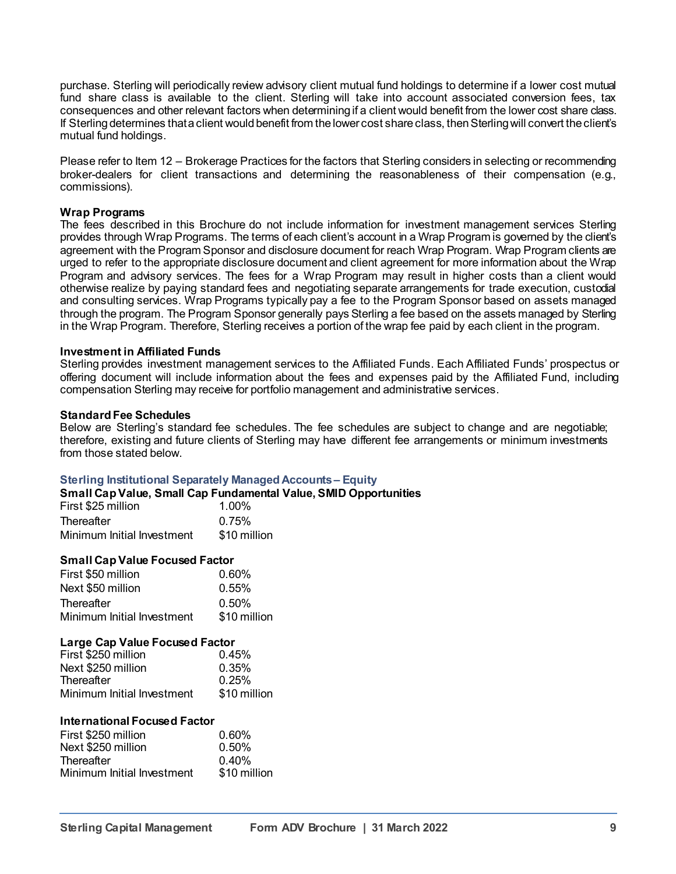purchase. Sterling will periodically review advisory client mutual fund holdings to determine if a lower cost mutual fund share class is available to the client. Sterling will take into account associated conversion fees, tax consequences and other relevant factors when determining if a client would benefit from the lower cost share class. If Sterling determines that a client would benefit from the lower cost share class, then Sterling will convert the client's mutual fund holdings.

Please refer to Item 12 – Brokerage Practices for the factors that Sterling considers in selecting or recommending broker-dealers for client transactions and determining the reasonableness of their compensation (e.g., commissions).

#### **Wrap Programs**

The fees described in this Brochure do not include information for investment management services Sterling provides through Wrap Programs. The terms of each client's account in a Wrap Program is governed by the client's agreement with the Program Sponsor and disclosure document for reach Wrap Program. Wrap Program clients are urged to refer to the appropriate disclosure document and client agreement for more information about the Wrap Program and advisory services. The fees for a Wrap Program may result in higher costs than a client would otherwise realize by paying standard fees and negotiating separate arrangements for trade execution, custodial and consulting services. Wrap Programs typically pay a fee to the Program Sponsor based on assets managed through the program. The Program Sponsor generally pays Sterling a fee based on the assets managed by Sterling in the Wrap Program. Therefore, Sterling receives a portion of the wrap fee paid by each client in the program.

#### **Investment in Affiliated Funds**

Sterling provides investment management services to the Affiliated Funds. Each Affiliated Funds' prospectus or offering document will include information about the fees and expenses paid by the Affiliated Fund, including compensation Sterling may receive for portfolio management and administrative services.

#### **Standard Fee Schedules**

Below are Sterling's standard fee schedules. The fee schedules are subject to change and are negotiable; therefore, existing and future clients of Sterling may have different fee arrangements or minimum investments from those stated below.

#### **Sterling Institutional Separately Managed Accounts – Equity**

#### **Small Cap Value, Small Cap Fundamental Value, SMID Opportunities**

| First \$25 million         | $1.00\%$     |
|----------------------------|--------------|
| Thereafter                 | 0.75%        |
| Minimum Initial Investment | \$10 million |

#### **Small Cap Value Focused Factor**

| First \$50 million         | 0.60%        |
|----------------------------|--------------|
| Next \$50 million          | $0.55\%$     |
| Thereafter                 | 0.50%        |
| Minimum Initial Investment | \$10 million |

#### **Large Cap Value Focused Factor**

| First \$250 million        | 0.45%        |
|----------------------------|--------------|
| Next \$250 million         | 0.35%        |
| Thereafter                 | 0.25%        |
| Minimum Initial Investment | \$10 million |

#### **International Focused Factor**

| First \$250 million        | $0.60\%$     |
|----------------------------|--------------|
| Next \$250 million         | 0.50%        |
| Thereafter                 | 0.40%        |
| Minimum Initial Investment | \$10 million |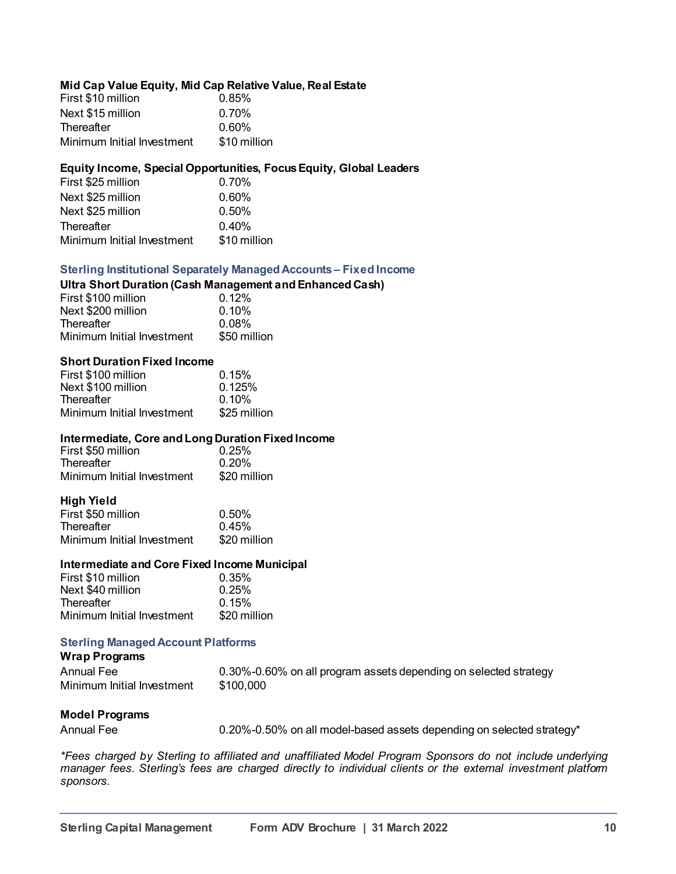#### **Mid Cap Value Equity, Mid Cap Relative Value, Real Estate**

| First \$10 million         | 0.85%        |
|----------------------------|--------------|
| Next \$15 million          | $0.70\%$     |
| Thereafter                 | $0.60\%$     |
| Minimum Initial Investment | \$10 million |

#### **Equity Income, Special Opportunities, FocusEquity, Global Leaders**

| First \$25 million         | 0.70%        |
|----------------------------|--------------|
| Next \$25 million          | $0.60\%$     |
| Next \$25 million          | $0.50\%$     |
| Thereafter                 | 0.40%        |
| Minimum Initial Investment | \$10 million |
|                            |              |

#### **Sterling Institutional Separately Managed Accounts – Fixed Income**

# **Ultra Short Duration (Cash Management and Enhanced Cash)**

| First \$100 million        | 0.12%        |
|----------------------------|--------------|
| Next \$200 million         | $0.10\%$     |
| Thereafter                 | $0.08\%$     |
| Minimum Initial Investment | \$50 million |

#### **Short Duration Fixed Income**

| 0.15%        |
|--------------|
| 0.125%       |
| $0.10\%$     |
| \$25 million |
|              |

#### **Intermediate, Core and Long Duration Fixed Income**

| First \$50 million         | 0.25%        |
|----------------------------|--------------|
| Thereafter                 | 0.20%        |
| Minimum Initial Investment | \$20 million |

#### **High Yield**

| First \$50 million         | 0.50%        |
|----------------------------|--------------|
| Thereafter                 | 0.45%        |
| Minimum Initial Investment | \$20 million |

#### **Intermediate and Core Fixed Income Municipal**

| First \$10 million         | 0.35%        |
|----------------------------|--------------|
| Next \$40 million          | 0.25%        |
| Thereafter                 | 0.15%        |
| Minimum Initial Investment | \$20 million |

## **Sterling Managed Account Platforms**

| <b>Wrap Programs</b>       |                                                                  |
|----------------------------|------------------------------------------------------------------|
| Annual Fee                 | 0.30%-0.60% on all program assets depending on selected strategy |
| Minimum Initial Investment | \$100.000                                                        |

#### **Model Programs**

Annual Fee **1.20%-0.50% on all model-based assets depending on selected strategy**\*

*\*Fees charged by Sterling to affiliated and unaffiliated Model Program Sponsors do not include underlying manager fees. Sterling's fees are charged directly to individual clients or the external investment platform sponsors.*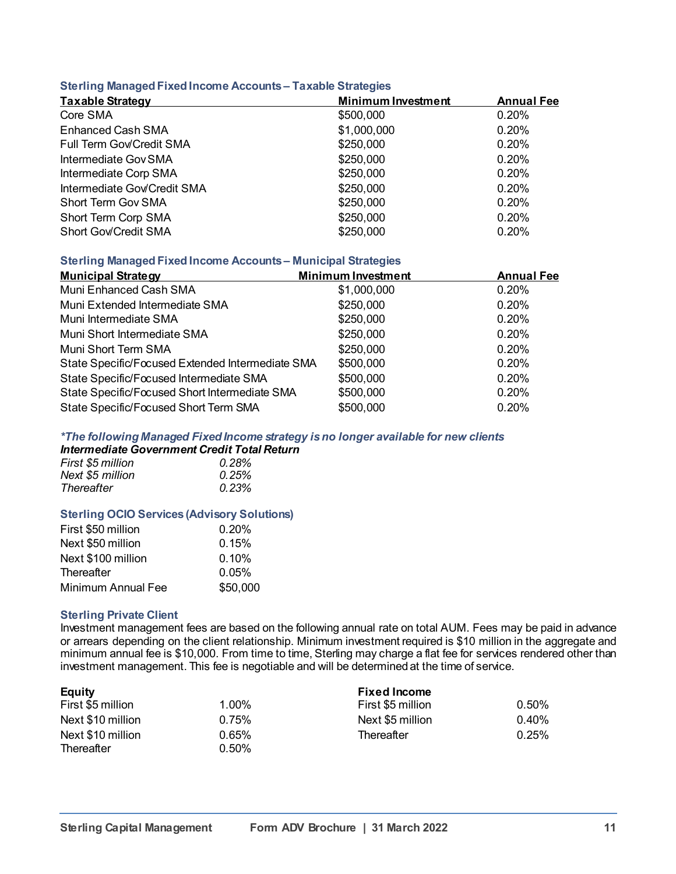#### **Sterling Managed Fixed Income Accounts – Taxable Strategies**

| <b>Taxable Strategy</b>     | <b>Minimum Investment</b> | <b>Annual Fee</b> |  |
|-----------------------------|---------------------------|-------------------|--|
| Core SMA                    | \$500,000                 | 0.20%             |  |
| <b>Enhanced Cash SMA</b>    | \$1,000,000               | 0.20%             |  |
| Full Term Gov/Credit SMA    | \$250,000                 | 0.20%             |  |
| Intermediate Gov SMA        | \$250,000                 | 0.20%             |  |
| Intermediate Corp SMA       | \$250,000                 | 0.20%             |  |
| Intermediate Gov/Credit SMA | \$250,000                 | 0.20%             |  |
| <b>Short Term Gov SMA</b>   | \$250,000                 | 0.20%             |  |
| Short Term Corp SMA         | \$250,000                 | 0.20%             |  |
| Short Gov/Credit SMA        | \$250,000                 | 0.20%             |  |

## **Sterling Managed Fixed Income Accounts – Municipal Strategies**

| <b>Municipal Strategy</b>                        | <b>Minimum Investment</b> | <b>Annual Fee</b> |
|--------------------------------------------------|---------------------------|-------------------|
| Muni Enhanced Cash SMA                           | \$1,000,000               | 0.20%             |
| Muni Extended Intermediate SMA                   | \$250,000                 | 0.20%             |
| Muni Intermediate SMA                            | \$250,000                 | 0.20%             |
| Muni Short Intermediate SMA                      | \$250,000                 | 0.20%             |
| Muni Short Term SMA                              | \$250,000                 | 0.20%             |
| State Specific/Focused Extended Intermediate SMA | \$500,000                 | 0.20%             |
| State Specific/Focused Intermediate SMA          | \$500,000                 | 0.20%             |
| State Specific/Focused Short Intermediate SMA    | \$500,000                 | 0.20%             |
| State Specific/Focused Short Term SMA            | \$500,000                 | 0.20%             |

#### *\*The following Managed Fixed Income strategy is no longer available for new clients*

# *Intermediate Government Credit Total Return*

| First \$5 million | 0.28% |
|-------------------|-------|
| Next \$5 million  | 0.25% |
| Thereafter        | 0.23% |

#### **Sterling OCIO Services (Advisory Solutions)**

| First \$50 million | 0.20%    |
|--------------------|----------|
| Next \$50 million  | 0.15%    |
| Next \$100 million | $0.10\%$ |
| Thereafter         | 0.05%    |
| Minimum Annual Fee | \$50,000 |

#### **Sterling Private Client**

Investment management fees are based on the following annual rate on total AUM. Fees may be paid in advance or arrears depending on the client relationship. Minimum investment required is \$10 million in the aggregate and minimum annual fee is \$10,000. From time to time, Sterling may charge a flat fee for services rendered other than investment management. This fee is negotiable and will be determined at the time of service.

| <b>Equity</b>     |       | <b>Fixed Income</b> |       |
|-------------------|-------|---------------------|-------|
| First \$5 million | 1.00% | First \$5 million   | 0.50% |
| Next \$10 million | 0.75% | Next \$5 million    | 0.40% |
| Next \$10 million | 0.65% | Thereafter          | 0.25% |
| Thereafter        | 0.50% |                     |       |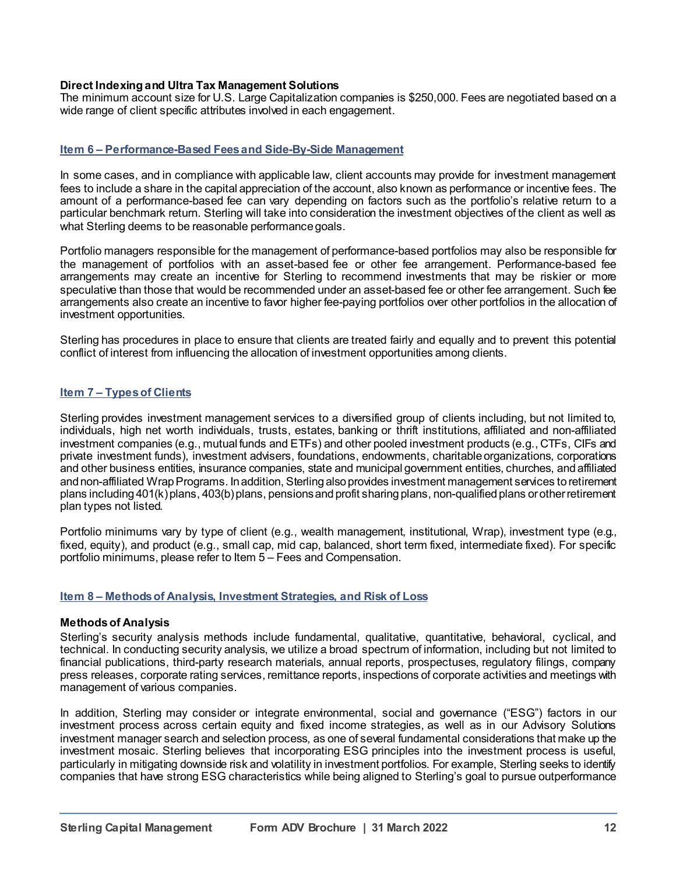## **Direct Indexing and Ultra Tax Management Solutions**

The minimum account size for U.S. Large Capitalization companies is \$250,000. Fees are negotiated based on a wide range of client specific attributes involved in each engagement.

#### **Item 6 – Performance-Based Fees and Side-By-Side Management**

In some cases, and in compliance with applicable law, client accounts may provide for investment management fees to include a share in the capital appreciation of the account, also known as performance or incentive fees. The amount of a performance-based fee can vary depending on factors such as the portfolio's relative return to a particular benchmark return. Sterling will take into consideration the investment objectives of the client as well as what Sterling deems to be reasonable performance goals.

Portfolio managers responsible for the management of performance-based portfolios may also be responsible for the management of portfolios with an asset-based fee or other fee arrangement. Performance-based fee arrangements may create an incentive for Sterling to recommend investments that may be riskier or more speculative than those that would be recommended under an asset-based fee or other fee arrangement. Such fee arrangements also create an incentive to favor higher fee-paying portfolios over other portfolios in the allocation of investment opportunities.

Sterling has procedures in place to ensure that clients are treated fairly and equally and to prevent this potential conflict of interest from influencing the allocation of investment opportunities among clients.

#### **Item 7 – Types of Clients**

Sterling provides investment management services to a diversified group of clients including, but not limited to, individuals, high net worth individuals, trusts, estates, banking or thrift institutions, affiliated and non-affiliated investment companies (e.g., mutual funds and ETFs) and other pooled investment products (e.g., CTFs, CIFs and private investment funds), investment advisers, foundations, endowments, charitable organizations, corporations and other business entities, insurance companies, state and municipal government entities, churches, and affiliated and non-affiliated Wrap Programs. In addition, Sterling also provides investment management services to retirement plans including 401(k) plans, 403(b) plans, pensions and profit sharing plans, non-qualified plans or other retirement plan types not listed.

Portfolio minimums vary by type of client (e.g., wealth management, institutional, Wrap), investment type (e.g., fixed, equity), and product (e.g., small cap, mid cap, balanced, short term fixed, intermediate fixed). For specific portfolio minimums, please refer to Item 5 – Fees and Compensation.

#### **Item 8 – Methods of Analysis, Investment Strategies, and Risk of Loss**

#### **Methods of Analysis**

Sterling's security analysis methods include fundamental, qualitative, quantitative, behavioral, cyclical, and technical. In conducting security analysis, we utilize a broad spectrum of information, including but not limited to financial publications, third-party research materials, annual reports, prospectuses, regulatory filings, company press releases, corporate rating services, remittance reports, inspections of corporate activities and meetings with management of various companies.

In addition, Sterling may consider or integrate environmental, social and governance ("ESG") factors in our investment process across certain equity and fixed income strategies, as well as in our Advisory Solutions investment manager search and selection process, as one of several fundamental considerations that make up the investment mosaic. Sterling believes that incorporating ESG principles into the investment process is useful, particularly in mitigating downside risk and volatility in investment portfolios. For example, Sterling seeks to identify companies that have strong ESG characteristics while being aligned to Sterling's goal to pursue outperformance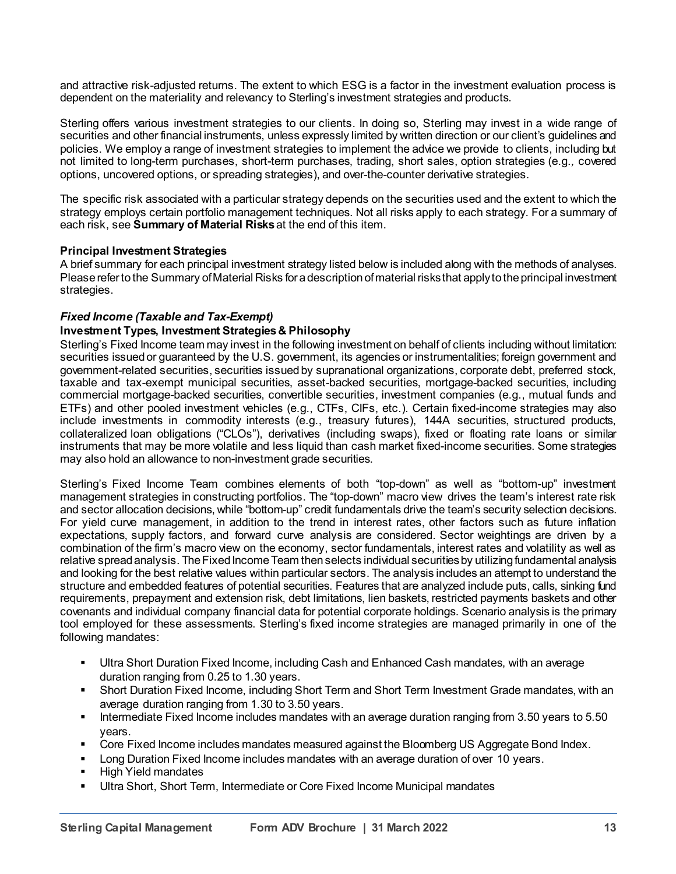and attractive risk-adjusted returns. The extent to which ESG is a factor in the investment evaluation process is dependent on the materiality and relevancy to Sterling's investment strategies and products.

Sterling offers various investment strategies to our clients. In doing so, Sterling may invest in a wide range of securities and other financial instruments, unless expressly limited by written direction or our client's guidelines and policies. We employ a range of investment strategies to implement the advice we provide to clients, including but not limited to long-term purchases, short-term purchases, trading, short sales, option strategies (e.g.*,* covered options, uncovered options, or spreading strategies), and over-the-counter derivative strategies.

The specific risk associated with a particular strategy depends on the securities used and the extent to which the strategy employs certain portfolio management techniques. Not all risks apply to each strategy. For a summary of each risk, see **Summary of Material Risks**at the end of this item.

## **Principal Investment Strategies**

A brief summary for each principal investment strategy listed below is included along with the methods of analyses. Please refer to the Summary of Material Risks for a description of material risks that apply to the principal investment strategies.

## *Fixed Income (Taxable and Tax-Exempt)*

## **Investment Types, Investment Strategies & Philosophy**

Sterling's Fixed Income team may invest in the following investment on behalf of clients including without limitation: securities issued or guaranteed by the U.S. government, its agencies or instrumentalities; foreign government and government-related securities, securities issued by supranational organizations, corporate debt, preferred stock, taxable and tax-exempt municipal securities, asset-backed securities, mortgage-backed securities, including commercial mortgage-backed securities, convertible securities, investment companies (e.g., mutual funds and ETFs) and other pooled investment vehicles (e.g., CTFs, CIFs, etc.). Certain fixed-income strategies may also include investments in commodity interests (e.g., treasury futures), 144A securities, structured products, collateralized loan obligations ("CLOs"), derivatives (including swaps), fixed or floating rate loans or similar instruments that may be more volatile and less liquid than cash market fixed-income securities. Some strategies may also hold an allowance to non-investment grade securities.

Sterling's Fixed Income Team combines elements of both "top-down" as well as "bottom-up" investment management strategies in constructing portfolios. The "top-down" macro view drives the team's interest rate risk and sector allocation decisions, while "bottom-up" credit fundamentals drive the team's security selection decisions. For yield curve management, in addition to the trend in interest rates, other factors such as future inflation expectations, supply factors, and forward curve analysis are considered. Sector weightings are driven by a combination of the firm's macro view on the economy, sector fundamentals, interest rates and volatility as well as relative spread analysis. The Fixed Income Team then selects individual securities by utilizing fundamental analysis and looking for the best relative values within particular sectors. The analysis includes an attempt to understand the structure and embedded features of potential securities. Features that are analyzed include puts, calls, sinking fund requirements, prepayment and extension risk, debt limitations, lien baskets, restricted payments baskets and other covenants and individual company financial data for potential corporate holdings. Scenario analysis is the primary tool employed for these assessments. Sterling's fixed income strategies are managed primarily in one of the following mandates:

- Ultra Short Duration Fixed Income, including Cash and Enhanced Cash mandates, with an average duration ranging from 0.25 to 1.30 years.
- Short Duration Fixed Income, including Short Term and Short Term Investment Grade mandates, with an average duration ranging from 1.30 to 3.50 years.
- Intermediate Fixed Income includes mandates with an average duration ranging from 3.50 years to 5.50 years.
- Core Fixed Income includes mandates measured against the Bloomberg US Aggregate Bond Index.
- Long Duration Fixed Income includes mandates with an average duration of over 10 years.
- High Yield mandates
- Ultra Short, Short Term, Intermediate or Core Fixed Income Municipal mandates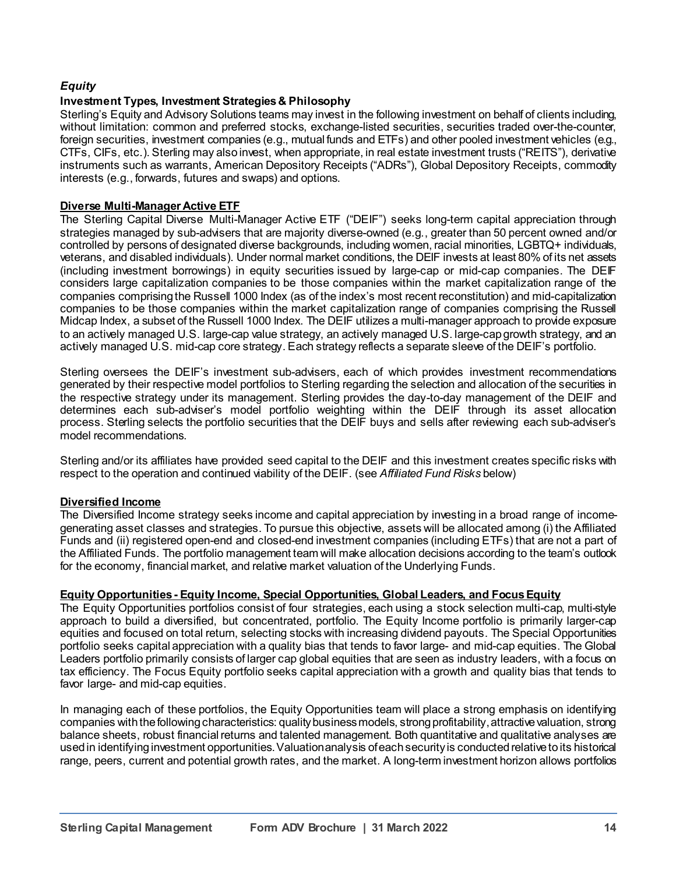## *Equity*

## **Investment Types, Investment Strategies & Philosophy**

Sterling's Equity and Advisory Solutions teams may invest in the following investment on behalf of clients including, without limitation: common and preferred stocks, exchange-listed securities, securities traded over-the-counter, foreign securities, investment companies (e.g., mutual funds and ETFs) and other pooled investment vehicles (e.g., CTFs, CIFs, etc.). Sterling may also invest, when appropriate, in real estate investment trusts ("REITS"), derivative instruments such as warrants, American Depository Receipts ("ADRs"), Global Depository Receipts, commodity interests (e.g., forwards, futures and swaps) and options.

## **Diverse Multi-Manager Active ETF**

The Sterling Capital Diverse Multi-Manager Active ETF ("DEIF") seeks long-term capital appreciation through strategies managed by sub-advisers that are majority diverse-owned (e.g*.*, greater than 50 percent owned and/or controlled by persons of designated diverse backgrounds, including women, racial minorities, LGBTQ+ individuals, veterans, and disabled individuals). Under normal market conditions, the DEIF invests at least 80% of its net assets (including investment borrowings) in equity securities issued by large-cap or mid-cap companies. The DEIF considers large capitalization companies to be those companies within the market capitalization range of the companies comprising the Russell 1000 Index (as of the index's most recent reconstitution) and mid-capitalization companies to be those companies within the market capitalization range of companies comprising the Russell Midcap Index, a subset of the Russell 1000 Index. The DEIF utilizes a multi-manager approach to provide exposure to an actively managed U.S. large-cap value strategy, an actively managed U.S. large-cap growth strategy, and an actively managed U.S. mid-cap core strategy. Each strategy reflects a separate sleeve of the DEIF's portfolio.

Sterling oversees the DEIF's investment sub-advisers, each of which provides investment recommendations generated by their respective model portfolios to Sterling regarding the selection and allocation of the securities in the respective strategy under its management. Sterling provides the day-to-day management of the DEIF and determines each sub-adviser's model portfolio weighting within the DEIF through its asset allocation process. Sterling selects the portfolio securities that the DEIF buys and sells after reviewing each sub-adviser's model recommendations.

Sterling and/or its affiliates have provided seed capital to the DEIF and this investment creates specific risks with respect to the operation and continued viability of the DEIF. (see *Affiliated Fund Risks* below)

## **Diversified Income**

The Diversified Income strategy seeks income and capital appreciation by investing in a broad range of incomegenerating asset classes and strategies. To pursue this objective, assets will be allocated among (i) the Affiliated Funds and (ii) registered open-end and closed-end investment companies (including ETFs) that are not a part of the Affiliated Funds. The portfolio management team will make allocation decisions according to the team's outlook for the economy, financial market, and relative market valuation of the Underlying Funds.

## **Equity Opportunities - Equity Income, Special Opportunities, Global Leaders, and Focus Equity**

The Equity Opportunities portfolios consist of four strategies, each using a stock selection multi-cap, multi-style approach to build a diversified, but concentrated, portfolio. The Equity Income portfolio is primarily larger-cap equities and focused on total return, selecting stocks with increasing dividend payouts. The Special Opportunities portfolio seeks capital appreciation with a quality bias that tends to favor large- and mid-cap equities. The Global Leaders portfolio primarily consists of larger cap global equities that are seen as industry leaders, with a focus on tax efficiency. The Focus Equity portfolio seeks capital appreciation with a growth and quality bias that tends to favor large- and mid-cap equities.

In managing each of these portfolios, the Equity Opportunities team will place a strong emphasis on identifying companies with the following characteristics: quality business models, strong profitability, attractive valuation, strong balance sheets, robust financial returns and talented management. Both quantitative and qualitative analyses are used in identifying investment opportunities. Valuation analysis of each security is conducted relative to its historical range, peers, current and potential growth rates, and the market. A long-term investment horizon allows portfolios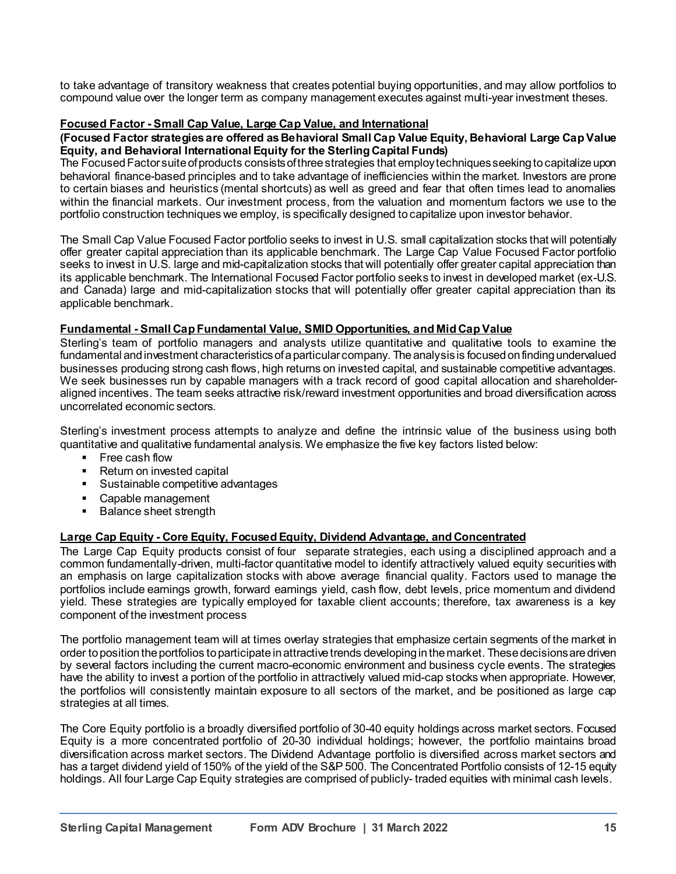to take advantage of transitory weakness that creates potential buying opportunities, and may allow portfolios to compound value over the longer term as company management executes against multi-year investment theses.

## **Focused Factor - Small Cap Value, Large Cap Value, and International**

#### **(Focused Factor strategies are offered as Behavioral Small Cap Value Equity, Behavioral Large Cap Value Equity, and Behavioral International Equity for the Sterling Capital Funds)**

The Focused Factor suite of products consists of three strategies that employ techniques seeking to capitalize upon behavioral finance-based principles and to take advantage of inefficiencies within the market. Investors are prone to certain biases and heuristics (mental shortcuts) as well as greed and fear that often times lead to anomalies within the financial markets. Our investment process, from the valuation and momentum factors we use to the portfolio construction techniques we employ, is specifically designed to capitalize upon investor behavior.

The Small Cap Value Focused Factor portfolio seeks to invest in U.S. small capitalization stocks that will potentially offer greater capital appreciation than its applicable benchmark. The Large Cap Value Focused Factor portfolio seeks to invest in U.S. large and mid-capitalization stocks that will potentially offer greater capital appreciation than its applicable benchmark. The International Focused Factor portfolio seeks to invest in developed market (ex-U.S. and Canada) large and mid-capitalization stocks that will potentially offer greater capital appreciation than its applicable benchmark.

## **Fundamental - Small Cap Fundamental Value, SMID Opportunities, and Mid Cap Value**

Sterling's team of portfolio managers and analysts utilize quantitative and qualitative tools to examine the fundamental and investment characteristics of a particular company. The analysis is focused on finding undervalued businesses producing strong cash flows, high returns on invested capital, and sustainable competitive advantages. We seek businesses run by capable managers with a track record of good capital allocation and shareholderaligned incentives. The team seeks attractive risk/reward investment opportunities and broad diversification across uncorrelated economic sectors.

Sterling's investment process attempts to analyze and define the intrinsic value of the business using both quantitative and qualitative fundamental analysis. We emphasize the five key factors listed below:

- Free cash flow
- Return on invested capital
- Sustainable competitive advantages
- Capable management
- Balance sheet strength

## **Large Cap Equity - Core Equity, Focused Equity, Dividend Advantage, and Concentrated**

The Large Cap Equity products consist of four separate strategies, each using a disciplined approach and a common fundamentally-driven, multi-factor quantitative model to identify attractively valued equity securities with an emphasis on large capitalization stocks with above average financial quality. Factors used to manage the portfolios include earnings growth, forward earnings yield, cash flow, debt levels, price momentum and dividend yield. These strategies are typically employed for taxable client accounts; therefore, tax awareness is a key component of the investment process

The portfolio management team will at times overlay strategies that emphasize certain segments of the market in order to position the portfolios to participate in attractive trends developing in the market. These decisions are driven by several factors including the current macro-economic environment and business cycle events. The strategies have the ability to invest a portion of the portfolio in attractively valued mid-cap stocks when appropriate. However, the portfolios will consistently maintain exposure to all sectors of the market, and be positioned as large cap strategies at all times.

The Core Equity portfolio is a broadly diversified portfolio of 30-40 equity holdings across market sectors. Focused Equity is a more concentrated portfolio of 20-30 individual holdings; however, the portfolio maintains broad diversification across market sectors. The Dividend Advantage portfolio is diversified across market sectors and has a target dividend yield of 150% of the yield of the S&P 500. The Concentrated Portfolio consists of 12-15 equity holdings. All four Large Cap Equity strategies are comprised of publicly- traded equities with minimal cash levels.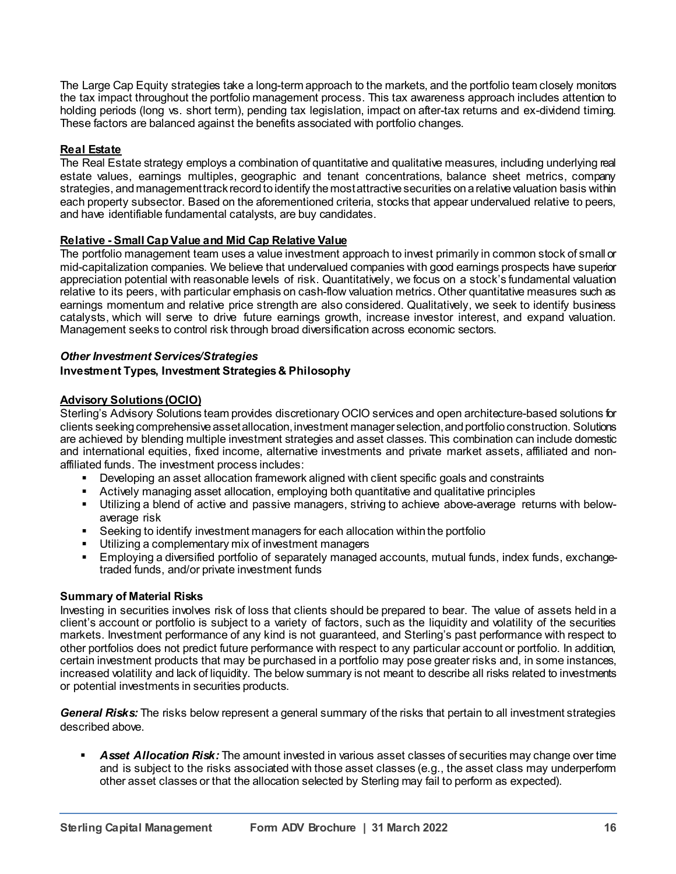The Large Cap Equity strategies take a long-term approach to the markets, and the portfolio team closely monitors the tax impact throughout the portfolio management process. This tax awareness approach includes attention to holding periods (long vs. short term), pending tax legislation, impact on after-tax returns and ex-dividend timing. These factors are balanced against the benefits associated with portfolio changes.

## **Real Estate**

The Real Estate strategy employs a combination of quantitative and qualitative measures, including underlying real estate values, earnings multiples, geographic and tenant concentrations, balance sheet metrics, company strategies, and management track record to identify the most attractive securities on a relative valuation basis within each property subsector. Based on the aforementioned criteria, stocks that appear undervalued relative to peers, and have identifiable fundamental catalysts, are buy candidates.

## **Relative - Small Cap Value and Mid Cap Relative Value**

The portfolio management team uses a value investment approach to invest primarily in common stock of small or mid-capitalization companies. We believe that undervalued companies with good earnings prospects have superior appreciation potential with reasonable levels of risk. Quantitatively, we focus on a stock's fundamental valuation relative to its peers, with particular emphasis on cash-flow valuation metrics. Other quantitative measures such as earnings momentum and relative price strength are also considered. Qualitatively, we seek to identify business catalysts, which will serve to drive future earnings growth, increase investor interest, and expand valuation. Management seeks to control risk through broad diversification across economic sectors.

## *Other Investment Services/Strategies*

## **Investment Types, Investment Strategies & Philosophy**

## **Advisory Solutions (OCIO)**

Sterling's Advisory Solutions team provides discretionary OCIO services and open architecture-based solutions for clients seeking comprehensive asset allocation, investment manager selection, and portfolio construction. Solutions are achieved by blending multiple investment strategies and asset classes. This combination can include domestic and international equities, fixed income, alternative investments and private market assets, affiliated and nonaffiliated funds. The investment process includes:

- Developing an asset allocation framework aligned with client specific goals and constraints
- Actively managing asset allocation, employing both quantitative and qualitative principles
- Utilizing a blend of active and passive managers, striving to achieve above-average returns with belowaverage risk
- Seeking to identify investment managers for each allocation within the portfolio
- Utilizing a complementary mix of investment managers
- Employing a diversified portfolio of separately managed accounts, mutual funds, index funds, exchangetraded funds, and/or private investment funds

## **Summary of Material Risks**

Investing in securities involves risk of loss that clients should be prepared to bear. The value of assets held in a client's account or portfolio is subject to a variety of factors, such as the liquidity and volatility of the securities markets. Investment performance of any kind is not guaranteed, and Sterling's past performance with respect to other portfolios does not predict future performance with respect to any particular account or portfolio. In addition, certain investment products that may be purchased in a portfolio may pose greater risks and, in some instances, increased volatility and lack of liquidity. The below summary is not meant to describe all risks related to investments or potential investments in securities products.

*General Risks:* The risks below represent a general summary of the risks that pertain to all investment strategies described above.

 *Asset Allocation Risk:* The amount invested in various asset classes of securities may change over time and is subject to the risks associated with those asset classes (e.g., the asset class may underperform other asset classes or that the allocation selected by Sterling may fail to perform as expected).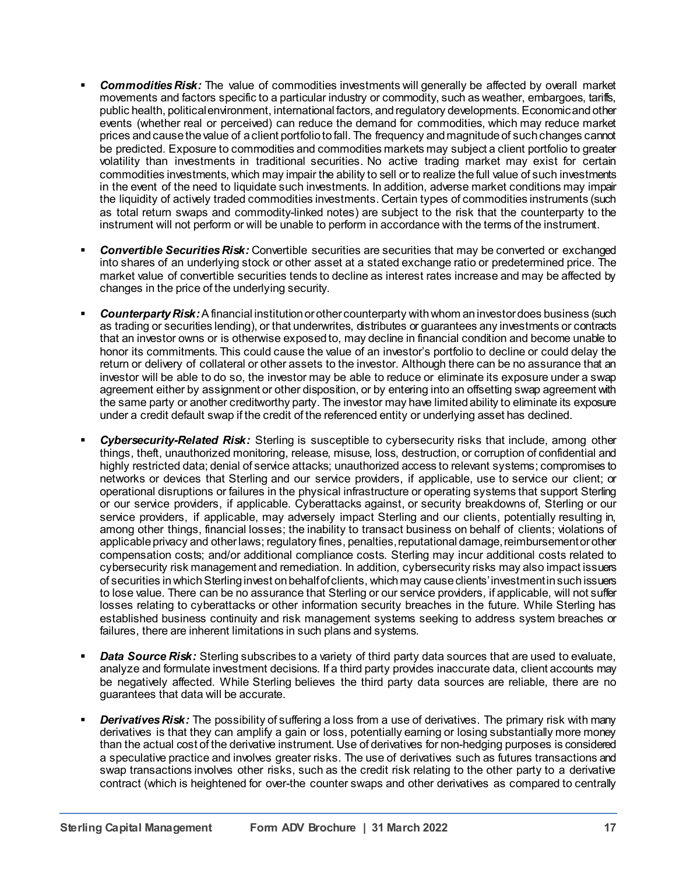- *Commodities Risk:* The value of commodities investments will generally be affected by overall market movements and factors specific to a particular industry or commodity, such as weather, embargoes, tariffs, public health, politicalenvironment, international factors, and regulatory developments. Economic and other events (whether real or perceived) can reduce the demand for commodities, which may reduce market prices and cause the value of a client portfolio to fall. The frequency and magnitude of such changes cannot be predicted. Exposure to commodities and commodities markets may subject a client portfolio to greater volatility than investments in traditional securities. No active trading market may exist for certain commodities investments, which may impair the ability to sell or to realize the full value of such investments in the event of the need to liquidate such investments. In addition, adverse market conditions may impair the liquidity of actively traded commodities investments. Certain types of commodities instruments (such as total return swaps and commodity-linked notes) are subject to the risk that the counterparty to the instrument will not perform or will be unable to perform in accordance with the terms of the instrument.
- **Convertible Securities Risk:** Convertible securities are securities that may be converted or exchanged into shares of an underlying stock or other asset at a stated exchange ratio or predetermined price. The market value of convertible securities tends to decline as interest rates increase and may be affected by changes in the price of the underlying security.
- *Counterparty Risk:*A financial institution or other counterparty with whom an investor does business (such as trading or securities lending), or that underwrites, distributes or guarantees any investments or contracts that an investor owns or is otherwise exposed to, may decline in financial condition and become unable to honor its commitments. This could cause the value of an investor's portfolio to decline or could delay the return or delivery of collateral or other assets to the investor. Although there can be no assurance that an investor will be able to do so, the investor may be able to reduce or eliminate its exposure under a swap agreement either by assignment or other disposition, or by entering into an offsetting swap agreement with the same party or another creditworthy party. The investor may have limited ability to eliminate its exposure under a credit default swap if the credit of the referenced entity or underlying asset has declined.
- *Cybersecurity-Related Risk:* Sterling is susceptible to cybersecurity risks that include, among other things, theft, unauthorized monitoring, release, misuse, loss, destruction, or corruption of confidential and highly restricted data; denial of service attacks; unauthorized access to relevant systems; compromises to networks or devices that Sterling and our service providers, if applicable, use to service our client; or operational disruptions or failures in the physical infrastructure or operating systems that support Sterling or our service providers, if applicable. Cyberattacks against, or security breakdowns of, Sterling or our service providers, if applicable, may adversely impact Sterling and our clients, potentially resulting in, among other things, financial losses; the inability to transact business on behalf of clients; violations of applicable privacy and other laws; regulatory fines, penalties, reputational damage, reimbursement or other compensation costs; and/or additional compliance costs. Sterling may incur additional costs related to cybersecurity risk management and remediation. In addition, cybersecurity risks may also impact issuers of securities in which Sterling invest on behalf of clients, which may cause clients' investment in such issuers to lose value. There can be no assurance that Sterling or our service providers, if applicable, will not suffer losses relating to cyberattacks or other information security breaches in the future. While Sterling has established business continuity and risk management systems seeking to address system breaches or failures, there are inherent limitations in such plans and systems.
- *Data Source Risk:* Sterling subscribes to a variety of third party data sources that are used to evaluate, analyze and formulate investment decisions. If a third party provides inaccurate data, client accounts may be negatively affected. While Sterling believes the third party data sources are reliable, there are no guarantees that data will be accurate.
- **Derivatives Risk:** The possibility of suffering a loss from a use of derivatives. The primary risk with many derivatives is that they can amplify a gain or loss, potentially earning or losing substantially more money than the actual cost of the derivative instrument. Use of derivatives for non-hedging purposes is considered a speculative practice and involves greater risks. The use of derivatives such as futures transactions and swap transactions involves other risks, such as the credit risk relating to the other party to a derivative contract (which is heightened for over-the counter swaps and other derivatives as compared to centrally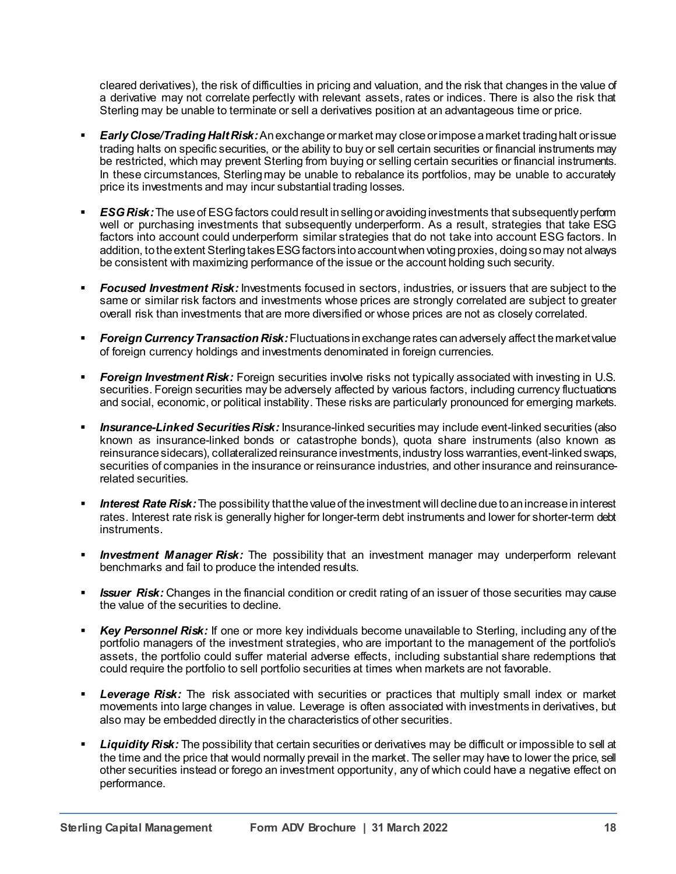cleared derivatives), the risk of difficulties in pricing and valuation, and the risk that changes in the value of a derivative may not correlate perfectly with relevant assets, rates or indices. There is also the risk that Sterling may be unable to terminate or sell a derivatives position at an advantageous time or price.

- *Early Close/Trading Halt Risk:*An exchange or market may close or impose a market trading halt or issue trading halts on specific securities, or the ability to buy or sell certain securities or financial instruments may be restricted, which may prevent Sterling from buying or selling certain securities or financial instruments. In these circumstances, Sterling may be unable to rebalance its portfolios, may be unable to accurately price its investments and may incur substantial trading losses.
- *ESG Risk:* The use of ESG factors could result in selling or avoiding investments that subsequently perform well or purchasing investments that subsequently underperform. As a result, strategies that take ESG factors into account could underperform similar strategies that do not take into account ESG factors. In addition, to the extent Sterling takes ESG factors into account when voting proxies, doing so may not always be consistent with maximizing performance of the issue or the account holding such security.
- *Focused Investment Risk:* Investments focused in sectors, industries, or issuers that are subject to the same or similar risk factors and investments whose prices are strongly correlated are subject to greater overall risk than investments that are more diversified or whose prices are not as closely correlated.
- *Foreign Currency Transaction Risk:*Fluctuations in exchange rates can adversely affect the market value of foreign currency holdings and investments denominated in foreign currencies.
- *Foreign Investment Risk:* Foreign securities involve risks not typically associated with investing in U.S. securities. Foreign securities may be adversely affected by various factors, including currency fluctuations and social, economic, or political instability. These risks are particularly pronounced for emerging markets.
- *Insurance-Linked Securities Risk:* Insurance-linked securities may include event-linked securities (also known as insurance-linked bonds or catastrophe bonds), quota share instruments (also known as reinsurance sidecars), collateralized reinsurance investments, industry loss warranties, event-linked swaps, securities of companies in the insurance or reinsurance industries, and other insurance and reinsurancerelated securities.
- *Interest Rate Risk:*The possibility that the value of the investment will decline due to an increase in interest rates. Interest rate risk is generally higher for longer-term debt instruments and lower for shorter-term debt instruments.
- **Investment Manager Risk:** The possibility that an investment manager may underperform relevant benchmarks and fail to produce the intended results.
- *Issuer Risk:* Changes in the financial condition or credit rating of an issuer of those securities may cause the value of the securities to decline.
- *Key Personnel Risk:* If one or more key individuals become unavailable to Sterling, including any of the portfolio managers of the investment strategies, who are important to the management of the portfolio's assets, the portfolio could suffer material adverse effects, including substantial share redemptions that could require the portfolio to sell portfolio securities at times when markets are not favorable.
- *Leverage Risk:* The risk associated with securities or practices that multiply small index or market movements into large changes in value. Leverage is often associated with investments in derivatives, but also may be embedded directly in the characteristics of other securities.
- *Liquidity Risk:* The possibility that certain securities or derivatives may be difficult or impossible to sell at the time and the price that would normally prevail in the market. The seller may have to lower the price, sell other securities instead or forego an investment opportunity, any of which could have a negative effect on performance.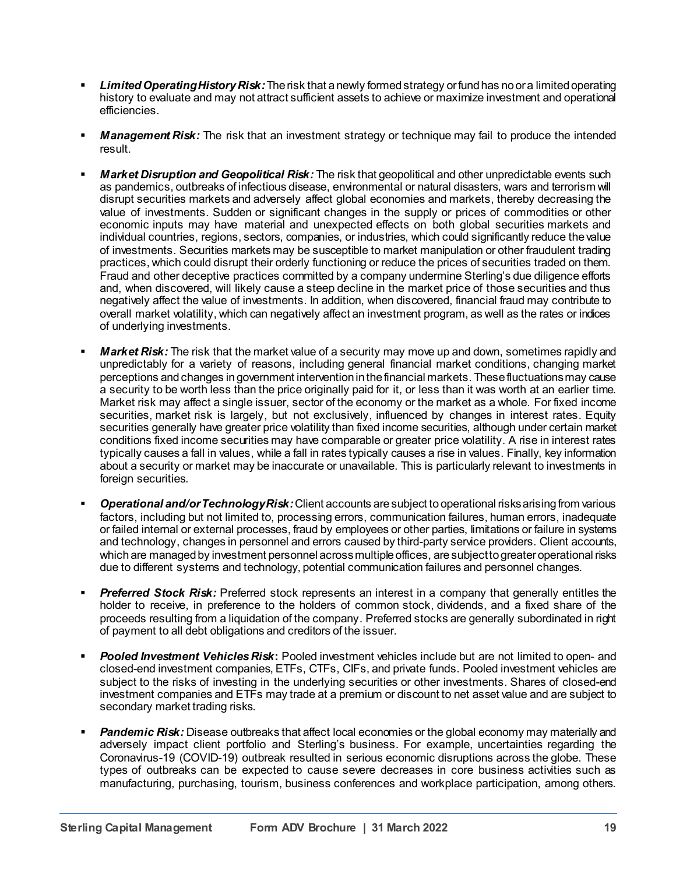- *Limited Operating History Risk:*The risk that a newly formed strategy or fund has no or a limited operating history to evaluate and may not attract sufficient assets to achieve or maximize investment and operational efficiencies.
- *Management Risk:* The risk that an investment strategy or technique may fail to produce the intended result.
- *Market Disruption and Geopolitical Risk:* The risk that geopolitical and other unpredictable events such as pandemics, outbreaks of infectious disease, environmental or natural disasters, wars and terrorism will disrupt securities markets and adversely affect global economies and markets, thereby decreasing the value of investments. Sudden or significant changes in the supply or prices of commodities or other economic inputs may have material and unexpected effects on both global securities markets and individual countries, regions, sectors, companies, or industries, which could significantly reduce the value of investments. Securities markets may be susceptible to market manipulation or other fraudulent trading practices, which could disrupt their orderly functioning or reduce the prices of securities traded on them. Fraud and other deceptive practices committed by a company undermine Sterling's due diligence efforts and, when discovered, will likely cause a steep decline in the market price of those securities and thus negatively affect the value of investments. In addition, when discovered, financial fraud may contribute to overall market volatility, which can negatively affect an investment program, as well as the rates or indices of underlying investments.
- *Market Risk:* The risk that the market value of a security may move up and down, sometimes rapidly and unpredictably for a variety of reasons, including general financial market conditions, changing market perceptions and changes in government intervention in the financial markets. These fluctuations may cause a security to be worth less than the price originally paid for it, or less than it was worth at an earlier time. Market risk may affect a single issuer, sector of the economy or the market as a whole. For fixed income securities, market risk is largely, but not exclusively, influenced by changes in interest rates. Equity securities generally have greater price volatility than fixed income securities, although under certain market conditions fixed income securities may have comparable or greater price volatility. A rise in interest rates typically causes a fall in values, while a fall in rates typically causes a rise in values. Finally, key information about a security or market may be inaccurate or unavailable. This is particularly relevant to investments in foreign securities.
- *Operational and/orTechnology Risk:*Client accounts are subject to operational risks arising from various factors, including but not limited to, processing errors, communication failures, human errors, inadequate or failed internal or external processes, fraud by employees or other parties, limitations or failure in systems and technology, changes in personnel and errors caused by third-party service providers. Client accounts, which are managed by investment personnel across multiple offices, are subject to greater operational risks due to different systems and technology, potential communication failures and personnel changes.
- **Preferred Stock Risk:** Preferred stock represents an interest in a company that generally entitles the holder to receive, in preference to the holders of common stock, dividends, and a fixed share of the proceeds resulting from a liquidation of the company. Preferred stocks are generally subordinated in right of payment to all debt obligations and creditors of the issuer.
- *Pooled Investment Vehicles Risk***:** Pooled investment vehicles include but are not limited to open- and closed-end investment companies, ETFs, CTFs, CIFs, and private funds. Pooled investment vehicles are subject to the risks of investing in the underlying securities or other investments. Shares of closed-end investment companies and ETFs may trade at a premium or discount to net asset value and are subject to secondary market trading risks.
- *Pandemic Risk:* Disease outbreaks that affect local economies or the global economy may materially and adversely impact client portfolio and Sterling's business. For example, uncertainties regarding the Coronavirus-19 (COVID-19) outbreak resulted in serious economic disruptions across the globe. These types of outbreaks can be expected to cause severe decreases in core business activities such as manufacturing, purchasing, tourism, business conferences and workplace participation, among others.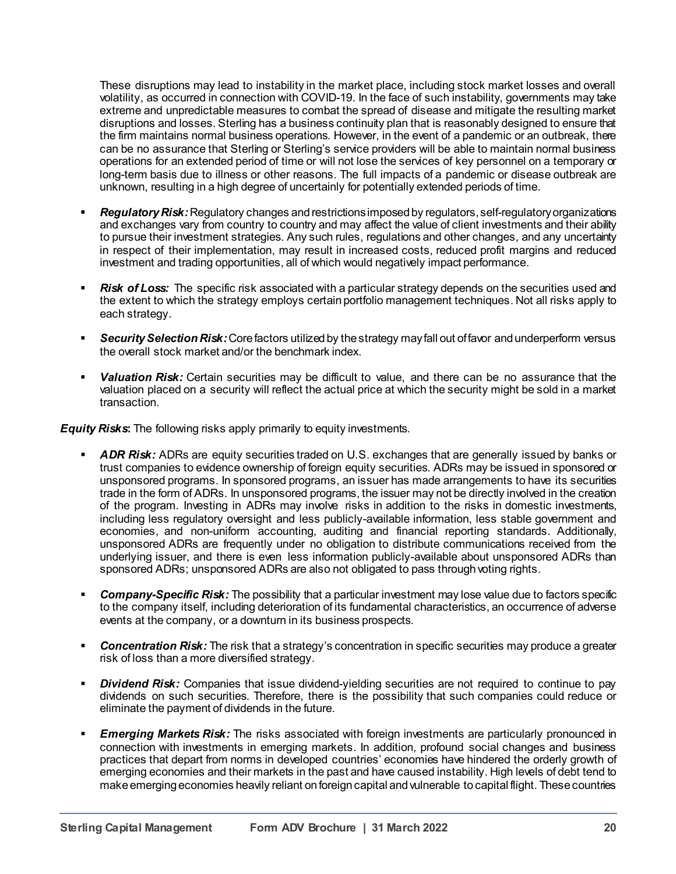These disruptions may lead to instability in the market place, including stock market losses and overall volatility, as occurred in connection with COVID-19. In the face of such instability, governments may take extreme and unpredictable measures to combat the spread of disease and mitigate the resulting market disruptions and losses. Sterling has a business continuity plan that is reasonably designed to ensure that the firm maintains normal business operations. However, in the event of a pandemic or an outbreak, there can be no assurance that Sterling or Sterling's service providers will be able to maintain normal business operations for an extended period of time or will not lose the services of key personnel on a temporary or long-term basis due to illness or other reasons. The full impacts of a pandemic or disease outbreak are unknown, resulting in a high degree of uncertainly for potentially extended periods of time.

- *Regulatory Risk:* Regulatory changes and restrictions imposed by regulators, self-regulatory organizations and exchanges vary from country to country and may affect the value of client investments and their ability to pursue their investment strategies. Any such rules, regulations and other changes, and any uncertainty in respect of their implementation, may result in increased costs, reduced profit margins and reduced investment and trading opportunities, all of which would negatively impact performance.
- *Risk of Loss:* The specific risk associated with a particular strategy depends on the securities used and the extent to which the strategy employs certain portfolio management techniques. Not all risks apply to each strategy.
- *Security Selection Risk:*Core factors utilized by the strategy may fall out of favor and underperform versus the overall stock market and/or the benchmark index.
- *Valuation Risk:* Certain securities may be difficult to value, and there can be no assurance that the valuation placed on a security will reflect the actual price at which the security might be sold in a market transaction.

*Equity Risks***:** The following risks apply primarily to equity investments.

- ADR Risk: ADRs are equity securities traded on U.S. exchanges that are generally issued by banks or trust companies to evidence ownership of foreign equity securities. ADRs may be issued in sponsored or unsponsored programs. In sponsored programs, an issuer has made arrangements to have its securities trade in the form of ADRs. In unsponsored programs, the issuer may not be directly involved in the creation of the program. Investing in ADRs may involve risks in addition to the risks in domestic investments, including less regulatory oversight and less publicly-available information, less stable government and economies, and non-uniform accounting, auditing and financial reporting standards. Additionally, unsponsored ADRs are frequently under no obligation to distribute communications received from the underlying issuer, and there is even less information publicly-available about unsponsored ADRs than sponsored ADRs; unsponsored ADRs are also not obligated to pass through voting rights.
- *Company-Specific Risk:* The possibility that a particular investment may lose value due to factors specific to the company itself, including deterioration of its fundamental characteristics, an occurrence of adverse events at the company, or a downturn in its business prospects.
- **Concentration Risk:** The risk that a strategy's concentration in specific securities may produce a greater risk of loss than a more diversified strategy.
- *Dividend Risk:* Companies that issue dividend-yielding securities are not required to continue to pay dividends on such securities. Therefore, there is the possibility that such companies could reduce or eliminate the payment of dividends in the future.
- *Emerging Markets Risk:* The risks associated with foreign investments are particularly pronounced in connection with investments in emerging markets. In addition, profound social changes and business practices that depart from norms in developed countries' economies have hindered the orderly growth of emerging economies and their markets in the past and have caused instability. High levels of debt tend to make emerging economies heavily reliant on foreign capital and vulnerable to capital flight. These countries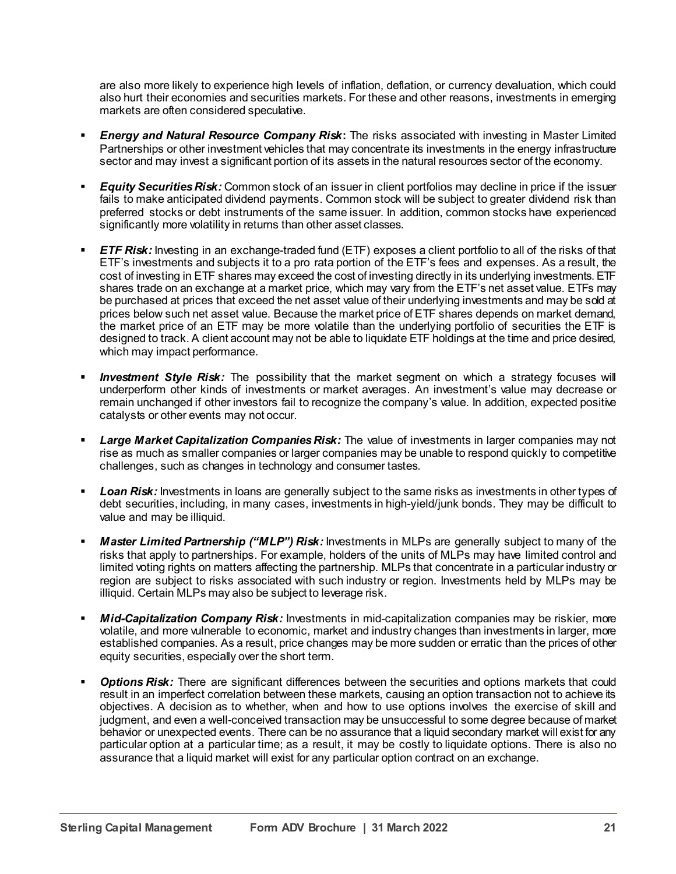are also more likely to experience high levels of inflation, deflation, or currency devaluation, which could also hurt their economies and securities markets. For these and other reasons, investments in emerging markets are often considered speculative.

- *Energy and Natural Resource Company Risk***:** The risks associated with investing in Master Limited Partnerships or other investment vehicles that may concentrate its investments in the energy infrastructure sector and may invest a significant portion of its assets in the natural resources sector of the economy.
- *Equity Securities Risk:* Common stock of an issuer in client portfolios may decline in price if the issuer fails to make anticipated dividend payments. Common stock will be subject to greater dividend risk than preferred stocks or debt instruments of the same issuer. In addition, common stocks have experienced significantly more volatility in returns than other asset classes.
- *ETF Risk:* Investing in an exchange-traded fund (ETF) exposes a client portfolio to all of the risks of that ETF's investments and subjects it to a pro rata portion of the ETF's fees and expenses. As a result, the cost of investing in ETF shares may exceed the cost of investing directly in its underlying investments. ETF shares trade on an exchange at a market price, which may vary from the ETF's net asset value. ETFs may be purchased at prices that exceed the net asset value of their underlying investments and may be sold at prices below such net asset value. Because the market price of ETF shares depends on market demand, the market price of an ETF may be more volatile than the underlying portfolio of securities the ETF is designed to track. A client account may not be able to liquidate ETF holdings at the time and price desired, which may impact performance.
- **Investment Style Risk:** The possibility that the market segment on which a strategy focuses will underperform other kinds of investments or market averages. An investment's value may decrease or remain unchanged if other investors fail to recognize the company's value. In addition, expected positive catalysts or other events may not occur.
- *Large Market Capitalization Companies Risk:* The value of investments in larger companies may not rise as much as smaller companies or larger companies may be unable to respond quickly to competitive challenges, such as changes in technology and consumer tastes.
- Loan Risk: Investments in loans are generally subject to the same risks as investments in other types of debt securities, including, in many cases, investments in high-yield/junk bonds. They may be difficult to value and may be illiquid.
- *Master Limited Partnership ("MLP") Risk:* Investments in MLPs are generally subject to many of the risks that apply to partnerships. For example, holders of the units of MLPs may have limited control and limited voting rights on matters affecting the partnership. MLPs that concentrate in a particular industry or region are subject to risks associated with such industry or region. Investments held by MLPs may be illiquid. Certain MLPs may also be subject to leverage risk.
- *Mid-Capitalization Company Risk:* Investments in mid-capitalization companies may be riskier, more volatile, and more vulnerable to economic, market and industry changes than investments in larger, more established companies. As a result, price changes may be more sudden or erratic than the prices of other equity securities, especially over the short term.
- **Options Risk:** There are significant differences between the securities and options markets that could result in an imperfect correlation between these markets, causing an option transaction not to achieve its objectives. A decision as to whether, when and how to use options involves the exercise of skill and judgment, and even a well-conceived transaction may be unsuccessful to some degree because of market behavior or unexpected events. There can be no assurance that a liquid secondary market will exist for any particular option at a particular time; as a result, it may be costly to liquidate options. There is also no assurance that a liquid market will exist for any particular option contract on an exchange.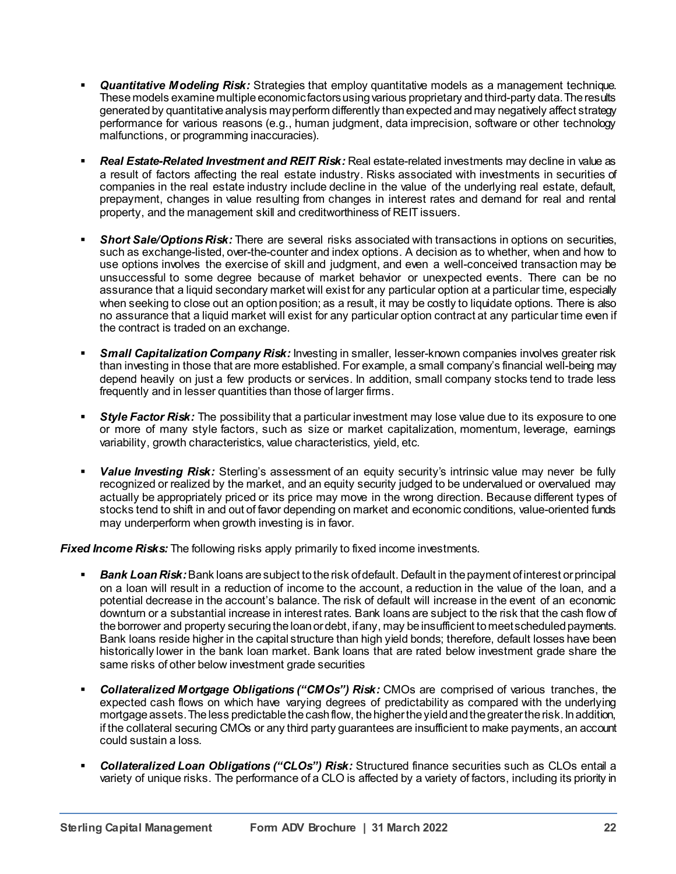- *Quantitative Modeling Risk:* Strategies that employ quantitative models as a management technique. These models examine multiple economic factors using various proprietary and third-party data. The results generated by quantitative analysis may perform differently than expected and may negatively affect strategy performance for various reasons (e.g., human judgment, data imprecision, software or other technology malfunctions, or programming inaccuracies).
- *Real Estate-Related Investment and REIT Risk:* Real estate-related investments may decline in value as a result of factors affecting the real estate industry. Risks associated with investments in securities of companies in the real estate industry include decline in the value of the underlying real estate, default, prepayment, changes in value resulting from changes in interest rates and demand for real and rental property, and the management skill and creditworthiness of REIT issuers.
- *Short Sale/Options Risk:* There are several risks associated with transactions in options on securities, such as exchange-listed, over-the-counter and index options. A decision as to whether, when and how to use options involves the exercise of skill and judgment, and even a well-conceived transaction may be unsuccessful to some degree because of market behavior or unexpected events. There can be no assurance that a liquid secondary market will exist for any particular option at a particular time, especially when seeking to close out an option position; as a result, it may be costly to liquidate options. There is also no assurance that a liquid market will exist for any particular option contract at any particular time even if the contract is traded on an exchange.
- *Small Capitalization Company Risk:* Investing in smaller, lesser-known companies involves greater risk than investing in those that are more established. For example, a small company's financial well-being may depend heavily on just a few products or services. In addition, small company stocks tend to trade less frequently and in lesser quantities than those of larger firms.
- *Style Factor Risk:* The possibility that a particular investment may lose value due to its exposure to one or more of many style factors, such as size or market capitalization, momentum, leverage, earnings variability, growth characteristics, value characteristics, yield, etc.
- *Value Investing Risk:* Sterling's assessment of an equity security's intrinsic value may never be fully recognized or realized by the market, and an equity security judged to be undervalued or overvalued may actually be appropriately priced or its price may move in the wrong direction. Because different types of stocks tend to shift in and out of favor depending on market and economic conditions, value-oriented funds may underperform when growth investing is in favor.

*Fixed Income Risks:* The following risks apply primarily to fixed income investments.

- *Bank Loan Risk:*Bank loans are subject to the risk of default. Default in the payment of interest or principal on a loan will result in a reduction of income to the account, a reduction in the value of the loan, and a potential decrease in the account's balance. The risk of default will increase in the event of an economic downturn or a substantial increase in interest rates. Bank loans are subject to the risk that the cash flow of the borrower and property securing the loan or debt, if any, may be insufficient to meet scheduled payments. Bank loans reside higher in the capital structure than high yield bonds; therefore, default losses have been historically lower in the bank loan market. Bank loans that are rated below investment grade share the same risks of other below investment grade securities
- *Collateralized Mortgage Obligations ("CMOs") Risk:* CMOs are comprised of various tranches, the expected cash flows on which have varying degrees of predictability as compared with the underlying mortgage assets. The less predictable the cash flow, the higher the yield and the greater the risk. In addition, if the collateral securing CMOs or any third party guarantees are insufficient to make payments, an account could sustain a loss.
- *Collateralized Loan Obligations ("CLOs") Risk:* Structured finance securities such as CLOs entail a variety of unique risks. The performance of a CLO is affected by a variety of factors, including its priority in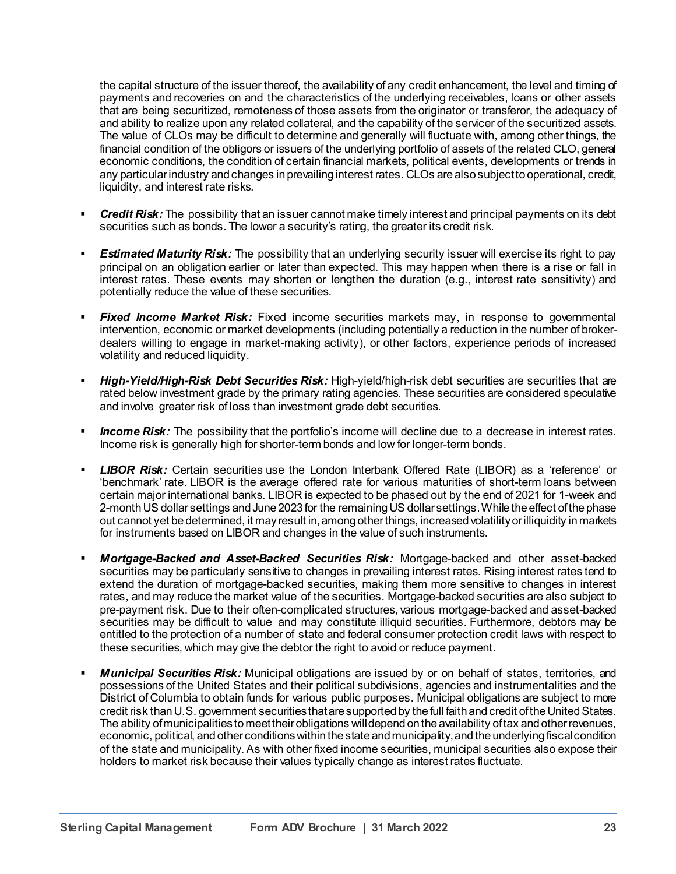the capital structure of the issuer thereof, the availability of any credit enhancement, the level and timing of payments and recoveries on and the characteristics of the underlying receivables, loans or other assets that are being securitized, remoteness of those assets from the originator or transferor, the adequacy of and ability to realize upon any related collateral, and the capability of the servicer of the securitized assets. The value of CLOs may be difficult to determine and generally will fluctuate with, among other things, the financial condition of the obligors or issuers of the underlying portfolio of assets of the related CLO, general economic conditions, the condition of certain financial markets, political events, developments or trends in any particular industry and changes in prevailing interest rates. CLOs are also subject to operational, credit, liquidity, and interest rate risks.

- *Credit Risk:* The possibility that an issuer cannot make timely interest and principal payments on its debt securities such as bonds. The lower a security's rating, the greater its credit risk.
- *Estimated Maturity Risk:* The possibility that an underlying security issuer will exercise its right to pay principal on an obligation earlier or later than expected. This may happen when there is a rise or fall in interest rates. These events may shorten or lengthen the duration (e.g., interest rate sensitivity) and potentially reduce the value of these securities.
- *Fixed Income Market Risk:* Fixed income securities markets may, in response to governmental intervention, economic or market developments (including potentially a reduction in the number of brokerdealers willing to engage in market-making activity), or other factors, experience periods of increased volatility and reduced liquidity.
- *High-Yield/High-Risk Debt Securities Risk:* High-yield/high-risk debt securities are securities that are rated below investment grade by the primary rating agencies. These securities are considered speculative and involve greater risk of loss than investment grade debt securities.
- *Income Risk:* The possibility that the portfolio's income will decline due to a decrease in interest rates. Income risk is generally high for shorter-term bonds and low for longer-term bonds.
- *LIBOR Risk:* Certain securities use the London Interbank Offered Rate (LIBOR) as a 'reference' or 'benchmark' rate. LIBOR is the average offered rate for various maturities of short-term loans between certain major international banks. LIBOR is expected to be phased out by the end of 2021 for 1-week and 2-month US dollar settings and June 2023 for the remaining US dollar settings. While the effect of the phase out cannot yet be determined, it may result in, among other things, increased volatility or illiquidity in markets for instruments based on LIBOR and changes in the value of such instruments.
- *Mortgage-Backed and Asset-Backed Securities Risk:* Mortgage-backed and other asset-backed securities may be particularly sensitive to changes in prevailing interest rates. Rising interest rates tend to extend the duration of mortgage-backed securities, making them more sensitive to changes in interest rates, and may reduce the market value of the securities. Mortgage-backed securities are also subject to pre-payment risk. Due to their often-complicated structures, various mortgage-backed and asset-backed securities may be difficult to value and may constitute illiquid securities. Furthermore, debtors may be entitled to the protection of a number of state and federal consumer protection credit laws with respect to these securities, which may give the debtor the right to avoid or reduce payment.
- *Municipal Securities Risk:* Municipal obligations are issued by or on behalf of states, territories, and possessions of the United States and their political subdivisions, agencies and instrumentalities and the District of Columbia to obtain funds for various public purposes. Municipal obligations are subject to more credit risk than U.S. government securities that are supported by the full faith and credit of the United States. The ability of municipalities to meet theirobligations will depend on the availability of tax and other revenues, economic, political, and other conditions within the state and municipality, and the underlying fiscal condition of the state and municipality. As with other fixed income securities, municipal securities also expose their holders to market risk because their values typically change as interest rates fluctuate.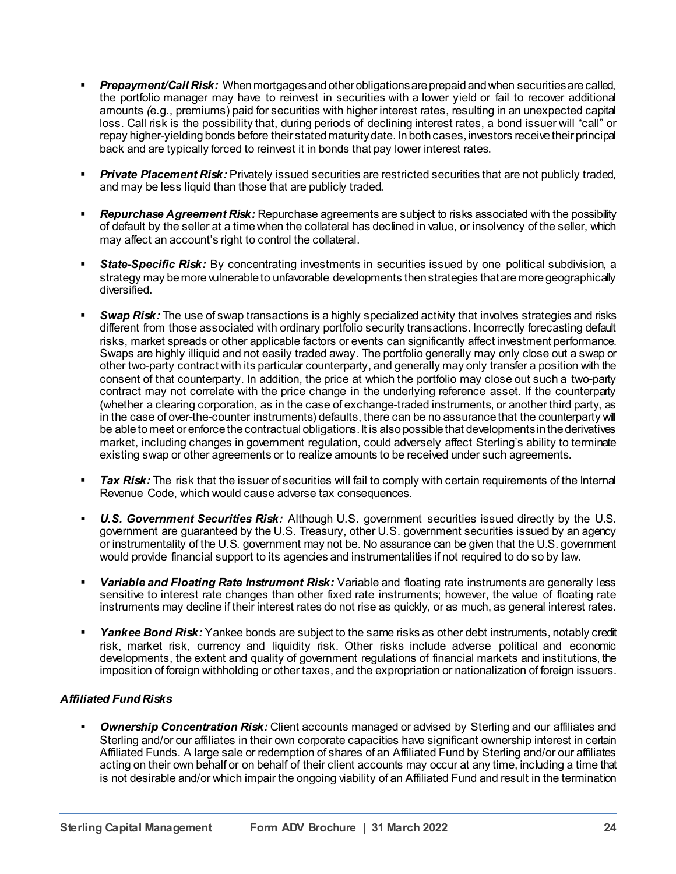- *Prepayment/Call Risk:* When mortgages and other obligations are prepaid and when securities are called, the portfolio manager may have to reinvest in securities with a lower yield or fail to recover additional amounts *(*e.g., premiums) paid for securities with higher interest rates, resulting in an unexpected capital loss. Call risk is the possibility that, during periods of declining interest rates, a bond issuer will "call" or repay higher-yielding bonds before their stated maturity date. In both cases, investors receive their principal back and are typically forced to reinvest it in bonds that pay lower interest rates.
- *Private Placement Risk:* Privately issued securities are restricted securities that are not publicly traded, and may be less liquid than those that are publicly traded.
- *Repurchase Agreement Risk:* Repurchase agreements are subject to risks associated with the possibility of default by the seller at a time when the collateral has declined in value, or insolvency of the seller, which may affect an account's right to control the collateral.
- *State-Specific Risk:* By concentrating investments in securities issued by one political subdivision, a strategy may be more vulnerable to unfavorable developments then strategies that are more geographically diversified.
- **Swap Risk:** The use of swap transactions is a highly specialized activity that involves strategies and risks different from those associated with ordinary portfolio security transactions. Incorrectly forecasting default risks, market spreads or other applicable factors or events can significantly affect investment performance. Swaps are highly illiquid and not easily traded away. The portfolio generally may only close out a swap or other two-party contract with its particular counterparty, and generally may only transfer a position with the consent of that counterparty. In addition, the price at which the portfolio may close out such a two-party contract may not correlate with the price change in the underlying reference asset. If the counterparty (whether a clearing corporation, as in the case of exchange-traded instruments, or another third party, as in the case of over-the-counter instruments) defaults, there can be no assurance that the counterparty will be able to meet or enforce the contractual obligations. It is also possible that developments in the derivatives market, including changes in government regulation, could adversely affect Sterling's ability to terminate existing swap or other agreements or to realize amounts to be received under such agreements.
- *Tax Risk:* The risk that the issuer of securities will fail to comply with certain requirements of the Internal Revenue Code, which would cause adverse tax consequences.
- *U.S. Government Securities Risk:* Although U.S. government securities issued directly by the U.S. government are guaranteed by the U.S. Treasury, other U.S. government securities issued by an agency or instrumentality of the U.S. government may not be. No assurance can be given that the U.S. government would provide financial support to its agencies and instrumentalities if not required to do so by law.
- *Variable and Floating Rate Instrument Risk:* Variable and floating rate instruments are generally less sensitive to interest rate changes than other fixed rate instruments; however, the value of floating rate instruments may decline if their interest rates do not rise as quickly, or as much, as general interest rates.
- *Yankee Bond Risk:* Yankee bonds are subject to the same risks as other debt instruments, notably credit risk, market risk, currency and liquidity risk. Other risks include adverse political and economic developments, the extent and quality of government regulations of financial markets and institutions, the imposition of foreign withholding or other taxes, and the expropriation or nationalization of foreign issuers.

# *Affiliated Fund Risks*

**Ownership Concentration Risk:** Client accounts managed or advised by Sterling and our affiliates and Sterling and/or our affiliates in their own corporate capacities have significant ownership interest in certain Affiliated Funds. A large sale or redemption of shares of an Affiliated Fund by Sterling and/or our affiliates acting on their own behalf or on behalf of their client accounts may occur at any time, including a time that is not desirable and/or which impair the ongoing viability of an Affiliated Fund and result in the termination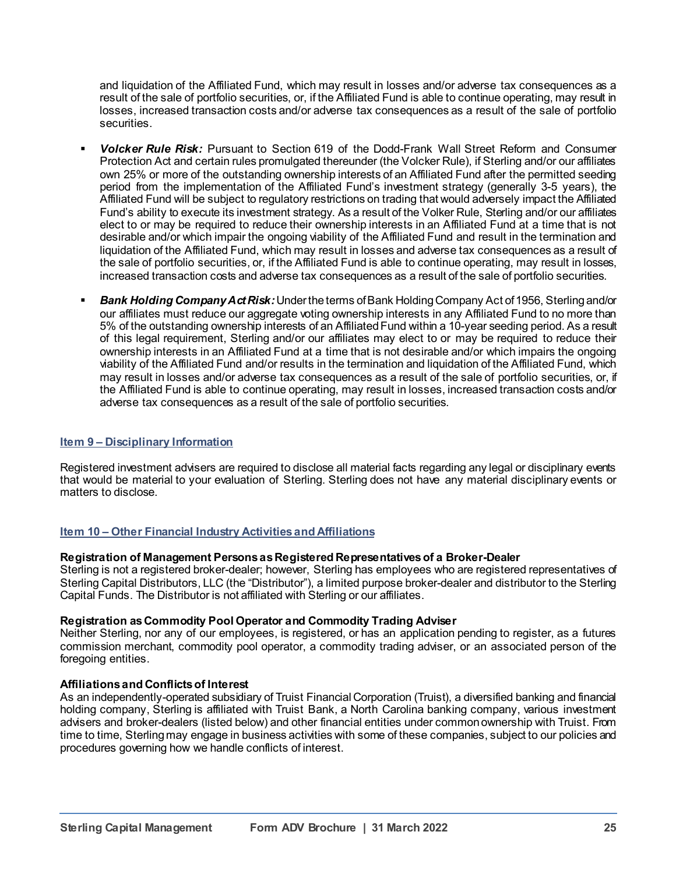and liquidation of the Affiliated Fund, which may result in losses and/or adverse tax consequences as a result of the sale of portfolio securities, or, if the Affiliated Fund is able to continue operating, may result in losses, increased transaction costs and/or adverse tax consequences as a result of the sale of portfolio securities.

- *Volcker Rule Risk:* Pursuant to Section 619 of the Dodd-Frank Wall Street Reform and Consumer Protection Act and certain rules promulgated thereunder (the Volcker Rule), if Sterling and/or our affiliates own 25% or more of the outstanding ownership interests of an Affiliated Fund after the permitted seeding period from the implementation of the Affiliated Fund's investment strategy (generally 3-5 years), the Affiliated Fund will be subject to regulatory restrictions on trading that would adversely impact the Affiliated Fund's ability to execute its investment strategy. As a result of the Volker Rule, Sterling and/or our affiliates elect to or may be required to reduce their ownership interests in an Affiliated Fund at a time that is not desirable and/or which impair the ongoing viability of the Affiliated Fund and result in the termination and liquidation of the Affiliated Fund, which may result in losses and adverse tax consequences as a result of the sale of portfolio securities, or, if the Affiliated Fund is able to continue operating, may result in losses, increased transaction costs and adverse tax consequences as a result of the sale of portfolio securities.
- *Bank Holding Company ActRisk:*Under the terms of Bank Holding Company Act of 1956, Sterling and/or our affiliates must reduce our aggregate voting ownership interests in any Affiliated Fund to no more than 5% of the outstanding ownership interests of an Affiliated Fund within a 10-year seeding period. As a result of this legal requirement, Sterling and/or our affiliates may elect to or may be required to reduce their ownership interests in an Affiliated Fund at a time that is not desirable and/or which impairs the ongoing viability of the Affiliated Fund and/or results in the termination and liquidation of the Affiliated Fund, which may result in losses and/or adverse tax consequences as a result of the sale of portfolio securities, or, if the Affiliated Fund is able to continue operating, may result in losses, increased transaction costs and/or adverse tax consequences as a result of the sale of portfolio securities.

#### **Item 9 – Disciplinary Information**

Registered investment advisers are required to disclose all material facts regarding any legal or disciplinary events that would be material to your evaluation of Sterling. Sterling does not have any material disciplinary events or matters to disclose.

## **Item 10 – Other Financial Industry Activities and Affiliations**

#### **Registration of Management Persons as Registered Representatives of a Broker-Dealer**

Sterling is not a registered broker-dealer; however, Sterling has employees who are registered representatives of Sterling Capital Distributors, LLC (the "Distributor"), a limited purpose broker-dealer and distributor to the Sterling Capital Funds. The Distributor is not affiliated with Sterling or our affiliates.

#### **Registration as Commodity Pool Operator and Commodity Trading Adviser**

Neither Sterling, nor any of our employees, is registered, or has an application pending to register, as a futures commission merchant, commodity pool operator, a commodity trading adviser, or an associated person of the foregoing entities.

#### **Affiliationsand Conflicts of Interest**

As an independently-operated subsidiary of Truist Financial Corporation (Truist), a diversified banking and financial holding company, Sterling is affiliated with Truist Bank, a North Carolina banking company, various investment advisers and broker-dealers (listed below) and other financial entities under common ownership with Truist. From time to time, Sterling may engage in business activities with some of these companies, subject to our policies and procedures governing how we handle conflicts of interest.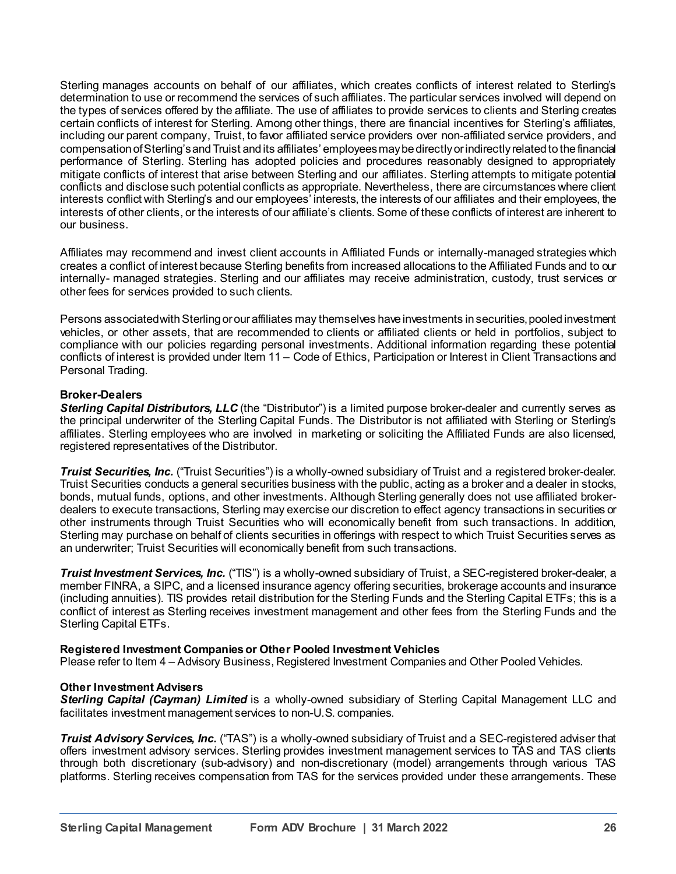Sterling manages accounts on behalf of our affiliates, which creates conflicts of interest related to Sterling's determination to use or recommend the services of such affiliates. The particular services involved will depend on the types of services offered by the affiliate. The use of affiliates to provide services to clients and Sterling creates certain conflicts of interest for Sterling. Among other things, there are financial incentives for Sterling's affiliates, including our parent company, Truist, to favor affiliated service providers over non-affiliated service providers, and compensation of Sterling's and Truist and its affiliates' employees may be directly or indirectly related to the financial performance of Sterling. Sterling has adopted policies and procedures reasonably designed to appropriately mitigate conflicts of interest that arise between Sterling and our affiliates. Sterling attempts to mitigate potential conflicts and disclose such potential conflicts as appropriate. Nevertheless, there are circumstances where client interests conflict with Sterling's and our employees' interests, the interests of our affiliates and their employees, the interests of other clients, or the interests of our affiliate's clients. Some of these conflicts of interest are inherent to our business.

Affiliates may recommend and invest client accounts in Affiliated Funds or internally-managed strategies which creates a conflict of interest because Sterling benefits from increased allocations to the Affiliated Funds and to our internally- managed strategies. Sterling and our affiliates may receive administration, custody, trust services or other fees for services provided to such clients.

Persons associated with Sterling or our affiliates may themselves have investments in securities, pooled investment vehicles, or other assets, that are recommended to clients or affiliated clients or held in portfolios, subject to compliance with our policies regarding personal investments. Additional information regarding these potential conflicts of interest is provided under Item 11 – Code of Ethics, Participation or Interest in Client Transactions and Personal Trading.

## **Broker-Dealers**

*Sterling Capital Distributors, LLC* (the "Distributor") is a limited purpose broker-dealer and currently serves as the principal underwriter of the Sterling Capital Funds. The Distributor is not affiliated with Sterling or Sterling's affiliates. Sterling employees who are involved in marketing or soliciting the Affiliated Funds are also licensed, registered representatives of the Distributor.

*Truist Securities, Inc.* ("Truist Securities") is a wholly-owned subsidiary of Truist and a registered broker-dealer. Truist Securities conducts a general securities business with the public, acting as a broker and a dealer in stocks, bonds, mutual funds, options, and other investments. Although Sterling generally does not use affiliated brokerdealers to execute transactions, Sterling may exercise our discretion to effect agency transactions in securities or other instruments through Truist Securities who will economically benefit from such transactions. In addition, Sterling may purchase on behalf of clients securities in offerings with respect to which Truist Securities serves as an underwriter; Truist Securities will economically benefit from such transactions.

*Truist Investment Services, Inc.* ("TIS") is a wholly-owned subsidiary of Truist, a SEC-registered broker-dealer, a member FINRA, a SIPC, and a licensed insurance agency offering securities, brokerage accounts and insurance (including annuities). TIS provides retail distribution for the Sterling Funds and the Sterling Capital ETFs; this is a conflict of interest as Sterling receives investment management and other fees from the Sterling Funds and the Sterling Capital ETFs.

## **Registered Investment Companies or Other Pooled Investment Vehicles**

Please refer to Item 4 – Advisory Business, Registered Investment Companies and Other Pooled Vehicles.

## **Other Investment Advisers**

*Sterling Capital (Cayman) Limited* is a wholly-owned subsidiary of Sterling Capital Management LLC and facilitates investment management services to non-U.S. companies.

*Truist Advisory Services, Inc.* ("TAS") is a wholly-owned subsidiary of Truist and a SEC-registered adviser that offers investment advisory services. Sterling provides investment management services to TAS and TAS clients through both discretionary (sub-advisory) and non-discretionary (model) arrangements through various TAS platforms. Sterling receives compensation from TAS for the services provided under these arrangements. These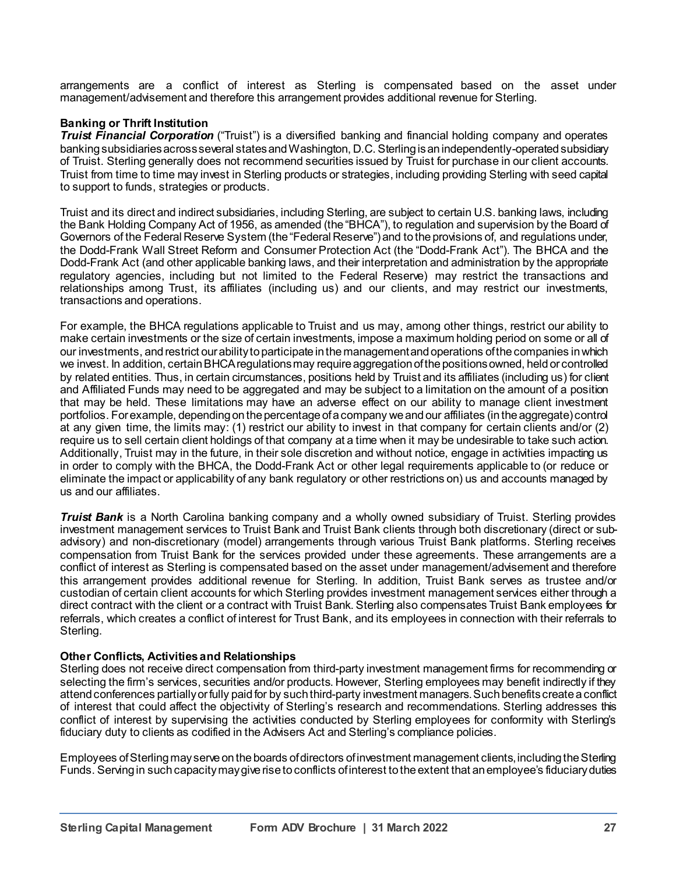arrangements are a conflict of interest as Sterling is compensated based on the asset under management/advisement and therefore this arrangement provides additional revenue for Sterling.

## **Banking or Thrift Institution**

*Truist Financial Corporation* ("Truist") is a diversified banking and financial holding company and operates banking subsidiariesacross several statesand Washington, D.C. Sterling is an independently-operated subsidiary of Truist. Sterling generally does not recommend securities issued by Truist for purchase in our client accounts. Truist from time to time may invest in Sterling products or strategies, including providing Sterling with seed capital to support to funds, strategies or products.

Truist and its direct and indirect subsidiaries, including Sterling, are subject to certain U.S. banking laws, including the Bank Holding Company Act of 1956, as amended (the "BHCA"), to regulation and supervision by the Board of Governors of the Federal Reserve System (the "Federal Reserve") and to the provisions of, and regulations under, the Dodd-Frank Wall Street Reform and Consumer Protection Act (the "Dodd-Frank Act"). The BHCA and the Dodd-Frank Act (and other applicable banking laws, and their interpretation and administration by the appropriate regulatory agencies, including but not limited to the Federal Reserve) may restrict the transactions and relationships among Trust, its affiliates (including us) and our clients, and may restrict our investments, transactions and operations.

For example, the BHCA regulations applicable to Truist and us may, among other things, restrict our ability to make certain investments or the size of certain investments, impose a maximum holding period on some or all of our investments, and restrict our ability to participate in the management and operations of the companies in which we invest. In addition, certain BHCA regulations may require aggregation of the positions owned, held or controlled by related entities. Thus, in certain circumstances, positions held by Truist and its affiliates (including us) for client and Affiliated Funds may need to be aggregated and may be subject to a limitation on the amount of a position that may be held. These limitations may have an adverse effect on our ability to manage client investment portfolios. For example, depending on the percentage of a company we and our affiliates (in the aggregate) control at any given time, the limits may: (1) restrict our ability to invest in that company for certain clients and/or (2) require us to sell certain client holdings of that company at a time when it may be undesirable to take such action. Additionally, Truist may in the future, in their sole discretion and without notice, engage in activities impacting us in order to comply with the BHCA, the Dodd-Frank Act or other legal requirements applicable to (or reduce or eliminate the impact or applicability of any bank regulatory or other restrictions on) us and accounts managed by us and our affiliates.

*Truist Bank* is a North Carolina banking company and a wholly owned subsidiary of Truist. Sterling provides investment management services to Truist Bank and Truist Bank clients through both discretionary (direct or subadvisory) and non-discretionary (model) arrangements through various Truist Bank platforms. Sterling receives compensation from Truist Bank for the services provided under these agreements. These arrangements are a conflict of interest as Sterling is compensated based on the asset under management/advisement and therefore this arrangement provides additional revenue for Sterling. In addition, Truist Bank serves as trustee and/or custodian of certain client accounts for which Sterling provides investment management services either through a direct contract with the client or a contract with Truist Bank. Sterling also compensates Truist Bank employees for referrals, which creates a conflict of interest for Trust Bank, and its employees in connection with their referrals to Sterling.

#### **Other Conflicts, Activities and Relationships**

Sterling does not receive direct compensation from third-party investment management firms for recommending or selecting the firm's services, securities and/or products. However, Sterling employees may benefit indirectly if they attend conferences partially or fully paid for by such third-party investment managers.Such benefits create a conflict of interest that could affect the objectivity of Sterling's research and recommendations. Sterling addresses this conflict of interest by supervising the activities conducted by Sterling employees for conformity with Sterling's fiduciary duty to clients as codified in the Advisers Act and Sterling's compliance policies.

Employees of Sterling may serve on the boards of directors of investment management clients, including the Sterling Funds. Serving in such capacity may give rise to conflicts of interest to the extent that an employee's fiduciary duties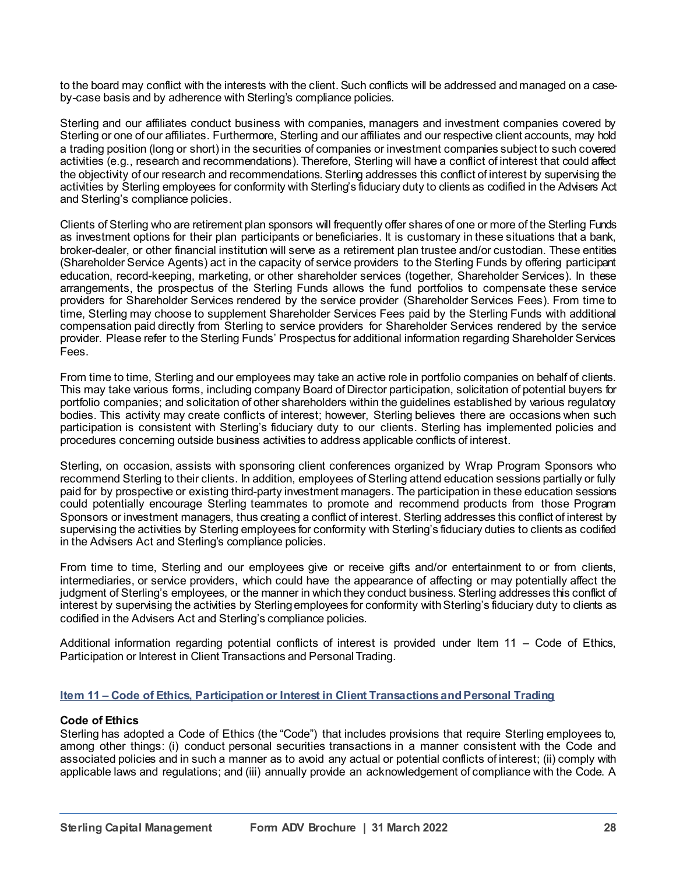to the board may conflict with the interests with the client. Such conflicts will be addressed and managed on a caseby-case basis and by adherence with Sterling's compliance policies.

Sterling and our affiliates conduct business with companies, managers and investment companies covered by Sterling or one of our affiliates. Furthermore, Sterling and our affiliates and our respective client accounts, may hold a trading position (long or short) in the securities of companies or investment companies subject to such covered activities (e.g., research and recommendations). Therefore, Sterling will have a conflict of interest that could affect the objectivity of our research and recommendations. Sterling addresses this conflict of interest by supervising the activities by Sterling employees for conformity with Sterling's fiduciary duty to clients as codified in the Advisers Act and Sterling's compliance policies.

Clients of Sterling who are retirement plan sponsors will frequently offer shares of one or more of the Sterling Funds as investment options for their plan participants or beneficiaries. It is customary in these situations that a bank, broker-dealer, or other financial institution will serve as a retirement plan trustee and/or custodian. These entities (Shareholder Service Agents) act in the capacity of service providers to the Sterling Funds by offering participant education, record-keeping, marketing, or other shareholder services (together, Shareholder Services). In these arrangements, the prospectus of the Sterling Funds allows the fund portfolios to compensate these service providers for Shareholder Services rendered by the service provider (Shareholder Services Fees). From time to time, Sterling may choose to supplement Shareholder Services Fees paid by the Sterling Funds with additional compensation paid directly from Sterling to service providers for Shareholder Services rendered by the service provider. Please refer to the Sterling Funds' Prospectus for additional information regarding Shareholder Services Fees.

From time to time, Sterling and our employees may take an active role in portfolio companies on behalf of clients. This may take various forms, including company Board of Director participation, solicitation of potential buyers for portfolio companies; and solicitation of other shareholders within the guidelines established by various regulatory bodies. This activity may create conflicts of interest; however, Sterling believes there are occasions when such participation is consistent with Sterling's fiduciary duty to our clients. Sterling has implemented policies and procedures concerning outside business activities to address applicable conflicts of interest.

Sterling, on occasion, assists with sponsoring client conferences organized by Wrap Program Sponsors who recommend Sterling to their clients. In addition, employees of Sterling attend education sessions partially or fully paid for by prospective or existing third-party investment managers. The participation in these education sessions could potentially encourage Sterling teammates to promote and recommend products from those Program Sponsors or investment managers, thus creating a conflict of interest. Sterling addresses this conflict of interest by supervising the activities by Sterling employees for conformity with Sterling's fiduciary duties to clients as codified in the Advisers Act and Sterling's compliance policies.

From time to time, Sterling and our employees give or receive gifts and/or entertainment to or from clients, intermediaries, or service providers, which could have the appearance of affecting or may potentially affect the judgment of Sterling's employees, or the manner in which they conduct business. Sterling addresses this conflict of interest by supervising the activities by Sterling employees for conformity with Sterling's fiduciary duty to clients as codified in the Advisers Act and Sterling's compliance policies.

Additional information regarding potential conflicts of interest is provided under Item 11 – Code of Ethics, Participation or Interest in Client Transactions and Personal Trading.

## **Item 11 – Code of Ethics, Participation or Interest in Client Transactions and Personal Trading**

#### **Code of Ethics**

Sterling has adopted a Code of Ethics (the "Code") that includes provisions that require Sterling employees to, among other things: (i) conduct personal securities transactions in a manner consistent with the Code and associated policies and in such a manner as to avoid any actual or potential conflicts of interest; (ii) comply with applicable laws and regulations; and (iii) annually provide an acknowledgement of compliance with the Code. A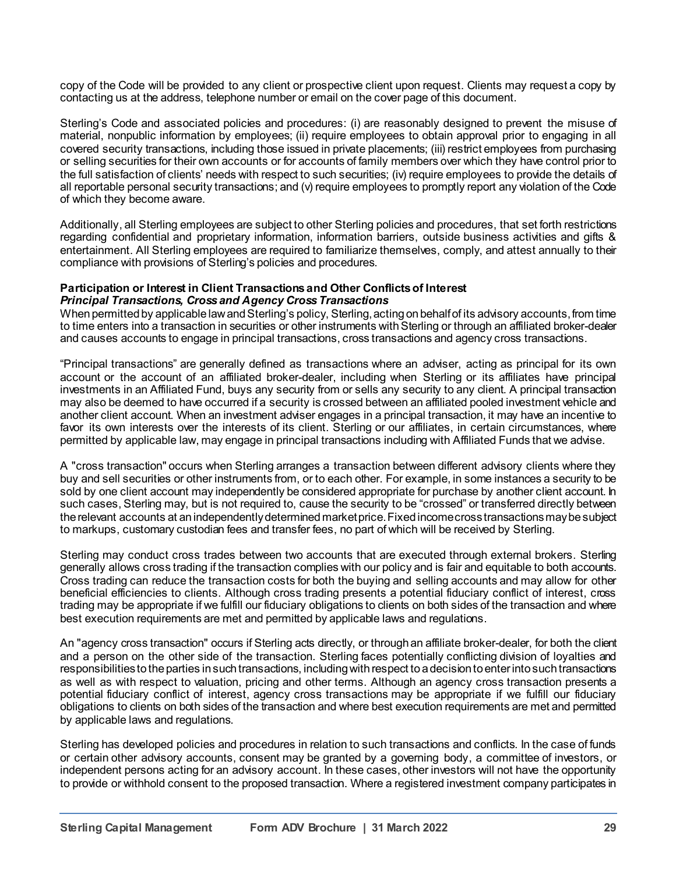copy of the Code will be provided to any client or prospective client upon request. Clients may request a copy by contacting us at the address, telephone number or email on the cover page of this document.

Sterling's Code and associated policies and procedures: (i) are reasonably designed to prevent the misuse of material, nonpublic information by employees; (ii) require employees to obtain approval prior to engaging in all covered security transactions, including those issued in private placements; (iii) restrict employees from purchasing or selling securities for their own accounts or for accounts of family members over which they have control prior to the full satisfaction of clients' needs with respect to such securities; (iv) require employees to provide the details of all reportable personal security transactions; and (v) require employees to promptly report any violation of the Code of which they become aware.

Additionally, all Sterling employees are subject to other Sterling policies and procedures, that set forth restrictions regarding confidential and proprietary information, information barriers, outside business activities and gifts & entertainment. All Sterling employees are required to familiarize themselves, comply, and attest annually to their compliance with provisions of Sterling's policies and procedures.

#### **Participation or Interest in Client Transactionsand Other Conflicts of Interest** *Principal Transactions, Cross and Agency Cross Transactions*

When permitted by applicable law and Sterling's policy, Sterling, acting on behalf of its advisory accounts, from time to time enters into a transaction in securities or other instruments with Sterling or through an affiliated broker-dealer and causes accounts to engage in principal transactions, cross transactions and agency cross transactions.

"Principal transactions" are generally defined as transactions where an adviser, acting as principal for its own account or the account of an affiliated broker-dealer, including when Sterling or its affiliates have principal investments in an Affiliated Fund, buys any security from or sells any security to any client. A principal transaction may also be deemed to have occurred if a security is crossed between an affiliated pooled investment vehicle and another client account. When an investment adviser engages in a principal transaction, it may have an incentive to favor its own interests over the interests of its client. Sterling or our affiliates, in certain circumstances, where permitted by applicable law, may engage in principal transactions including with Affiliated Funds that we advise.

A "cross transaction" occurs when Sterling arranges a transaction between different advisory clients where they buy and sell securities or other instruments from, or to each other. For example, in some instances a security to be sold by one client account may independently be considered appropriate for purchase by another client account. In such cases, Sterling may, but is not required to, cause the security to be "crossed" or transferred directly between the relevant accounts at an independently determined market price. Fixed income cross transactions may be subject to markups, customary custodian fees and transfer fees, no part of which will be received by Sterling.

Sterling may conduct cross trades between two accounts that are executed through external brokers. Sterling generally allows cross trading if the transaction complies with our policy and is fair and equitable to both accounts. Cross trading can reduce the transaction costs for both the buying and selling accounts and may allow for other beneficial efficiencies to clients. Although cross trading presents a potential fiduciary conflict of interest, cross trading may be appropriate if we fulfill our fiduciary obligations to clients on both sides of the transaction and where best execution requirements are met and permitted by applicable laws and regulations.

An "agency cross transaction" occurs if Sterling acts directly, or through an affiliate broker-dealer, for both the client and a person on the other side of the transaction. Sterling faces potentially conflicting division of loyalties and responsibilities to the parties in such transactions, including with respect to a decision to enter into such transactions as well as with respect to valuation, pricing and other terms. Although an agency cross transaction presents a potential fiduciary conflict of interest, agency cross transactions may be appropriate if we fulfill our fiduciary obligations to clients on both sides of the transaction and where best execution requirements are met and permitted by applicable laws and regulations.

Sterling has developed policies and procedures in relation to such transactions and conflicts. In the case of funds or certain other advisory accounts, consent may be granted by a governing body, a committee of investors, or independent persons acting for an advisory account. In these cases, other investors will not have the opportunity to provide or withhold consent to the proposed transaction. Where a registered investment company participates in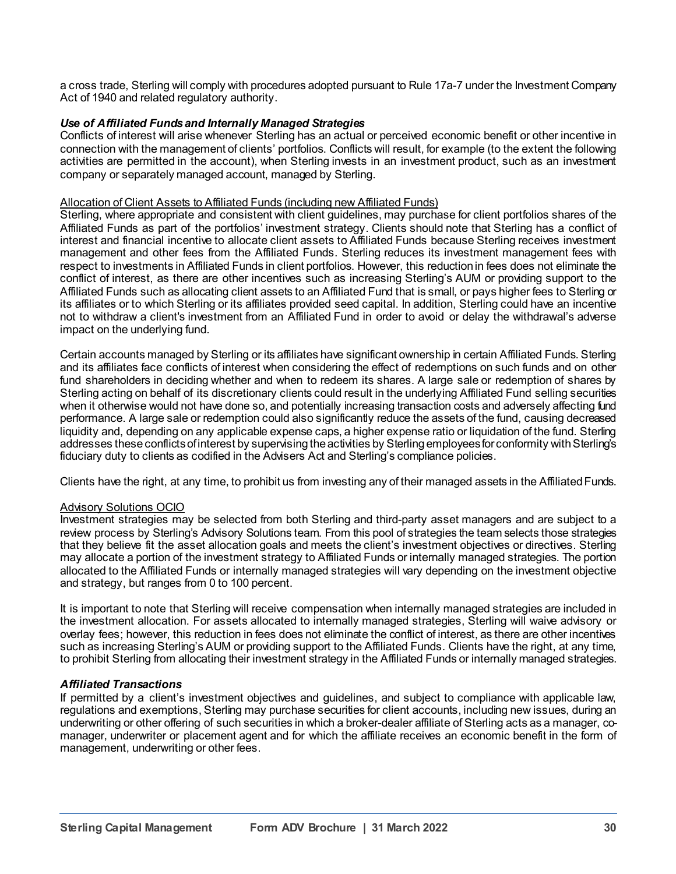a cross trade, Sterling will comply with procedures adopted pursuant to Rule 17a-7 under the Investment Company Act of 1940 and related regulatory authority.

## *Use of Affiliated Funds and Internally Managed Strategies*

Conflicts of interest will arise whenever Sterling has an actual or perceived economic benefit or other incentive in connection with the management of clients' portfolios. Conflicts will result, for example (to the extent the following activities are permitted in the account), when Sterling invests in an investment product, such as an investment company or separately managed account, managed by Sterling.

#### Allocation of Client Assets to Affiliated Funds (including new Affiliated Funds)

Sterling, where appropriate and consistent with client guidelines, may purchase for client portfolios shares of the Affiliated Funds as part of the portfolios' investment strategy. Clients should note that Sterling has a conflict of interest and financial incentive to allocate client assets to Affiliated Funds because Sterling receives investment management and other fees from the Affiliated Funds. Sterling reduces its investment management fees with respect to investments in Affiliated Funds in client portfolios. However, this reduction in fees does not eliminate the conflict of interest, as there are other incentives such as increasing Sterling's AUM or providing support to the Affiliated Funds such as allocating client assets to an Affiliated Fund that is small, or pays higher fees to Sterling or its affiliates or to which Sterling or its affiliates provided seed capital. In addition, Sterling could have an incentive not to withdraw a client's investment from an Affiliated Fund in order to avoid or delay the withdrawal's adverse impact on the underlying fund.

Certain accounts managed by Sterling or its affiliates have significant ownership in certain Affiliated Funds. Sterling and its affiliates face conflicts of interest when considering the effect of redemptions on such funds and on other fund shareholders in deciding whether and when to redeem its shares. A large sale or redemption of shares by Sterling acting on behalf of its discretionary clients could result in the underlying Affiliated Fund selling securities when it otherwise would not have done so, and potentially increasing transaction costs and adversely affecting fund performance. A large sale or redemption could also significantly reduce the assets of the fund, causing decreased liquidity and, depending on any applicable expense caps, a higher expense ratio or liquidation of the fund. Sterling addresses these conflicts of interest by supervising the activities by Sterling employees for conformity with Sterling's fiduciary duty to clients as codified in the Advisers Act and Sterling's compliance policies.

Clients have the right, at any time, to prohibit us from investing any of their managed assets in the Affiliated Funds.

## Advisory Solutions OCIO

Investment strategies may be selected from both Sterling and third-party asset managers and are subject to a review process by Sterling's Advisory Solutions team. From this pool of strategies the team selects those strategies that they believe fit the asset allocation goals and meets the client's investment objectives or directives. Sterling may allocate a portion of the investment strategy to Affiliated Funds or internally managed strategies. The portion allocated to the Affiliated Funds or internally managed strategies will vary depending on the investment objective and strategy, but ranges from 0 to 100 percent.

It is important to note that Sterling will receive compensation when internally managed strategies are included in the investment allocation. For assets allocated to internally managed strategies, Sterling will waive advisory or overlay fees; however, this reduction in fees does not eliminate the conflict of interest, as there are other incentives such as increasing Sterling's AUM or providing support to the Affiliated Funds. Clients have the right, at any time, to prohibit Sterling from allocating their investment strategy in the Affiliated Funds or internally managed strategies.

## *Affiliated Transactions*

If permitted by a client's investment objectives and guidelines, and subject to compliance with applicable law, regulations and exemptions, Sterling may purchase securities for client accounts, including new issues, during an underwriting or other offering of such securities in which a broker-dealer affiliate of Sterling acts as a manager, comanager, underwriter or placement agent and for which the affiliate receives an economic benefit in the form of management, underwriting or other fees.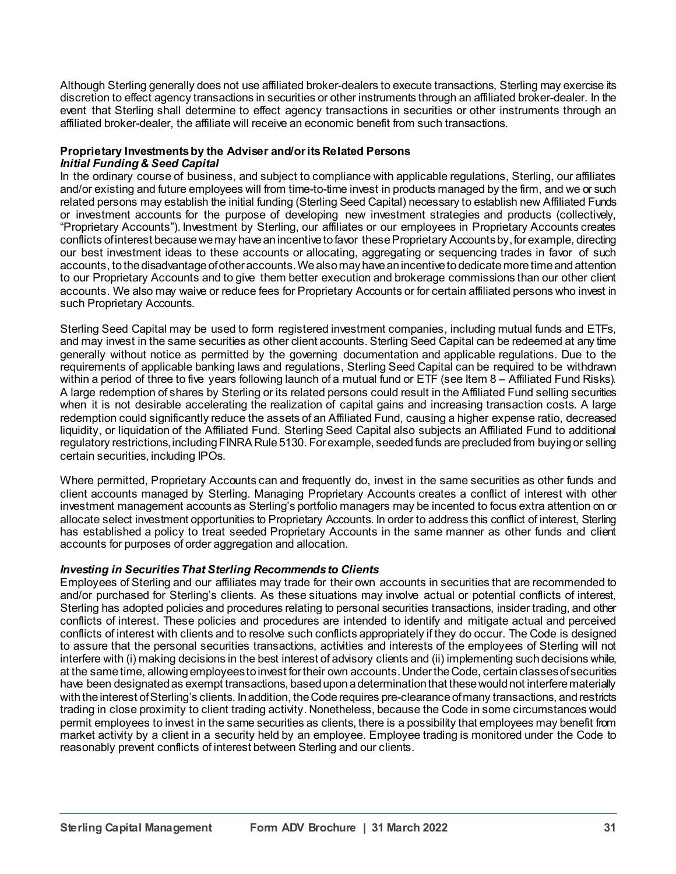Although Sterling generally does not use affiliated broker-dealers to execute transactions, Sterling may exercise its discretion to effect agency transactions in securities or other instruments through an affiliated broker-dealer. In the event that Sterling shall determine to effect agency transactions in securities or other instruments through an affiliated broker-dealer, the affiliate will receive an economic benefit from such transactions.

#### **Proprietary Investments by the Adviser and/or its Related Persons** *Initial Funding & Seed Capital*

In the ordinary course of business, and subject to compliance with applicable regulations, Sterling, our affiliates and/or existing and future employees will from time-to-time invest in products managed by the firm, and we or such related persons may establish the initial funding (Sterling Seed Capital) necessary to establish new Affiliated Funds or investment accounts for the purpose of developing new investment strategies and products (collectively, "Proprietary Accounts"). Investment by Sterling, our affiliates or our employees in Proprietary Accounts creates conflicts of interest because we may have an incentive to favor these Proprietary Accounts by, for example, directing our best investment ideas to these accounts or allocating, aggregating or sequencing trades in favor of such accounts, to the disadvantage of other accounts. We also may have an incentive to dedicate more time and attention to our Proprietary Accounts and to give them better execution and brokerage commissions than our other client accounts. We also may waive or reduce fees for Proprietary Accounts or for certain affiliated persons who invest in such Proprietary Accounts.

Sterling Seed Capital may be used to form registered investment companies, including mutual funds and ETFs, and may invest in the same securities as other client accounts. Sterling Seed Capital can be redeemed at any time generally without notice as permitted by the governing documentation and applicable regulations. Due to the requirements of applicable banking laws and regulations, Sterling Seed Capital can be required to be withdrawn within a period of three to five years following launch of a mutual fund or ETF (see Item 8 – Affiliated Fund Risks). A large redemption of shares by Sterling or its related persons could result in the Affiliated Fund selling securities when it is not desirable accelerating the realization of capital gains and increasing transaction costs. A large redemption could significantly reduce the assets of an Affiliated Fund, causing a higher expense ratio, decreased liquidity, or liquidation of the Affiliated Fund. Sterling Seed Capital also subjects an Affiliated Fund to additional regulatory restrictions, including FINRA Rule 5130. For example, seeded funds are precluded from buying or selling certain securities, including IPOs.

Where permitted, Proprietary Accounts can and frequently do, invest in the same securities as other funds and client accounts managed by Sterling. Managing Proprietary Accounts creates a conflict of interest with other investment management accounts as Sterling's portfolio managers may be incented to focus extra attention on or allocate select investment opportunities to Proprietary Accounts. In order to address this conflict of interest, Sterling has established a policy to treat seeded Proprietary Accounts in the same manner as other funds and client accounts for purposes of order aggregation and allocation.

# *Investing in Securities That Sterling Recommends to Clients*

Employees of Sterling and our affiliates may trade for their own accounts in securities that are recommended to and/or purchased for Sterling's clients. As these situations may involve actual or potential conflicts of interest, Sterling has adopted policies and procedures relating to personal securities transactions, insider trading, and other conflicts of interest. These policies and procedures are intended to identify and mitigate actual and perceived conflicts of interest with clients and to resolve such conflicts appropriately if they do occur. The Code is designed to assure that the personal securities transactions, activities and interests of the employees of Sterling will not interfere with (i) making decisions in the best interest of advisory clients and (ii) implementing such decisions while, at the same time, allowing employees to invest for their own accounts. Under the Code, certain classes of securities have been designated as exempt transactions, based upon a determination that these would not interfere materially with the interest of Sterling's clients. In addition, the Code requires pre-clearance of many transactions, and restricts trading in close proximity to client trading activity. Nonetheless, because the Code in some circumstances would permit employees to invest in the same securities as clients, there is a possibility that employees may benefit from market activity by a client in a security held by an employee. Employee trading is monitored under the Code to reasonably prevent conflicts of interest between Sterling and our clients.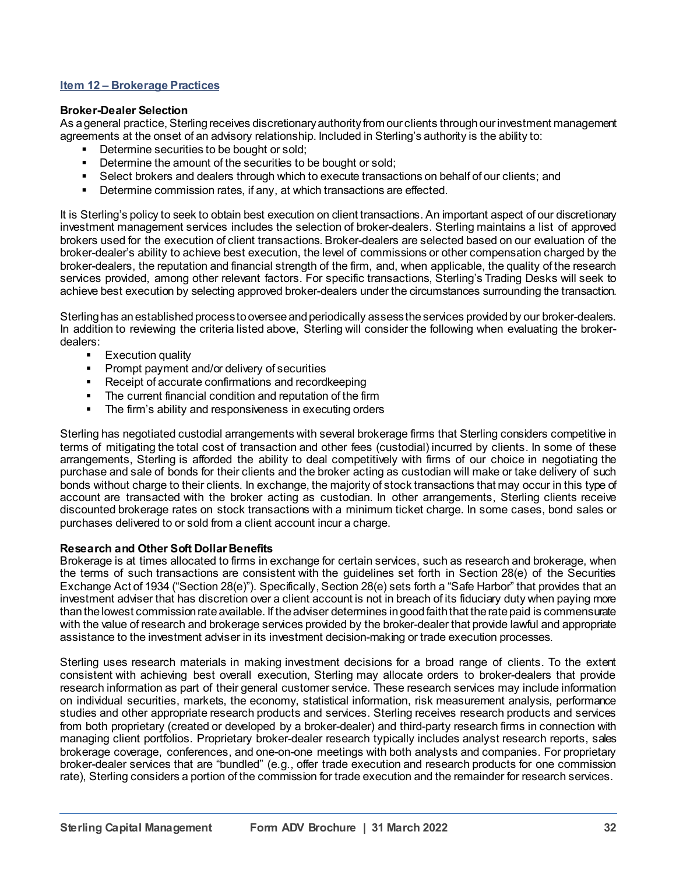## **Item 12 – Brokerage Practices**

#### **Broker-Dealer Selection**

As a general practice, Sterling receives discretionary authority from our clients through our investment management agreements at the onset of an advisory relationship. Included in Sterling's authority is the ability to:

- Determine securities to be bought or sold;
- Determine the amount of the securities to be bought or sold;<br>■ Select brokers and dealers through which to execute transac
- Select brokers and dealers through which to execute transactions on behalf of our clients; and
- Determine commission rates, if any, at which transactions are effected.

It is Sterling's policy to seek to obtain best execution on client transactions. An important aspect of our discretionary investment management services includes the selection of broker-dealers. Sterling maintains a list of approved brokers used for the execution of client transactions. Broker-dealers are selected based on our evaluation of the broker-dealer's ability to achieve best execution, the level of commissions or other compensation charged by the broker-dealers, the reputation and financial strength of the firm, and, when applicable, the quality of the research services provided, among other relevant factors. For specific transactions, Sterling's Trading Desks will seek to achieve best execution by selecting approved broker-dealers under the circumstances surrounding the transaction.

Sterling has an established process to oversee and periodically assess the services provided by our broker-dealers. In addition to reviewing the criteria listed above, Sterling will consider the following when evaluating the brokerdealers:

- Execution quality<br>■ Prompt payment a
- Prompt payment and/or delivery of securities<br>■ Receint of accurate confirmations and record
- Receipt of accurate confirmations and recordkeeping<br>■ The current financial condition and reputation of the fir
- The current financial condition and reputation of the firm<br>■ The firm's ability and responsiveness in executing orders
- The firm's ability and responsiveness in executing orders

Sterling has negotiated custodial arrangements with several brokerage firms that Sterling considers competitive in terms of mitigating the total cost of transaction and other fees (custodial) incurred by clients. In some of these arrangements, Sterling is afforded the ability to deal competitively with firms of our choice in negotiating the purchase and sale of bonds for their clients and the broker acting as custodian will make or take delivery of such bonds without charge to their clients. In exchange, the majority of stock transactions that may occur in this type of account are transacted with the broker acting as custodian. In other arrangements, Sterling clients receive discounted brokerage rates on stock transactions with a minimum ticket charge. In some cases, bond sales or purchases delivered to or sold from a client account incur a charge.

#### **Research and Other Soft Dollar Benefits**

Brokerage is at times allocated to firms in exchange for certain services, such as research and brokerage, when the terms of such transactions are consistent with the guidelines set forth in Section 28(e) of the Securities Exchange Act of 1934 ("Section 28(e)"). Specifically, Section 28(e) sets forth a "Safe Harbor" that provides that an investment adviser that has discretion over a client account is not in breach of its fiduciary duty when paying more than the lowest commission rate available. If theadviser determines in good faith that the rate paid is commensurate with the value of research and brokerage services provided by the broker-dealer that provide lawful and appropriate assistance to the investment adviser in its investment decision-making or trade execution processes.

Sterling uses research materials in making investment decisions for a broad range of clients. To the extent consistent with achieving best overall execution, Sterling may allocate orders to broker-dealers that provide research information as part of their general customer service. These research services may include information on individual securities, markets, the economy, statistical information, risk measurement analysis, performance studies and other appropriate research products and services. Sterling receives research products and services from both proprietary (created or developed by a broker-dealer) and third-party research firms in connection with managing client portfolios. Proprietary broker-dealer research typically includes analyst research reports, sales brokerage coverage, conferences, and one-on-one meetings with both analysts and companies. For proprietary broker-dealer services that are "bundled" (e.g., offer trade execution and research products for one commission rate), Sterling considers a portion of the commission for trade execution and the remainder for research services.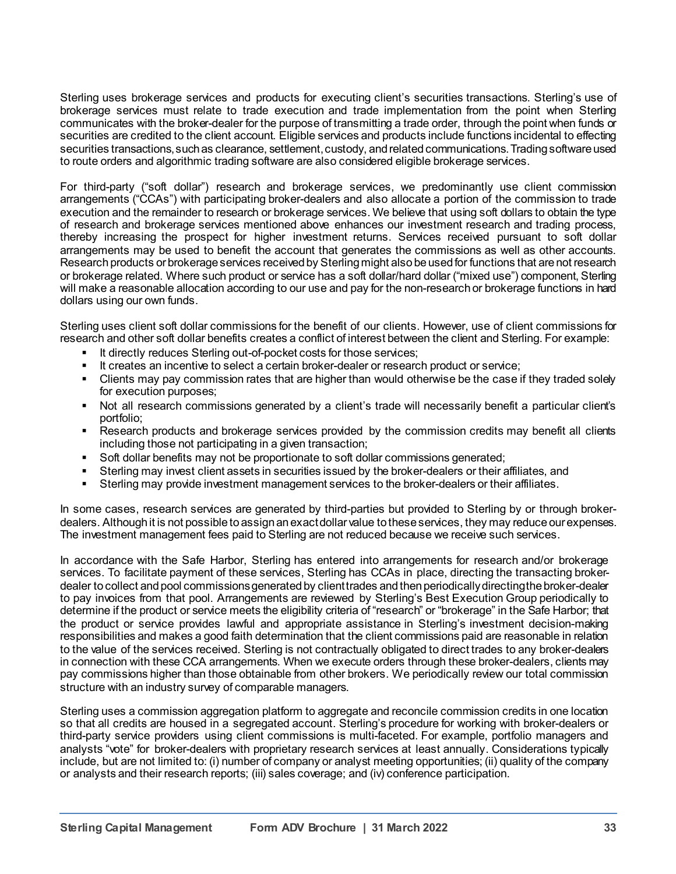Sterling uses brokerage services and products for executing client's securities transactions. Sterling's use of brokerage services must relate to trade execution and trade implementation from the point when Sterling communicates with the broker-dealer for the purpose of transmitting a trade order, through the point when funds or securities are credited to the client account. Eligible services and products include functions incidental to effecting securities transactions, such as clearance, settlement, custody, and related communications. Trading software used to route orders and algorithmic trading software are also considered eligible brokerage services.

For third-party ("soft dollar") research and brokerage services, we predominantly use client commission arrangements ("CCAs") with participating broker-dealers and also allocate a portion of the commission to trade execution and the remainder to research or brokerage services. We believe that using soft dollars to obtain the type of research and brokerage services mentioned above enhances our investment research and trading process, thereby increasing the prospect for higher investment returns. Services received pursuant to soft dollar arrangements may be used to benefit the account that generates the commissions as well as other accounts. Research products or brokerage services received by Sterling might also be used for functions that are not research or brokerage related. Where such product or service has a soft dollar/hard dollar ("mixed use") component, Sterling will make a reasonable allocation according to our use and pay for the non-research or brokerage functions in hard dollars using our own funds.

Sterling uses client soft dollar commissions for the benefit of our clients. However, use of client commissions for research and other soft dollar benefits creates a conflict of interest between the client and Sterling. For example:

- **E** It directly reduces Sterling out-of-pocket costs for those services;
- It creates an incentive to select a certain broker-dealer or research product or service;
- Clients may pay commission rates that are higher than would otherwise be the case if they traded solely for execution purposes;
- Not all research commissions generated by a client's trade will necessarily benefit a particular client's portfolio;
- Research products and brokerage services provided by the commission credits may benefit all clients including those not participating in a given transaction;
- Soft dollar benefits may not be proportionate to soft dollar commissions generated;
- Sterling may invest client assets in securities issued by the broker-dealers or their affiliates, and
- Sterling may provide investment management services to the broker-dealers or their affiliates.

In some cases, research services are generated by third-parties but provided to Sterling by or through brokerdealers. Although it is not possible to assign an exact dollar value to these services, they may reduce our expenses. The investment management fees paid to Sterling are not reduced because we receive such services.

In accordance with the Safe Harbor, Sterling has entered into arrangements for research and/or brokerage services. To facilitate payment of these services, Sterling has CCAs in place, directing the transacting brokerdealer to collect and pool commissions generated by client trades and then periodically directing the broker-dealer to pay invoices from that pool. Arrangements are reviewed by Sterling's Best Execution Group periodically to determine if the product or service meets the eligibility criteria of "research" or "brokerage" in the Safe Harbor; that the product or service provides lawful and appropriate assistance in Sterling's investment decision-making responsibilities and makes a good faith determination that the client commissions paid are reasonable in relation to the value of the services received. Sterling is not contractually obligated to direct trades to any broker-dealers in connection with these CCA arrangements. When we execute orders through these broker-dealers, clients may pay commissions higher than those obtainable from other brokers. We periodically review our total commission structure with an industry survey of comparable managers.

Sterling uses a commission aggregation platform to aggregate and reconcile commission credits in one location so that all credits are housed in a segregated account. Sterling's procedure for working with broker-dealers or third-party service providers using client commissions is multi-faceted. For example, portfolio managers and analysts "vote" for broker-dealers with proprietary research services at least annually. Considerations typically include, but are not limited to: (i) number of company or analyst meeting opportunities; (ii) quality of the company or analysts and their research reports; (iii) sales coverage; and (iv) conference participation.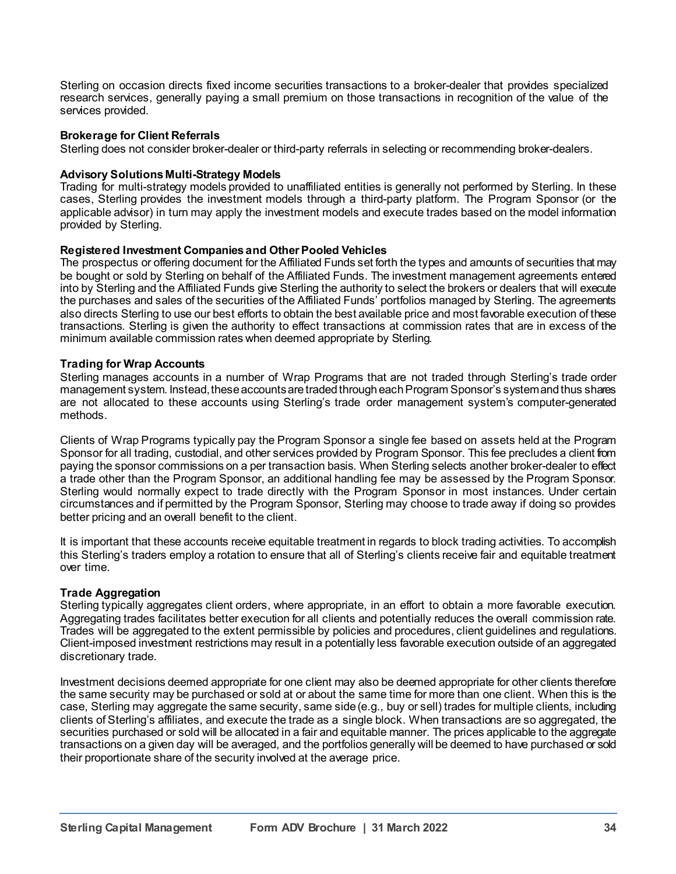Sterling on occasion directs fixed income securities transactions to a broker-dealer that provides specialized research services, generally paying a small premium on those transactions in recognition of the value of the services provided.

## **Brokerage for Client Referrals**

Sterling does not consider broker-dealer or third-party referrals in selecting or recommending broker-dealers.

## **Advisory Solutions Multi-Strategy Models**

Trading for multi-strategy models provided to unaffiliated entities is generally not performed by Sterling. In these cases, Sterling provides the investment models through a third-party platform. The Program Sponsor (or the applicable advisor) in turn may apply the investment models and execute trades based on the model information provided by Sterling.

## **Registered Investment Companies and Other Pooled Vehicles**

The prospectus or offering document for the Affiliated Funds set forth the types and amounts of securities that may be bought or sold by Sterling on behalf of the Affiliated Funds. The investment management agreements entered into by Sterling and the Affiliated Funds give Sterling the authority to select the brokers or dealers that will execute the purchases and sales of the securities of the Affiliated Funds' portfolios managed by Sterling. The agreements also directs Sterling to use our best efforts to obtain the best available price and most favorable execution of these transactions. Sterling is given the authority to effect transactions at commission rates that are in excess of the minimum available commission rates when deemed appropriate by Sterling.

## **Trading for Wrap Accounts**

Sterling manages accounts in a number of Wrap Programs that are not traded through Sterling's trade order management system. Instead, these accounts are traded through each Program Sponsor's system and thus shares are not allocated to these accounts using Sterling's trade order management system's computer-generated methods.

Clients of Wrap Programs typically pay the Program Sponsor a single fee based on assets held at the Program Sponsor for all trading, custodial, and other services provided by Program Sponsor. This fee precludes a client from paying the sponsor commissions on a per transaction basis. When Sterling selects another broker-dealer to effect a trade other than the Program Sponsor, an additional handling fee may be assessed by the Program Sponsor. Sterling would normally expect to trade directly with the Program Sponsor in most instances. Under certain circumstances and if permitted by the Program Sponsor, Sterling may choose to trade away if doing so provides better pricing and an overall benefit to the client.

It is important that these accounts receive equitable treatment in regards to block trading activities. To accomplish this Sterling's traders employ a rotation to ensure that all of Sterling's clients receive fair and equitable treatment over time.

## **Trade Aggregation**

Sterling typically aggregates client orders, where appropriate, in an effort to obtain a more favorable execution. Aggregating trades facilitates better execution for all clients and potentially reduces the overall commission rate. Trades will be aggregated to the extent permissible by policies and procedures, client guidelines and regulations. Client-imposed investment restrictions may result in a potentially less favorable execution outside of an aggregated discretionary trade.

Investment decisions deemed appropriate for one client may also be deemed appropriate for other clients therefore the same security may be purchased or sold at or about the same time for more than one client. When this is the case, Sterling may aggregate the same security, same side (e.g.*,* buy or sell) trades for multiple clients, including clients of Sterling's affiliates, and execute the trade as a single block. When transactions are so aggregated, the securities purchased or sold will be allocated in a fair and equitable manner. The prices applicable to the aggregate transactions on a given day will be averaged, and the portfolios generally will be deemed to have purchased or sold their proportionate share of the security involved at the average price.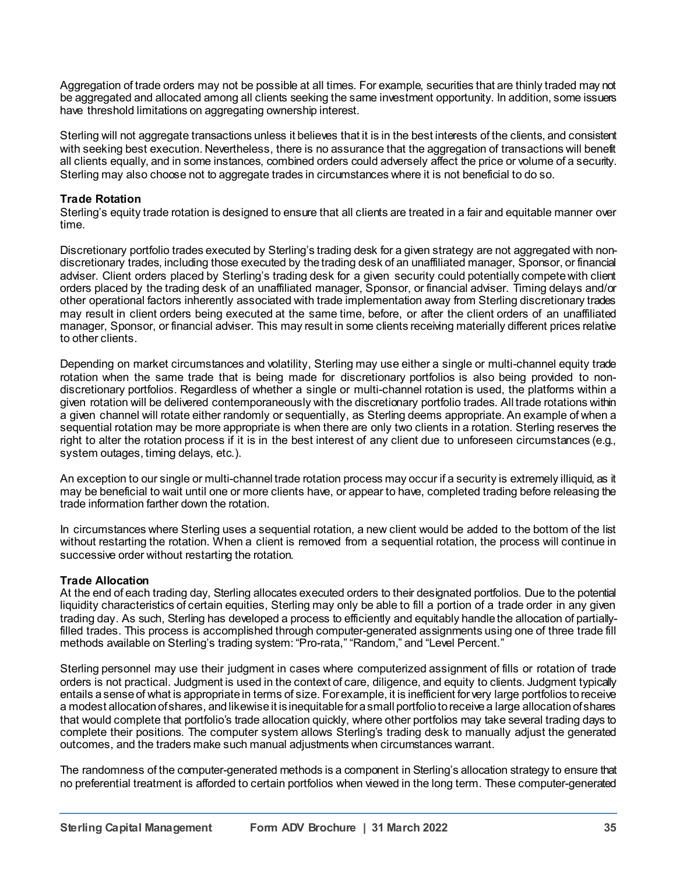Aggregation of trade orders may not be possible at all times. For example, securities that are thinly traded may not be aggregated and allocated among all clients seeking the same investment opportunity. In addition, some issuers have threshold limitations on aggregating ownership interest.

Sterling will not aggregate transactions unless it believes that it is in the best interests of the clients, and consistent with seeking best execution. Nevertheless, there is no assurance that the aggregation of transactions will benefit all clients equally, and in some instances, combined orders could adversely affect the price or volume of a security. Sterling may also choose not to aggregate trades in circumstances where it is not beneficial to do so.

## **Trade Rotation**

Sterling's equity trade rotation is designed to ensure that all clients are treated in a fair and equitable manner over time.

Discretionary portfolio trades executed by Sterling's trading desk for a given strategy are not aggregated with nondiscretionary trades, including those executed by the trading desk of an unaffiliated manager, Sponsor, or financial adviser. Client orders placed by Sterling's trading desk for a given security could potentially compete with client orders placed by the trading desk of an unaffiliated manager, Sponsor, or financial adviser. Timing delays and/or other operational factors inherently associated with trade implementation away from Sterling discretionary trades may result in client orders being executed at the same time, before, or after the client orders of an unaffiliated manager, Sponsor, or financial adviser. This may result in some clients receiving materially different prices relative to other clients.

Depending on market circumstances and volatility, Sterling may use either a single or multi-channel equity trade rotation when the same trade that is being made for discretionary portfolios is also being provided to nondiscretionary portfolios. Regardless of whether a single or multi-channel rotation is used, the platforms within a given rotation will be delivered contemporaneously with the discretionary portfolio trades. All trade rotations within a given channel will rotate either randomly or sequentially, as Sterling deems appropriate. An example of when a sequential rotation may be more appropriate is when there are only two clients in a rotation. Sterling reserves the right to alter the rotation process if it is in the best interest of any client due to unforeseen circumstances (e.g., system outages, timing delays, etc.).

An exception to our single or multi-channel trade rotation process may occur if a security is extremely illiquid, as it may be beneficial to wait until one or more clients have, or appear to have, completed trading before releasing the trade information farther down the rotation.

In circumstances where Sterling uses a sequential rotation, a new client would be added to the bottom of the list without restarting the rotation. When a client is removed from a sequential rotation, the process will continue in successive order without restarting the rotation.

## **Trade Allocation**

At the end of each trading day, Sterling allocates executed orders to their designated portfolios. Due to the potential liquidity characteristics of certain equities, Sterling may only be able to fill a portion of a trade order in any given trading day. As such, Sterling has developed a process to efficiently and equitably handle the allocation of partiallyfilled trades. This process is accomplished through computer-generated assignments using one of three trade fill methods available on Sterling's trading system: "Pro-rata," "Random," and "Level Percent."

Sterling personnel may use their judgment in cases where computerized assignment of fills or rotation of trade orders is not practical. Judgment is used in the context of care, diligence, and equity to clients. Judgment typically entails a sense of what is appropriate in terms of size. For example, it is inefficient for very large portfolios to receive a modest allocation of shares, and likewise it is inequitable for a small portfolio to receive a large allocation of shares that would complete that portfolio's trade allocation quickly, where other portfolios may take several trading days to complete their positions. The computer system allows Sterling's trading desk to manually adjust the generated outcomes, and the traders make such manual adjustments when circumstances warrant.

The randomness of the computer-generated methods is a component in Sterling's allocation strategy to ensure that no preferential treatment is afforded to certain portfolios when viewed in the long term. These computer-generated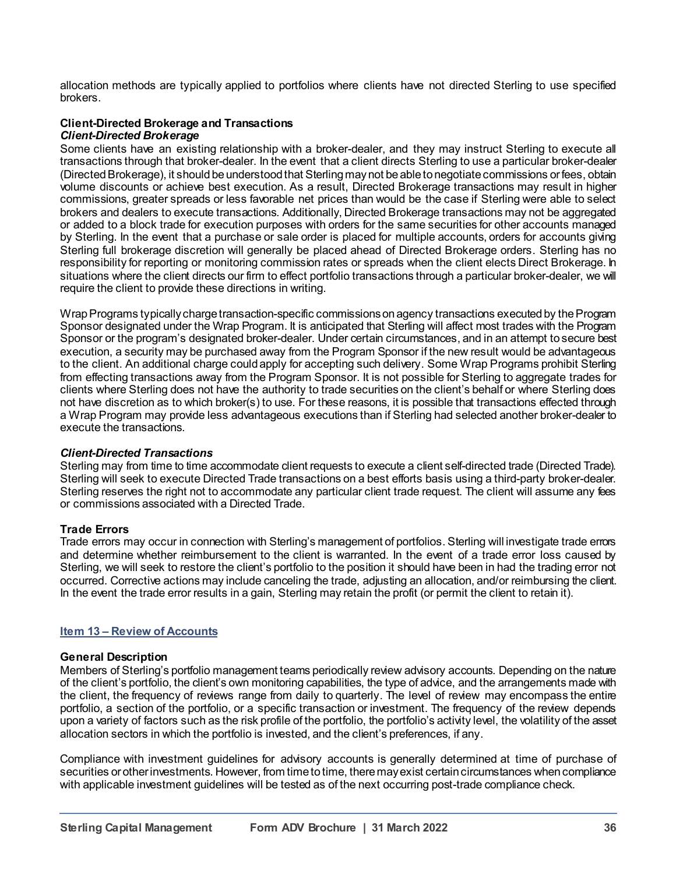allocation methods are typically applied to portfolios where clients have not directed Sterling to use specified brokers.

#### **Client-Directed Brokerage and Transactions** *Client-Directed Brokerage*

Some clients have an existing relationship with a broker-dealer, and they may instruct Sterling to execute all transactions through that broker-dealer. In the event that a client directs Sterling to use a particular broker-dealer (Directed Brokerage), it should be understood that Sterling maynot be able to negotiate commissions or fees, obtain volume discounts or achieve best execution. As a result, Directed Brokerage transactions may result in higher commissions, greater spreads or less favorable net prices than would be the case if Sterling were able to select brokers and dealers to execute transactions. Additionally, Directed Brokerage transactions may not be aggregated or added to a block trade for execution purposes with orders for the same securities for other accounts managed by Sterling. In the event that a purchase or sale order is placed for multiple accounts, orders for accounts giving Sterling full brokerage discretion will generally be placed ahead of Directed Brokerage orders. Sterling has no responsibility for reporting or monitoring commission rates or spreads when the client elects Direct Brokerage. In situations where the client directs our firm to effect portfolio transactions through a particular broker-dealer, we will require the client to provide these directions in writing.

Wrap Programs typically charge transaction-specific commissions on agency transactions executed by the Program Sponsor designated under the Wrap Program. It is anticipated that Sterling will affect most trades with the Program Sponsor or the program's designated broker-dealer. Under certain circumstances, and in an attempt to secure best execution, a security may be purchased away from the Program Sponsor if the new result would be advantageous to the client. An additional charge could apply for accepting such delivery. Some Wrap Programs prohibit Sterling from effecting transactions away from the Program Sponsor. It is not possible for Sterling to aggregate trades for clients where Sterling does not have the authority to trade securities on the client's behalf or where Sterling does not have discretion as to which broker(s) to use. For these reasons, it is possible that transactions effected through a Wrap Program may provide less advantageous executions than if Sterling had selected another broker-dealer to execute the transactions.

## *Client-Directed Transactions*

Sterling may from time to time accommodate client requests to execute a client self-directed trade (Directed Trade). Sterling will seek to execute Directed Trade transactions on a best efforts basis using a third-party broker-dealer. Sterling reserves the right not to accommodate any particular client trade request. The client will assume any fees or commissions associated with a Directed Trade.

# **Trade Errors**

Trade errors may occur in connection with Sterling's management of portfolios. Sterling will investigate trade errors and determine whether reimbursement to the client is warranted. In the event of a trade error loss caused by Sterling, we will seek to restore the client's portfolio to the position it should have been in had the trading error not occurred. Corrective actions may include canceling the trade, adjusting an allocation, and/or reimbursing the client. In the event the trade error results in a gain, Sterling may retain the profit (or permit the client to retain it).

## **Item 13 – Review of Accounts**

## **General Description**

Members of Sterling's portfolio management teams periodically review advisory accounts. Depending on the nature of the client's portfolio, the client's own monitoring capabilities, the type of advice, and the arrangements made with the client, the frequency of reviews range from daily to quarterly. The level of review may encompass the entire portfolio, a section of the portfolio, or a specific transaction or investment. The frequency of the review depends upon a variety of factors such as the risk profile of the portfolio, the portfolio's activity level, the volatility of the asset allocation sectors in which the portfolio is invested, and the client's preferences, if any.

Compliance with investment guidelines for advisory accounts is generally determined at time of purchase of securities or other investments. However, from time to time, there may exist certain circumstances when compliance with applicable investment guidelines will be tested as of the next occurring post-trade compliance check.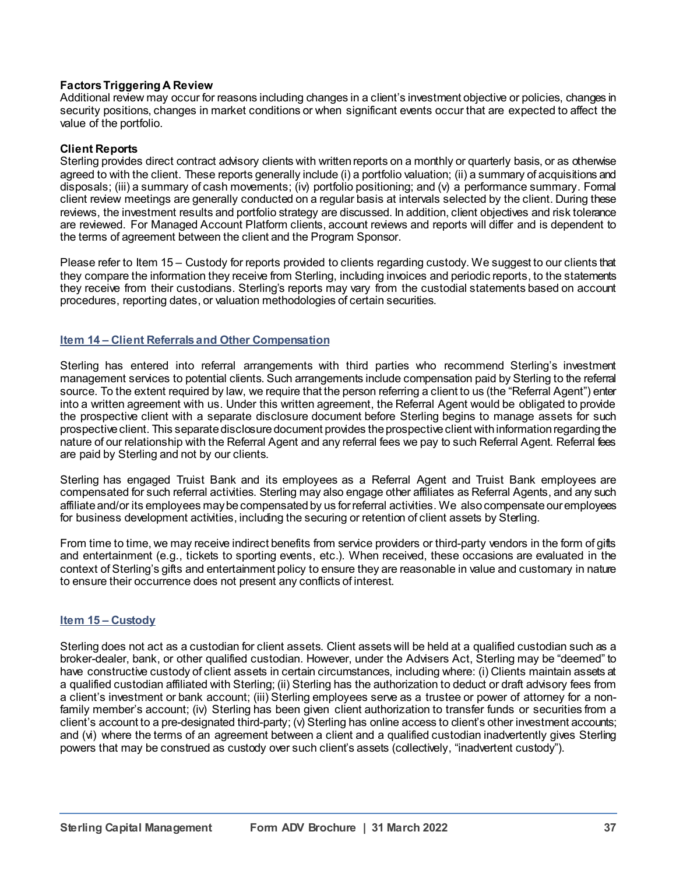## **Factors Triggering A Review**

Additional review may occur for reasons including changes in a client's investment objective or policies, changes in security positions, changes in market conditions or when significant events occur that are expected to affect the value of the portfolio.

## **Client Reports**

Sterling provides direct contract advisory clients with written reports on a monthly or quarterly basis, or as otherwise agreed to with the client. These reports generally include (i) a portfolio valuation; (ii) a summary of acquisitions and disposals; (iii) a summary of cash movements; (iv) portfolio positioning; and (v) a performance summary. Formal client review meetings are generally conducted on a regular basis at intervals selected by the client. During these reviews, the investment results and portfolio strategy are discussed. In addition, client objectives and risk tolerance are reviewed. For Managed Account Platform clients, account reviews and reports will differ and is dependent to the terms of agreement between the client and the Program Sponsor.

Please refer to Item 15 – Custody for reports provided to clients regarding custody. We suggest to our clients that they compare the information they receive from Sterling, including invoices and periodic reports, to the statements they receive from their custodians. Sterling's reports may vary from the custodial statements based on account procedures, reporting dates, or valuation methodologies of certain securities.

## **Item 14 – Client Referrals and Other Compensation**

Sterling has entered into referral arrangements with third parties who recommend Sterling's investment management services to potential clients. Such arrangements include compensation paid by Sterling to the referral source. To the extent required by law, we require that the person referring a client to us (the "Referral Agent") enter into a written agreement with us. Under this written agreement, the Referral Agent would be obligated to provide the prospective client with a separate disclosure document before Sterling begins to manage assets for such prospective client. This separate disclosure document provides the prospective client with information regarding the nature of our relationship with the Referral Agent and any referral fees we pay to such Referral Agent. Referral fees are paid by Sterling and not by our clients.

Sterling has engaged Truist Bank and its employees as a Referral Agent and Truist Bank employees are compensated for such referral activities. Sterling may also engage other affiliates as Referral Agents, and any such affiliate and/or its employees may be compensated by us for referral activities. We also compensate our employees for business development activities, including the securing or retention of client assets by Sterling.

From time to time, we may receive indirect benefits from service providers or third-party vendors in the form of gifts and entertainment (e.g., tickets to sporting events, etc.). When received, these occasions are evaluated in the context of Sterling's gifts and entertainment policy to ensure they are reasonable in value and customary in nature to ensure their occurrence does not present any conflicts of interest.

## **Item 15 – Custody**

Sterling does not act as a custodian for client assets. Client assets will be held at a qualified custodian such as a broker-dealer, bank, or other qualified custodian. However, under the Advisers Act, Sterling may be "deemed" to have constructive custody of client assets in certain circumstances, including where: (i) Clients maintain assets at a qualified custodian affiliated with Sterling; (ii) Sterling has the authorization to deduct or draft advisory fees from a client's investment or bank account; (iii) Sterling employees serve as a trustee or power of attorney for a nonfamily member's account; (iv) Sterling has been given client authorization to transfer funds or securities from a client's account to a pre-designated third-party; (v) Sterling has online access to client's other investment accounts; and (vi) where the terms of an agreement between a client and a qualified custodian inadvertently gives Sterling powers that may be construed as custody over such client's assets (collectively, "inadvertent custody").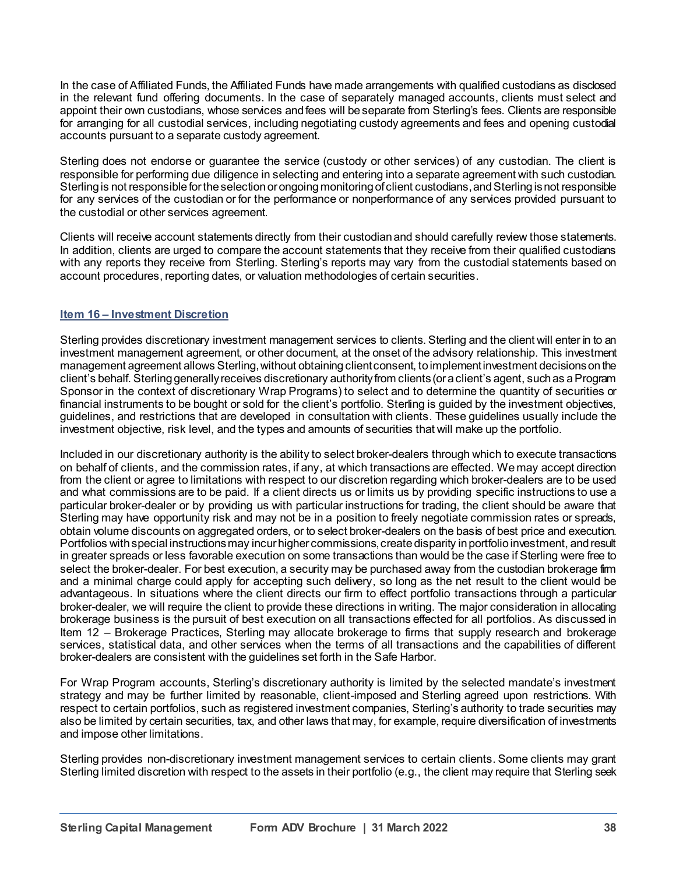In the case of Affiliated Funds, the Affiliated Funds have made arrangements with qualified custodians as disclosed in the relevant fund offering documents. In the case of separately managed accounts, clients must select and appoint their own custodians, whose services and fees will be separate from Sterling's fees. Clients are responsible for arranging for all custodial services, including negotiating custody agreements and fees and opening custodial accounts pursuant to a separate custody agreement.

Sterling does not endorse or guarantee the service (custody or other services) of any custodian. The client is responsible for performing due diligence in selecting and entering into a separate agreement with such custodian. Sterling is not responsible for the selection or ongoing monitoring ofclient custodians, and Sterlingisnot responsible for any services of the custodian or for the performance or nonperformance of any services provided pursuant to the custodial or other services agreement.

Clients will receive account statements directly from their custodian and should carefully review those statements. In addition, clients are urged to compare the account statements that they receive from their qualified custodians with any reports they receive from Sterling. Sterling's reports may vary from the custodial statements based on account procedures, reporting dates, or valuation methodologies of certain securities.

# **Item 16 – Investment Discretion**

Sterling provides discretionary investment management services to clients. Sterling and the client will enter in to an investment management agreement, or other document, at the onset of the advisory relationship. This investment management agreement allows Sterling, without obtaining client consent, to implement investment decisionson the client's behalf. Sterling generally receives discretionary authority from clients (or a client's agent, such as a Program Sponsor in the context of discretionary Wrap Programs) to select and to determine the quantity of securities or financial instruments to be bought or sold for the client's portfolio. Sterling is guided by the investment objectives, guidelines, and restrictions that are developed in consultation with clients. These guidelines usually include the investment objective, risk level, and the types and amounts of securities that will make up the portfolio.

Included in our discretionary authority is the ability to select broker-dealers through which to execute transactions on behalf of clients, and the commission rates, if any, at which transactions are effected. We may accept direction from the client or agree to limitations with respect to our discretion regarding which broker-dealers are to be used and what commissions are to be paid. If a client directs us or limits us by providing specific instructions to use a particular broker-dealer or by providing us with particular instructions for trading, the client should be aware that Sterling may have opportunity risk and may not be in a position to freely negotiate commission rates or spreads, obtain volume discounts on aggregated orders, or to select broker-dealers on the basis of best price and execution. Portfolios with special instructions may incur higher commissions, create disparity in portfolio investment, and result in greater spreads or less favorable execution on some transactions than would be the case if Sterling were free to select the broker-dealer. For best execution, a security may be purchased away from the custodian brokerage firm and a minimal charge could apply for accepting such delivery, so long as the net result to the client would be advantageous. In situations where the client directs our firm to effect portfolio transactions through a particular broker-dealer, we will require the client to provide these directions in writing. The major consideration in allocating brokerage business is the pursuit of best execution on all transactions effected for all portfolios. As discussed in Item 12 – Brokerage Practices, Sterling may allocate brokerage to firms that supply research and brokerage services, statistical data, and other services when the terms of all transactions and the capabilities of different broker-dealers are consistent with the guidelines set forth in the Safe Harbor.

For Wrap Program accounts, Sterling's discretionary authority is limited by the selected mandate's investment strategy and may be further limited by reasonable, client-imposed and Sterling agreed upon restrictions. With respect to certain portfolios, such as registered investment companies, Sterling's authority to trade securities may also be limited by certain securities, tax, and other laws that may, for example, require diversification of investments and impose other limitations.

Sterling provides non-discretionary investment management services to certain clients. Some clients may grant Sterling limited discretion with respect to the assets in their portfolio (e.g., the client may require that Sterling seek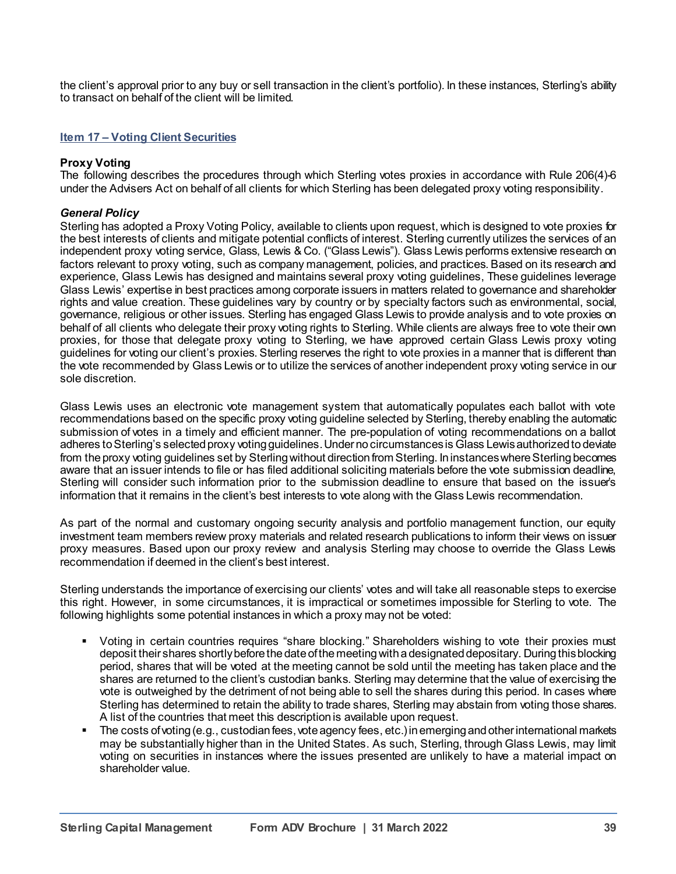the client's approval prior to any buy or sell transaction in the client's portfolio). In these instances, Sterling's ability to transact on behalf of the client will be limited.

#### **Item 17 – Voting Client Securities**

#### **Proxy Voting**

The following describes the procedures through which Sterling votes proxies in accordance with Rule 206(4)-6 under the Advisers Act on behalf of all clients for which Sterling has been delegated proxy voting responsibility.

#### *General Policy*

Sterling has adopted a Proxy Voting Policy, available to clients upon request, which is designed to vote proxies for the best interests of clients and mitigate potential conflicts of interest. Sterling currently utilizes the services of an independent proxy voting service, Glass, Lewis & Co. ("Glass Lewis"). Glass Lewis performs extensive research on factors relevant to proxy voting, such as company management, policies, and practices. Based on its research and experience, Glass Lewis has designed and maintains several proxy voting guidelines, These guidelines leverage Glass Lewis' expertise in best practices among corporate issuers in matters related to governance and shareholder rights and value creation. These guidelines vary by country or by specialty factors such as environmental, social, governance, religious or other issues. Sterling has engaged Glass Lewis to provide analysis and to vote proxies on behalf of all clients who delegate their proxy voting rights to Sterling. While clients are always free to vote their own proxies, for those that delegate proxy voting to Sterling, we have approved certain Glass Lewis proxy voting guidelines for voting our client's proxies. Sterling reserves the right to vote proxies in a manner that is different than the vote recommended by Glass Lewis or to utilize the services of another independent proxy voting service in our sole discretion.

Glass Lewis uses an electronic vote management system that automatically populates each ballot with vote recommendations based on the specific proxy voting guideline selected by Sterling, thereby enabling the automatic submission of votes in a timely and efficient manner. The pre-population of voting recommendations on a ballot adheres to Sterling's selected proxy voting guidelines. Under no circumstances is Glass Lewis authorized to deviate from the proxy voting guidelines set by Sterling without direction from Sterling. In instances where Sterling becomes aware that an issuer intends to file or has filed additional soliciting materials before the vote submission deadline, Sterling will consider such information prior to the submission deadline to ensure that based on the issuer's information that it remains in the client's best interests to vote along with the Glass Lewis recommendation.

As part of the normal and customary ongoing security analysis and portfolio management function, our equity investment team members review proxy materials and related research publications to inform their views on issuer proxy measures. Based upon our proxy review and analysis Sterling may choose to override the Glass Lewis recommendation if deemed in the client's best interest.

Sterling understands the importance of exercising our clients' votes and will take all reasonable steps to exercise this right. However, in some circumstances, it is impractical or sometimes impossible for Sterling to vote. The following highlights some potential instances in which a proxy may not be voted:

- Voting in certain countries requires "share blocking." Shareholders wishing to vote their proxies must deposit their shares shortly before the date of the meeting with a designated depositary. During this blocking period, shares that will be voted at the meeting cannot be sold until the meeting has taken place and the shares are returned to the client's custodian banks. Sterling may determine that the value of exercising the vote is outweighed by the detriment of not being able to sell the shares during this period. In cases where Sterling has determined to retain the ability to trade shares, Sterling may abstain from voting those shares. A list of the countries that meet this description is available upon request.
- The costs of voting (e.g., custodian fees, vote agency fees, etc.) in emerging and other international markets may be substantially higher than in the United States. As such, Sterling, through Glass Lewis, may limit voting on securities in instances where the issues presented are unlikely to have a material impact on shareholder value.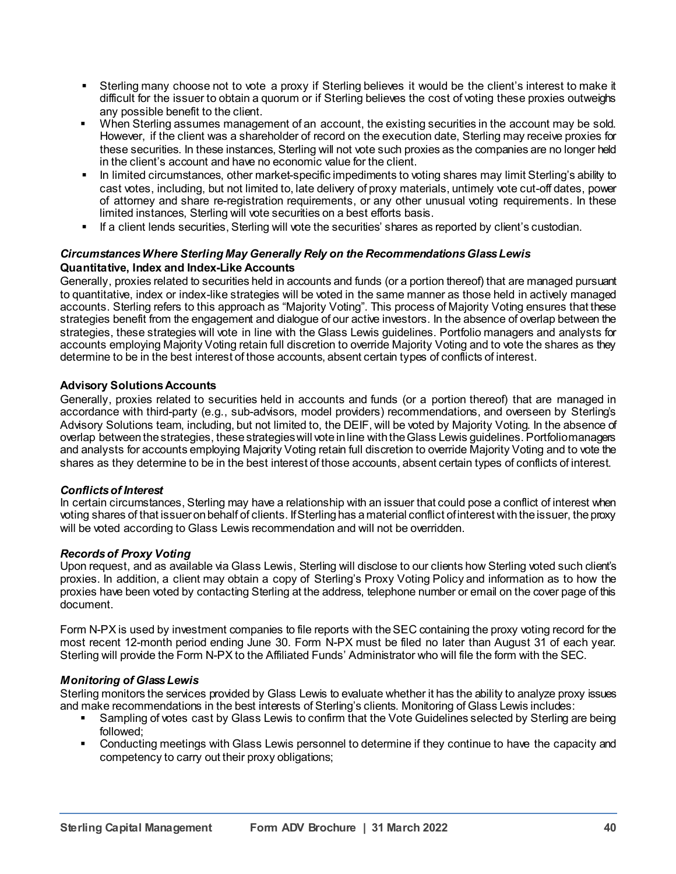- Sterling many choose not to vote a proxy if Sterling believes it would be the client's interest to make it difficult for the issuer to obtain a quorum or if Sterling believes the cost of voting these proxies outweighs any possible benefit to the client.
- When Sterling assumes management of an account, the existing securities in the account may be sold. However, if the client was a shareholder of record on the execution date, Sterling may receive proxies for these securities. In these instances, Sterling will not vote such proxies as the companies are no longer held in the client's account and have no economic value for the client.
- In limited circumstances, other market-specific impediments to voting shares may limit Sterling's ability to cast votes, including, but not limited to, late delivery of proxy materials, untimely vote cut-off dates, power of attorney and share re-registration requirements, or any other unusual voting requirements. In these limited instances, Sterling will vote securities on a best efforts basis.
- If a client lends securities, Sterling will vote the securities' shares as reported by client's custodian.

# *Circumstances Where Sterling May Generally Rely on the Recommendations Glass Lewis*

## **Quantitative, Index and Index-Like Accounts**

Generally, proxies related to securities held in accounts and funds (or a portion thereof) that are managed pursuant to quantitative, index or index-like strategies will be voted in the same manner as those held in actively managed accounts. Sterling refers to this approach as "Majority Voting". This process of Majority Voting ensures that these strategies benefit from the engagement and dialogue of our active investors. In the absence of overlap between the strategies, these strategies will vote in line with the Glass Lewis guidelines. Portfolio managers and analysts for accounts employing Majority Voting retain full discretion to override Majority Voting and to vote the shares as they determine to be in the best interest of those accounts, absent certain types of conflicts of interest.

## **Advisory Solutions Accounts**

Generally, proxies related to securities held in accounts and funds (or a portion thereof) that are managed in accordance with third-party (e.g., sub-advisors, model providers) recommendations, and overseen by Sterling's Advisory Solutions team, including, but not limited to, the DEIF, will be voted by Majority Voting. In the absence of overlap between the strategies, these strategies will vote in line with the Glass Lewis guidelines. Portfolio managers and analysts for accounts employing Majority Voting retain full discretion to override Majority Voting and to vote the shares as they determine to be in the best interest of those accounts, absent certain types of conflicts of interest.

## *Conflicts of Interest*

In certain circumstances, Sterling may have a relationship with an issuer that could pose a conflict of interest when voting shares of that issuer on behalf of clients. If Sterling has a material conflict of interest with the issuer, the proxy will be voted according to Glass Lewis recommendation and will not be overridden.

## *Records of Proxy Voting*

Upon request, and as available via Glass Lewis, Sterling will disclose to our clients how Sterling voted such client's proxies. In addition, a client may obtain a copy of Sterling's Proxy Voting Policy and information as to how the proxies have been voted by contacting Sterling at the address, telephone number or email on the cover page of this document.

Form N-PX is used by investment companies to file reports with the SEC containing the proxy voting record for the most recent 12-month period ending June 30. Form N-PX must be filed no later than August 31 of each year. Sterling will provide the Form N-PX to the Affiliated Funds' Administrator who will file the form with the SEC.

## *Monitoring of Glass Lewis*

Sterling monitors the services provided by Glass Lewis to evaluate whether it has the ability to analyze proxy issues and make recommendations in the best interests of Sterling's clients. Monitoring of Glass Lewis includes:

- Sampling of votes cast by Glass Lewis to confirm that the Vote Guidelines selected by Sterling are being followed;
- Conducting meetings with Glass Lewis personnel to determine if they continue to have the capacity and competency to carry out their proxy obligations;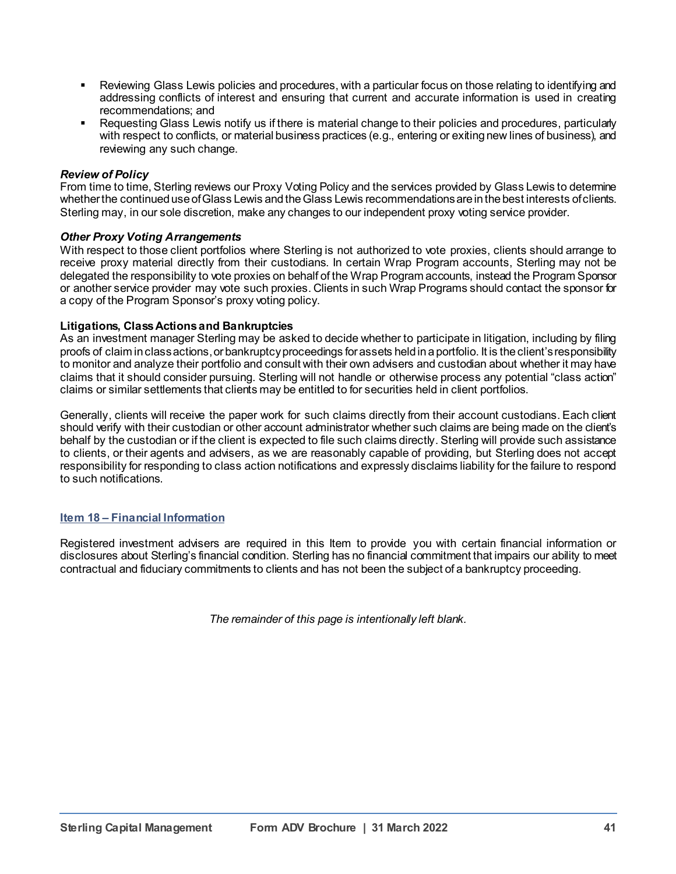- Reviewing Glass Lewis policies and procedures, with a particular focus on those relating to identifying and addressing conflicts of interest and ensuring that current and accurate information is used in creating recommendations; and
- Requesting Glass Lewis notify us if there is material change to their policies and procedures, particularly with respect to conflicts, or material business practices (e.g., entering or exiting new lines of business), and reviewing any such change.

#### *Review of Policy*

From time to time, Sterling reviews our Proxy Voting Policy and the services provided by Glass Lewis to detemine whether the continued use of Glass Lewis and the Glass Lewis recommendationsare in the best interests of clients. Sterling may, in our sole discretion, make any changes to our independent proxy voting service provider.

#### *Other Proxy Voting Arrangements*

With respect to those client portfolios where Sterling is not authorized to vote proxies, clients should arrange to receive proxy material directly from their custodians. In certain Wrap Program accounts, Sterling may not be delegated the responsibility to vote proxies on behalf of the Wrap Program accounts, instead the Program Sponsor or another service provider may vote such proxies. Clients in such Wrap Programs should contact the sponsor for a copy of the Program Sponsor's proxy voting policy.

#### **Litigations, Class Actions and Bankruptcies**

As an investment manager Sterling may be asked to decide whether to participate in litigation, including by filing proofs of claim in class actions, or bankruptcy proceedings for assets held in a portfolio. It is the client's responsibility to monitor and analyze their portfolio and consult with their own advisers and custodian about whether it may have claims that it should consider pursuing. Sterling will not handle or otherwise process any potential "class action" claims or similar settlements that clients may be entitled to for securities held in client portfolios.

Generally, clients will receive the paper work for such claims directly from their account custodians. Each client should verify with their custodian or other account administrator whether such claims are being made on the client's behalf by the custodian or if the client is expected to file such claims directly. Sterling will provide such assistance to clients, or their agents and advisers, as we are reasonably capable of providing, but Sterling does not accept responsibility for responding to class action notifications and expressly disclaims liability for the failure to respond to such notifications.

#### **Item 18 – Financial Information**

Registered investment advisers are required in this Item to provide you with certain financial information or disclosures about Sterling's financial condition. Sterling has no financial commitment that impairs our ability to meet contractual and fiduciary commitments to clients and has not been the subject of a bankruptcy proceeding.

*The remainder of this page is intentionally left blank.*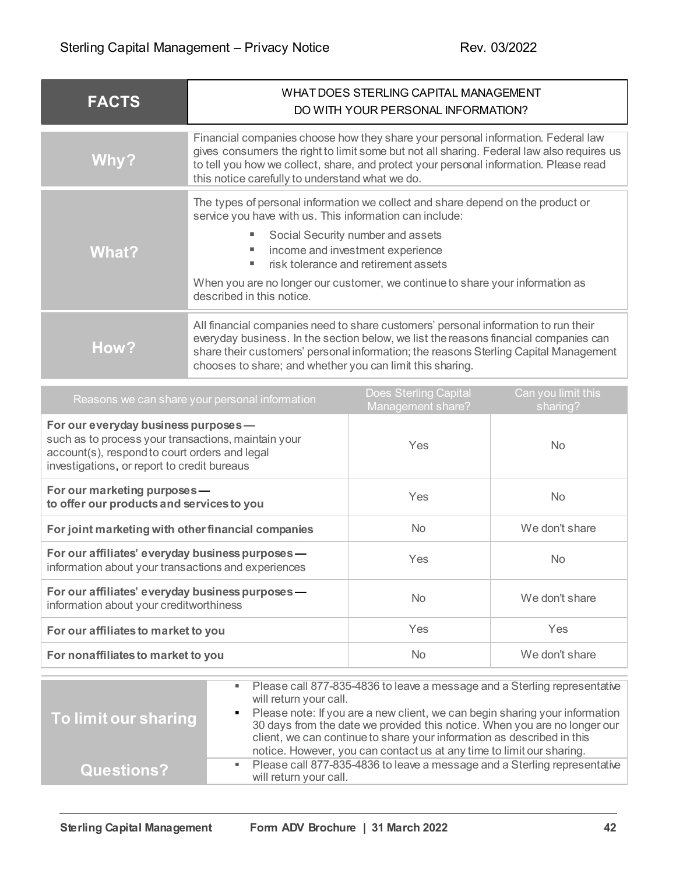| <b>FACTS</b> | WHAT DOES STERLING CAPITAL MANAGEMENT<br>DO WITH YOUR PERSONAL INFORMATION?                                                                                                                                                                                                                                                                                               |  |
|--------------|---------------------------------------------------------------------------------------------------------------------------------------------------------------------------------------------------------------------------------------------------------------------------------------------------------------------------------------------------------------------------|--|
| Why?         | Financial companies choose how they share your personal information. Federal law<br>gives consumers the right to limit some but not all sharing. Federal law also requires us<br>to tell you how we collect, share, and protect your personal information. Please read<br>this notice carefully to understand what we do.                                                 |  |
| <b>What?</b> | The types of personal information we collect and share depend on the product or<br>service you have with us. This information can include:<br>Social Security number and assets<br>income and investment experience<br>risk tolerance and retirement assets<br>When you are no longer our customer, we continue to share your information as<br>described in this notice. |  |
| How?         | All financial companies need to share customers' personal information to run their<br>everyday business. In the section below, we list the reasons financial companies can<br>share their customers' personal information; the reasons Sterling Capital Management<br>chooses to share; and whether you can limit this sharing.                                           |  |

| Reasons we can share your personal information                                                                                                                                              | <b>Does Sterling Capital</b><br>Management share? | Can you limit this<br>sharing? |
|---------------------------------------------------------------------------------------------------------------------------------------------------------------------------------------------|---------------------------------------------------|--------------------------------|
| For our everyday business purposes -<br>such as to process your transactions, maintain your<br>account(s), respond to court orders and legal<br>investigations, or report to credit bureaus | Yes                                               | <b>No</b>                      |
| For our marketing purposes -<br>to offer our products and services to you                                                                                                                   | Yes                                               | <b>No</b>                      |
| For joint marketing with other financial companies                                                                                                                                          | N <sub>o</sub>                                    | We don't share                 |
| For our affiliates' everyday business purposes -<br>information about your transactions and experiences                                                                                     | Yes                                               | <b>No</b>                      |
| For our affiliates' everyday business purposes -<br>information about your creditworthiness                                                                                                 | N <sub>o</sub>                                    | We don't share                 |
| For our affiliates to market to you                                                                                                                                                         | Yes                                               | Yes                            |
| For nonaffiliates to market to you                                                                                                                                                          | <b>No</b>                                         | We don't share                 |

| To limit our sharing |            | • Please call 877-835-4836 to leave a message and a Sterling representative  <br>will return your call.<br>Please note: If you are a new client, we can begin sharing your information                                       |
|----------------------|------------|------------------------------------------------------------------------------------------------------------------------------------------------------------------------------------------------------------------------------|
|                      |            | 30 days from the date we provided this notice. When you are no longer our<br>client, we can continue to share your information as described in this<br>notice. However, you can contact us at any time to limit our sharing. |
| <b>Questions?</b>    | <b>B</b> C | Please call 877-835-4836 to leave a message and a Sterling representative<br>will return your call.                                                                                                                          |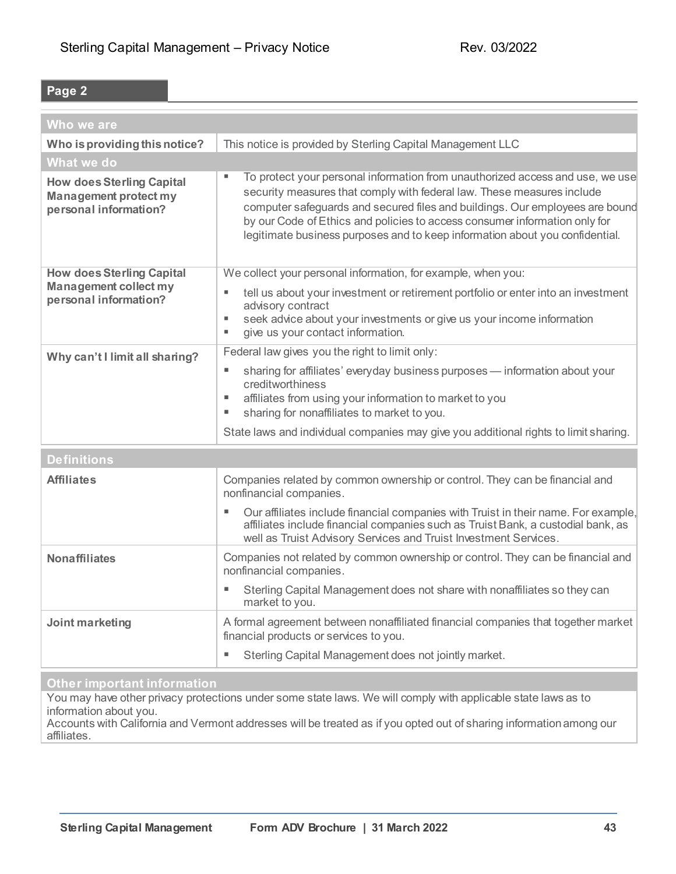# **Page 2**

| Who we are                                                                                |                                                                                                                                                                                                                                                                                                                                                                                                            |
|-------------------------------------------------------------------------------------------|------------------------------------------------------------------------------------------------------------------------------------------------------------------------------------------------------------------------------------------------------------------------------------------------------------------------------------------------------------------------------------------------------------|
| Who is providing this notice?                                                             | This notice is provided by Sterling Capital Management LLC                                                                                                                                                                                                                                                                                                                                                 |
| What we do                                                                                |                                                                                                                                                                                                                                                                                                                                                                                                            |
| <b>How does Sterling Capital</b><br><b>Management protect my</b><br>personal information? | To protect your personal information from unauthorized access and use, we use<br>п<br>security measures that comply with federal law. These measures include<br>computer safeguards and secured files and buildings. Our employees are bound<br>by our Code of Ethics and policies to access consumer information only for<br>legitimate business purposes and to keep information about you confidential. |
| <b>How does Sterling Capital</b>                                                          | We collect your personal information, for example, when you:                                                                                                                                                                                                                                                                                                                                               |
| <b>Management collect my</b><br>personal information?                                     | tell us about your investment or retirement portfolio or enter into an investment<br>٠<br>advisory contract<br>seek advice about your investments or give us your income information<br>٠<br>give us your contact information.<br>٠                                                                                                                                                                        |
| Why can't I limit all sharing?                                                            | Federal law gives you the right to limit only:                                                                                                                                                                                                                                                                                                                                                             |
|                                                                                           | sharing for affiliates' everyday business purposes - information about your<br>ш<br>creditworthiness<br>affiliates from using your information to market to you<br>ш<br>sharing for nonaffiliates to market to you.<br>ш                                                                                                                                                                                   |
|                                                                                           | State laws and individual companies may give you additional rights to limit sharing.                                                                                                                                                                                                                                                                                                                       |
| <b>Definitions</b>                                                                        |                                                                                                                                                                                                                                                                                                                                                                                                            |
| <b>Affiliates</b>                                                                         | Companies related by common ownership or control. They can be financial and<br>nonfinancial companies.                                                                                                                                                                                                                                                                                                     |
|                                                                                           | Our affiliates include financial companies with Truist in their name. For example,<br>ш<br>affiliates include financial companies such as Truist Bank, a custodial bank, as<br>well as Truist Advisory Services and Truist Investment Services.                                                                                                                                                            |
| <b>Nonaffiliates</b>                                                                      | Companies not related by common ownership or control. They can be financial and<br>nonfinancial companies.                                                                                                                                                                                                                                                                                                 |
|                                                                                           | Sterling Capital Management does not share with nonaffiliates so they can<br>market to you.                                                                                                                                                                                                                                                                                                                |
| Joint marketing                                                                           | A formal agreement between nonaffiliated financial companies that together market<br>financial products or services to you.                                                                                                                                                                                                                                                                                |
|                                                                                           | Sterling Capital Management does not jointly market.                                                                                                                                                                                                                                                                                                                                                       |
| Other important information                                                               |                                                                                                                                                                                                                                                                                                                                                                                                            |

You may have other privacy protections under some state laws. We will comply with applicable state laws as to information about you.

Accounts with California and Vermont addresses will be treated as if you opted out of sharing information among our affiliates.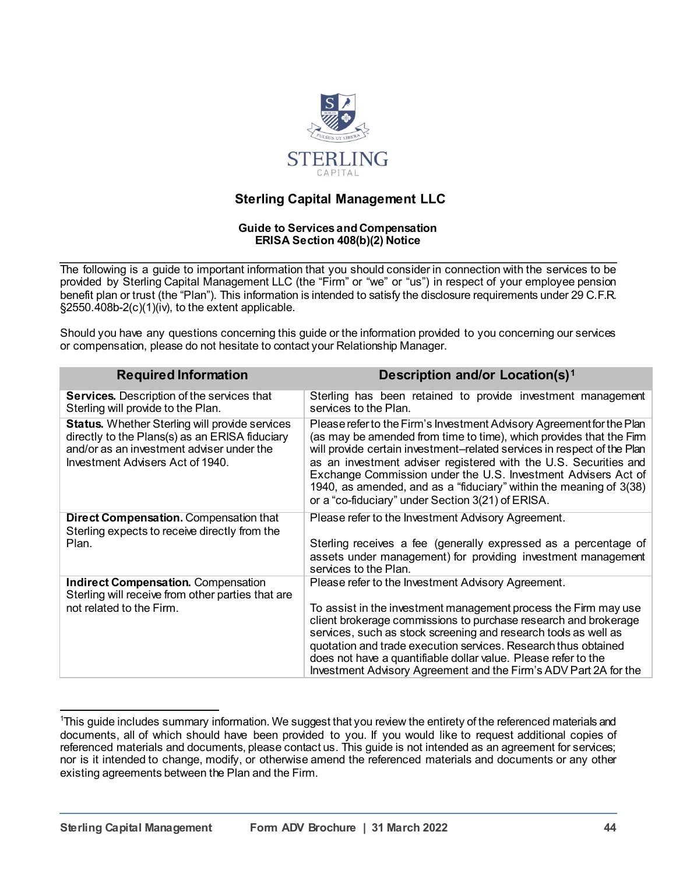

# **Sterling Capital Management LLC**

#### **Guide to Services and Compensation ERISA Section 408(b)(2) Notice**

The following is a guide to important information that you should consider in connection with the services to be provided by Sterling Capital Management LLC (the "Firm" or "we" or "us") in respect of your employee pension benefit plan or trust (the "Plan"). This information is intended to satisfy the disclosure requirements under 29 C.F.R. §2550.408b-2(c)(1)(iv), to the extent applicable.

Should you have any questions concerning this guide or the information provided to you concerning our services or compensation, please do not hesitate to contact your Relationship Manager.

| <b>Required Information</b>                                                                                                                                                       | <b>Description and/or Location(s)1</b>                                                                                                                                                                                                                                                                                                                                                                                                                                                  |
|-----------------------------------------------------------------------------------------------------------------------------------------------------------------------------------|-----------------------------------------------------------------------------------------------------------------------------------------------------------------------------------------------------------------------------------------------------------------------------------------------------------------------------------------------------------------------------------------------------------------------------------------------------------------------------------------|
| <b>Services.</b> Description of the services that<br>Sterling will provide to the Plan.                                                                                           | Sterling has been retained to provide investment management<br>services to the Plan.                                                                                                                                                                                                                                                                                                                                                                                                    |
| Status. Whether Sterling will provide services<br>directly to the Plans(s) as an ERISA fiduciary<br>and/or as an investment adviser under the<br>Investment Advisers Act of 1940. | Please refer to the Firm's Investment Advisory Agreement for the Plan<br>(as may be amended from time to time), which provides that the Firm<br>will provide certain investment-related services in respect of the Plan<br>as an investment adviser registered with the U.S. Securities and<br>Exchange Commission under the U.S. Investment Advisers Act of<br>1940, as amended, and as a "fiduciary" within the meaning of 3(38)<br>or a "co-fiduciary" under Section 3(21) of ERISA. |
| <b>Direct Compensation.</b> Compensation that<br>Sterling expects to receive directly from the                                                                                    | Please refer to the Investment Advisory Agreement.                                                                                                                                                                                                                                                                                                                                                                                                                                      |
| Plan.                                                                                                                                                                             | Sterling receives a fee (generally expressed as a percentage of<br>assets under management) for providing investment management<br>services to the Plan.                                                                                                                                                                                                                                                                                                                                |
| <b>Indirect Compensation.</b> Compensation<br>Sterling will receive from other parties that are                                                                                   | Please refer to the Investment Advisory Agreement.                                                                                                                                                                                                                                                                                                                                                                                                                                      |
| not related to the Firm.                                                                                                                                                          | To assist in the investment management process the Firm may use<br>client brokerage commissions to purchase research and brokerage<br>services, such as stock screening and research tools as well as<br>quotation and trade execution services. Research thus obtained<br>does not have a quantifiable dollar value. Please refer to the<br>Investment Advisory Agreement and the Firm's ADV Part 2A for the                                                                           |

<span id="page-43-0"></span>1 This guide includes summary information. We suggest that you review the entirety of the referenced materials and documents, all of which should have been provided to you. If you would like to request additional copies of referenced materials and documents, please contact us. This guide is not intended as an agreement for services; nor is it intended to change, modify, or otherwise amend the referenced materials and documents or any other existing agreements between the Plan and the Firm.